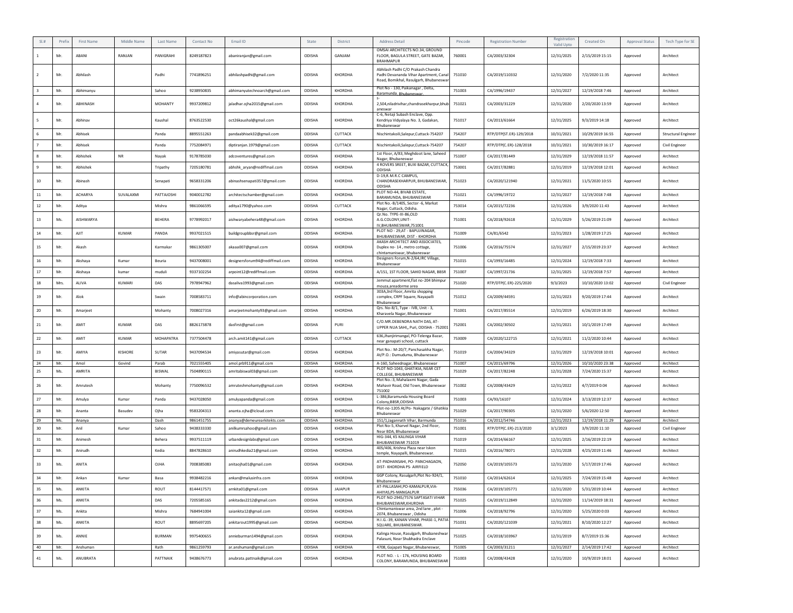|              | Pref | First Name | Middle Name  | Last Name        | Contact No | Email ID                        | State  | District       | Address Detail                                                                                                        | Pincode | <b>Registration Number</b> | Registration<br>Valid Upto | Created On       | <b>Approval Status</b> | Tech Type for SE           |
|--------------|------|------------|--------------|------------------|------------|---------------------------------|--------|----------------|-----------------------------------------------------------------------------------------------------------------------|---------|----------------------------|----------------------------|------------------|------------------------|----------------------------|
|              | Mr.  | ABANI      | RANJAN       | PANIGRAHI        | 8249187823 | abaniranjan@gmail.com           | ODISHA | GANJAM         | OMSAI ARCHITECTS NO.34, GROUND<br>FLOOR, BAGULA STREET, GATE BAZAR,<br>BRAHMAPUR                                      | 760001  | CA/2003/32304              | 12/31/2025                 | 2/15/2019 15:15  | Approved               | Architect                  |
|              | Mr.  | Abhilash   |              | Padhi            | 7741896251 | abhilashpadhi@gmail.com         | ODISHA | <b>KHORDHA</b> | Abhilash Padhi C/O Prakash Chandra<br>Padhi Devananda Vihar Apartment, Canal<br>Road, Bomikhal, Rasulgarh, Bhubaneswa | 751010  | CA/2019/110332             | 12/31/2020                 | 7/2/2020 11:35   | Approved               | Architect                  |
|              | Mr.  | Abhimanyu  |              | Sahoo            | 9238950835 | abhimanyutechnoarch@gmail.com   | ODISHA | <b>KHORDHA</b> | Plot No - 130, Paikanagar, Delta,<br>Baramunda, Bhubaneswar,                                                          | 751003  | CA/1996/19437              | 12/31/2027                 | 12/19/2018 7:46  | Approved               | Architect                  |
|              | Mr.  | ABHINASH   |              | MOHANTY          | 9937209812 | jaladhar.ojha2015@gmail.com     | ODISHA | KHORDHA        | 2,504, niladrivihar, chandrasekharpur, bhub<br>aneswar                                                                | 751021  | CA/2003/31229              | 12/31/2020                 | 2/20/2020 13:59  | Approved               | Architect                  |
|              | Mr.  | Abhinav    |              | Kaushal          | 8763522530 | oct26kaushal@gmail.com          | ODISHA | <b>KHORDHA</b> | C-6, Netaji Subash Enclave, Opp.<br>Kendriya Vidyalaya No. 3, Gadakan,<br>Bhubaneswa                                  | 751017  | CA/2013/61664              | 12/31/2025                 | 9/3/2019 14:18   | Approved               | Architect                  |
|              | Mr.  | Abhisek    |              | Panda            | 8895551263 | pandaabhisek32@gmail.com        | ODISHA | CUTTACK        | Nischintakoili.Salepur.Cuttack-754207                                                                                 | 754207  | RTP/DTP(ST.ER)-129/2018    | 10/31/2021                 | 10/29/2019 16:55 | Approved               | <b>Structural Engineer</b> |
|              | Mr.  | Abhisek    |              | Panda            | 7752084971 | diptiranjan.1979@gmail.com      | ODISHA | CUTTACK        | Nischintakoili, Salepur, Cuttack-754207                                                                               | 754207  | RTP/DTP(C.ER)-128/2018     | 10/31/2021                 | 10/30/2019 16:17 | Approved               | Civil Engineer             |
|              | Mr.  | Abhishek   | <b>NR</b>    | Nayak            | 9178785030 | adcoventures@gmail.com          | ODISHA | <b>KHORDHA</b> | 1st Floor, A/83, Meghdoot lane, Saheed<br>Nagar, Bhubaneswar                                                          | 751007  | CA/2017/81449              | 12/31/2029                 | 12/19/2018 11:57 | Approved               | Architect                  |
| $\mathbf{q}$ | Mr.  | Abhishek   |              | Tripathy         | 7205180781 | abhshk_aryan@rediffmail.com     | ODISHA | <b>KHORDHA</b> | 4 ROVERS SREET, BUXI BAZAR, CUTTACK,<br>ODISHA                                                                        | 753001  | CA/2017/82881              | 12/31/2019                 | 12/19/2018 12:01 | Approved               | Architect                  |
| 10           | Mr.  | Abinash    |              | Senapati         | 9658331206 | abinashsenapati357@gmail.com    | ODISHA | <b>KHORDHA</b> | D-19,R.M.R.C CAMPUS,<br>CHANDRASEKHARPUR, BHUBANESWAR,<br>ODISHA                                                      | 751023  | CA/2020/121940             | 12/31/2021                 | 11/5/2020 10:55  | Approved               | Architect                  |
| $11\,$       | Mr.  | ACHARYA    | SUVALAXMI    | PATTAJOSHI       | 9040012782 | architectschamber@gmail.com     | ODISHA | KHORDHA        | PLOT NO-44, BIVAB ESTATE,<br>BARAMUNDA, BHUBANESWAR                                                                   | 751021  | CA/1996/19722              | 12/31/2027                 | 12/19/2018 7:48  | Approved               | Architect                  |
| 12           | Mr.  | Aditya     |              | Mishra           | 9861066595 | aditya1790@yahoo.com            | ODISHA | CUTTACK        | Plot No.-B/1405, Sector -6, Markat<br>Nagar, Cuttack, Odisha.                                                         | 753014  | CA/2015/72236              | 12/31/2026                 | 3/9/2020 11:43   | Approved               | Architect                  |
| 13           | Ms.  | AISHWARYA  |              | BEHERA           | 9778992017 | aishwaryabehera48@gmail.com     | ODISHA | <b>KHORDHA</b> | Qr.No. TYPE-III-86,OLD<br>A.G.COLONY.UNIT-<br>IV, BHU BANESWAR, 751001                                                | 751001  | CA/2018/92618              | 12/31/2029                 | 5/26/2019 21:09  | Approved               | Architect                  |
| 14           | Mr.  | AJIT       | <b>KUMAR</b> | PANDA            | 9937021515 | buildgroupbbsr@gmail.com        | ODISHA | <b>KHORDHA</b> | PLOT NO - 29, AT - BAPUJINAGAR,<br>BHUBANESWAR, DIST - KHORDHA                                                        | 751009  | CA/81/6542                 | 12/31/2023                 | 1/28/2019 17:25  | Approved               | Architect                  |
| 15           | Mr.  | Akash      |              | Karmakar         | 9861305007 | akaaa007@gmail.com              | ODISHA | KHORDHA        | AKASH ARCHITECT AND ASSOCIATES,<br>Duplex no-14, metro cottage,<br>chintamaniswar, bhubaneswar                        | 751006  | CA/2016/75574              | 12/31/2027                 | 2/15/2019 23:37  | Approved               | Architect                  |
| 16           | Mr.  | Akshaya    | Kumar        | Beuria           | 9437008001 | designersforum94@rediffmail.com | ODISHA | <b>KHORDHA</b> | Designers Forum, N-2/64, IRC Village,<br>Bhubaneswar                                                                  | 751015  | CA/1993/16485              | 12/31/2024                 | 12/19/2018 7:33  | Approved               | Architect                  |
| 17           | Mr.  | Akshaya    | kumar        | muduli           | 9337102254 | arpoint12@rediffmail.com        | ODISHA | <b>KHORDHA</b> | A/151, 1ST FLOOR, SAHID NAGAR, BBSR                                                                                   | 751007  | CA/1997/21736              | 12/31/2025                 | 12/19/2018 7:57  | Approved               | Architect                  |
| 18           | Mrs. | ALIVA      | KUMARI       | DAS              | 7978947962 | dasaliva1993@gmail.com          | ODISHA | <b>KHORDHA</b> | Jemmut apartment, flat no-204 bhimpur                                                                                 | 751020  | RTP/DTP(C.ER)-225/2020     | 9/3/2023                   | 10/10/2020 13:02 | Approved               | Civil Engineer             |
| 19           | Mr.  | Alok       |              | Swain            | 7008583711 | info@abincorporation.com        | ODISHA | KHORDHA        | mouza,areadorme area<br>303A,3rd Floor, Amrita shopping<br>complex, CRPF Square, Nayapalli                            | 751012  | CA/2009/44591              | 12/31/2023                 | 9/20/2019 17:44  | Approved               | Architect                  |
| 20           | Mr.  | Amarjeet   |              | Mohanty          | 7008027316 | amarjeetmohanty93@gmail.com     | ODISHA | KHORDHA        | Bhubaneswar<br>Qrs. No-8/1, Type - IVB, Unit - 3,                                                                     | 751001  | CA/2017/85514              | 12/31/2019                 | 6/26/2019 18:30  | Approved               | Architect                  |
| 21           | Mr.  | AMIT       | <b>KUMAR</b> | DAS              | 8826173878 | dasfirst@gmail.com              | ODISHA | PURI           | Kharavela Nagar, Bhubaneswar<br>C/O.MR.DEBENDRA NATH DAS. AT-<br>UPPER NUA SAHI,, Puri, ODISHA - 752001               | 752001  | CA/2002/30502              | 12/31/2021                 | 10/1/2019 17:49  | Approved               | Architect                  |
| 22           | Mr.  | AMIT       | KUMAR        | <b>MOHAPATRA</b> | 7377504478 | arch.amit141@gmail.com          | ODISHA | CUTTACK        | 636, Jhanjirimangal, PO-Telenga Bazar,<br>near ganapati school, cuttack                                               | 753009  | CA/2020/122715             | 12/31/2021                 | 11/2/2020 10:44  | Approved               | Architect                  |
| 23           | Mr.  | AMIYA      | KISHORE      | SUTAR            | 9437094534 | amiyasutar@gmail.com            | ODISHA | KHORDHA        | Plot No.: M-20/7, Panchasakha Nagar,<br>At/P.O.: Dumuduma, Bhubaneswar                                                | 751019  | CA/2004/34329              | 12/31/2029                 | 12/19/2018 10:01 | Approved               | Architect                  |
| 24           | Mr.  | Amol       | Govind       | Parab            | 7021555405 | amol.prb911@gmail.com           | ODISHA | <b>KHORDHA</b> | A-160, Saheednagar, Bhubaneswar                                                                                       | 751007  | CA/2015/69796              | 12/31/2026                 | 10/10/2020 23:38 | Approved               | Architect                  |
| 25           | Ms.  | AMRITA     |              | <b>BISWAL</b>    | 7504890115 | amritabiswal03@gmail.com        | ODISHA | <b>KHORDHA</b> | PLOT NO-1043, GHATIKIA, NEAR CET<br>COLLEGE, BHUBANESWAR<br>Plot No.: 3, Mahalaxmi Nagar, Gada                        | 751029  | CA/2017/82248              | 12/31/2028                 | 7/24/2020 15:37  | Approved               | Architect                  |
| 26           | Mr.  | Amrutesh   |              | Mohanty          | 7750096532 | amruteshmohanty@gmail.com       | ODISHA | KHORDHA        | Mahavir Road, Old Town, Bhubaneswar<br>751002                                                                         | 751002  | CA/2008/43429              | 12/31/2022                 | 4/7/2019 0:04    | Approved               | Architect                  |
| 27           | Mr.  | Amulya     | Kumar        | Panda            | 9437028050 | amulyapanda@gmail.com           | ODISHA | <b>KHORDHA</b> | L-386, Baramunda Housing Board<br>Colony, BBSR, ODISHA                                                                | 751003  | CA/93/16107                | 12/31/2024                 | 3/13/2019 12:37  | Approved               | Architect                  |
| 28           | Mr.  | Ananta     | Basudev      | Ojha             | 9583204313 | ananta.ojha@icloud.com          | ODISHA | KHORDHA        | Plot-no-1205 At/Po- Nakagate / Ghatikia<br>Bhubaneswa                                                                 | 751029  | CA/2017/90305              | 12/31/2020                 | 5/6/2020 12:50   | Approved               | Architect                  |
| 29           | Ms.  | Ananya     |              | Dash             | 9861451755 | ananya@demeurearkitekts.com     | ODISHA | <b>KHORDHA</b> | 151/1, Jagannath Vihar, Barmunda<br>Plot No-5, Kharvel Nagar, 2nd Floor,                                              | 751016  | CA/2012/54746              | 12/31/2023                 | 12/19/2018 11:29 | Approved               | Architect                  |
| 30           | Mr.  | Anil       | Kumar        | Sahoo            | 9438333330 | anilkumrsahoo@gmail.com         | ODISHA | <b>KHORDHA</b> | Near BDA, Bhubaneswar<br>HIG-344, K5 KALINGA VIHAR                                                                    | 751001  | RTP/DTP(C.ER)-213/2020     | 3/1/2023                   | 3/9/2020 11:10   | Approved               | Civil Engineer             |
| 31           | Mr.  | Animesh    |              | Behera           | 9937511119 | urbandesignlabs@gmail.com       | ODISHA | KHORDHA        | BHUBANESWAR 751019<br>405/406, Krishna Plaza near Iskon                                                               | 751019  | CA/2014/66167              | 12/31/2025                 | 2/16/2019 22:19  | Approved               | Architect                  |
| 32           | Mr.  | Anirudh    |              | Kedia            | 8847828610 | anirudhkedia21@gmail.com        | ODISHA | KHORDHA        | temple, Nayapalli, Bhubaneswar.                                                                                       | 751015  | CA/2016/78071              | 12/31/2028                 | 4/25/2019 11:46  | Approved               | Architect                  |
| 33           | Ms.  | ANITA      |              | OJHA             | 7008385083 | anitaojha01@gmail.com           | ODISHA | <b>KHORDHA</b> | AT-PADHANSAHI, PO- PANCHAGAON<br>DIST- KHORDHA PS- AIRFIELD                                                           | 752050  | CA/2019/105573             | 12/31/2020                 | 5/17/2019 17:46  | Approved               | Architect                  |
| 34           | Mr.  | Ankan      | Kumar        | Basa             | 9938482216 | ankan@malusinfra.com            | ODISHA | <b>KHORDHA</b> | GGP Colony, Rasulgarh, Plot No-924/1,<br>Bhubaneswar                                                                  | 751010  | CA/2014/62614              | 12/31/2025                 | 7/24/2019 15:48  | Approved               | Architect                  |
| 35           | Ms.  | ANKITA     |              | ROUT             | 8144417571 | arnkita01@gmail.com             | ODISHA | <b>JAJAPUR</b> | AT-PALLASAHI.PO-KAMALPUR.VIA-<br>AHIYAS, PS-MANGAL PUR                                                                | 755036  | CA/2019/105771             | 12/31/2020                 | 5/31/2019 10:44  | Approved               | Architect                  |
| 36           | Ms.  | ANKITA     |              | DAS              | 7205585165 | ankitadas2212@gmail.com         | ODISHA | KHORDHA        | PLOT NO-2945/7576 SAPTASATI VIHAR<br>BHUBANESWAR, KHURDHA                                                             | 751025  | CA/2019/112849             | 12/31/2020                 | 11/14/2019 18:31 | Approved               | Architect                  |
| 37           | Ms.  | Ankita     |              | Mishra           | 7684941004 | saiankita12@gmail.com           | ODISHA | KHORDHA        | Chintamaniswar area, 2nd lane, plot -<br>2074, Bhubaneswar, Odisha                                                    | 751006  | CA/2018/92796              | 12/31/2020                 | 5/25/2020 0:03   | Approved               | Architect                  |
| 38           | Ms.  | ANKITA     |              | ROUT             | 8895697205 | ankitarout1995@gmail.com        | ODISHA | KHORDHA        | H.I.G.-39, KANAN VIHAR, PHASE-1, PATIA<br>SQUARE, BHUBANESWAR.                                                        | 751031  | CA/2020/121039             | 12/31/2021                 | 8/10/2020 12:27  | Approved               | Architect                  |
| 39           | Ms.  | ANNIE      |              | <b>BURMAN</b>    | 9975400655 | annieburman1494@gmail.com       | ODISHA | KHORDHA        | Kalinga House, Rasulgarh, Bhubaneshwar<br>Palasuni, Near Shubhadra Enclave                                            | 751025  | CA/2018/103967             | 12/31/2019                 | 8/7/2019 15:36   | Approved               | Architect                  |
| 40           | Mr.  | Anshuman   |              | Rath             | 9861259793 | ar.anshuman@gmail.com           | ODISHA | KHORDHA        | 4708, Gajapati Nagar, Bhubaneswar,                                                                                    | 751005  | CA/2003/31211              | 12/31/2027                 | 2/14/2019 17:42  | Approved               | Architect                  |
| 41           | Ms.  | ANUBRATA   |              | PATTNAIK         | 9438676773 | anubrata.pattnaik@gmail.com     | ODISHA | KHORDHA        | PLOT NO. - L - 176, HOUSING BOARD<br>COLONY, BARAMUNDA, BHUBANESWAR                                                   | 751003  | CA/2008/43428              | 12/31/2020                 | 10/9/2019 18:01  | Approved               | Architect                  |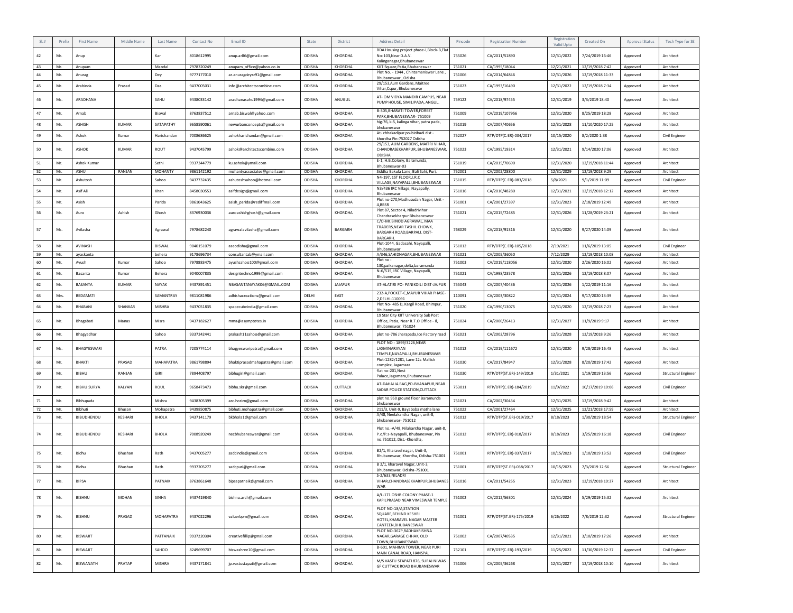| BDA Housing project phase-I,Block-B,Flat<br>8018612995<br>KHORDHA<br>755026<br>12/31/2022<br>7/24/2019 16:46<br>42<br>Mr.<br>Kar<br>anup.ar86@gmail.com<br>ODISHA<br>CA/2011/51890<br>Architect<br>No-103. Near D.A.V.<br>Approved<br>Anup<br>Kalinganagar, Bhubaneswar<br>43<br>Mr.<br>Mandal<br>7978320249<br>anupam_office@yahoo.co.in<br>ODISHA<br>KHORDHA<br>KIIT Square, Patia, Bhubaneswar<br>751021<br>CA/1995/18044<br>12/21/2021<br>12/19/2018 7:42<br>Architect<br>Anupam<br>Approved<br>Plot No. - 1944, Chintamaniswar Lane<br>Mr.<br>9777177010<br>ODISHA<br>CA/2014/64846<br>12/31/2026<br>44<br>ar.anuragdeyzz91@gmail.com<br>KHORDHA<br>751006<br>12/19/2018 11:33<br>Architect<br>Dey<br>Approved<br>Anurag<br>Bhubaneswar, Odisha<br>29/153, Aum Gardens, Maitree<br>45<br>9437005031<br>ODISHA<br>CA/1993/16490<br>12/31/2022<br>Mr.<br>Arabinda<br>Prasad<br>Das<br>info@architectscombine.com<br><b>KHORDHA</b><br>751023<br>12/19/2018 7:34<br>Approved<br>Architect<br>Vihar, Cspur, Bhubaneswar<br>AT- OM VIDYA MANDIR CAMPUS, NEAR<br>46<br>Ms.<br>ARADHANA<br>SAHU<br>9438033142<br>aradhanasahu1994@gmail.com<br>ODISHA<br>ANUGUL<br>759122<br>CA/2018/97455<br>12/31/2019<br>3/3/2019 18:40<br>Approved<br>Architect<br>PUMP HOUSE, SIMILIPADA, ANGUL.<br>B-305, BHARATI TOWER, FOREST<br>47<br>Mr.<br>Arnab<br>Biswal<br>8763837512<br>arnab.biswal@yahoo.com<br>ODISHA<br>KHORDHA<br>751009<br>CA/2019/107956<br>12/31/2020<br>8/25/2019 18:28<br>Approved<br>Architect<br>PARK, BHUBANESWAR-751009<br>hig-76, k-5, kalinga vihar, patra pada,<br>48<br>Mr.<br>ASHISH<br>KUMAR<br>SATAPATHY<br>9658590061<br>ODISHA<br>KHORDHA<br>12/31/2028<br>11/10/2020 17:25<br>751019<br>CA/2007/40656<br>Architect<br>newurbanconcepts@gmail.com<br>Approved<br>bhubaneswar<br>At- chhakadipur po-biribadi dist -<br>49<br>Mr.<br>7008686625<br>ODISHA<br>KHORDHA<br>752027<br>RTP/DTP(C.ER)-034/2017<br>10/15/2020<br>8/2/2020 1:38<br>Ashok<br>Kumar<br>Harichandan<br>ashokharichandan@gmail.com<br>Approved<br>Civil Engineer<br>khordha Pin-752027 Odisha<br>29/153, AUM GARDENS, MAITRI VIHAR,<br>50<br>Mr.<br><b>ASHOK</b><br><b>KUMAR</b><br>ROUT<br>9437045799<br>ashok@architectscombine.com<br>ODISHA<br>KHORDHA<br>CHANDRASEKHARPUR, BHUBANESWAR,<br>751023<br>CA/1995/19314<br>12/31/2021<br>9/14/2020 17:06<br>Approved<br>Architect<br>ODISHA<br>E-1, H.B.Colony, Baramunda<br>51<br>Mr.<br>Ashok Kumar<br>Sethi<br>9937344779<br>ku.ashok@ymail.com<br>ODISHA<br>KHORDHA<br>751019<br>CA/2015/70690<br>12/31/2020<br>12/19/2018 11:44<br>Approved<br>Architect<br>Bhubaneswar-03<br>52<br>RANJAN<br><b>MOHANTY</b><br>9861142192<br>CA/2002/28800<br>12/31/2029<br>ASHU<br>ODISHA<br>KHORDHA<br>Siddha Bakula Lane, Bali Sahi, Puri,<br>752001<br>12/19/2018 9:29<br>Mr.<br>mohantyassociates@gmail.com<br>Approved<br>Architect<br>N4-197, 1ST FLOOR, I.R.C<br>53<br>Mr.<br>Ashutosh<br>Sahoo<br>9437732435<br>ashutoshsahoo@hotmail.com<br>ODISHA<br>KHORDHA<br>751015<br>RTP/DTP(C.ER)-083/2018<br>5/8/2021<br>9/1/2019 11:09<br>Civil Engineer<br>Approved<br>VILLAGE, NAYAPALLI, BHUBANESWAR<br>N3/436 IRC Village, Nayapally,<br>54<br>Mr.<br>Asif Ali<br>Khan<br>8458030553<br>ODISHA<br>KHORDHA<br>751016<br>12/31/2021<br>12/19/2018 12:12<br>asifdesign@gmail.com<br>CA/2010/48280<br>Approved<br>Architect<br>Bhubaneswar<br>Plot no-270, Madhusudan Nagar, Unit-<br>55<br>Mr.<br>Asish<br>Parida<br>9861043625<br>asish_parida@rediffmail.com<br>ODISHA<br>KHORDHA<br>751001<br>CA/2001/27397<br>12/31/2023<br>2/18/2019 12:49<br>Architect<br>Approved<br>4.BBSR<br>Plot 87. Sector 4. Niladrivihar<br>56<br>Mr.<br>Ashish<br>8376930036<br>ODISHA<br>KHORDHA<br>751021<br>CA/2015/72485<br>12/31/2026<br>11/28/2019 23:21<br>Ghosh<br>Architect<br>auroashishghosh@gmail.com<br>Approved<br>Auro<br>Chandrasekharpur Bhubaneswar<br>C/O-Mr.BINOD AGRAWAL, MAA<br>TRADERS.NEAR TASHIL CHOWK.<br>57<br>768029<br>Ms.<br>Avilasha<br>7978682240<br>ODISHA<br>BARGARH<br>CA/2018/91316<br>12/31/2020<br>9/27/2020 14:09<br>Architect<br>Agrawal<br>agrawalavilasha@gmail.com<br>Approved<br>BARGARH ROAD, BARPALI. DIST-<br><b>BARGARH.</b><br>Plot-1044, Gadasahi, Nayapalli,<br>58<br>Mr.<br>BISWAL<br>9040151079<br>ODISHA<br>KHORDHA<br>751012<br>RTP/DTP(C.ER)-105/2018<br>7/19/2021<br>11/6/2019 13:05<br>AVINASH<br>Civil Engineer<br>aseodisha@gmail.com<br>Approved<br>Bhubaneswar<br>59<br>Mr.<br>ayaskanta<br>behera<br>9178696734<br>consultantab@ymail.com<br>ODISHA<br>KHORDHA<br>A/346,SAHIDNAGAR,BHUBANESWAR<br>751021<br>CA/2005/36050<br>7/12/2029<br>12/19/2018 10:08<br>Approved<br>Architect<br>Plot no<br>60<br>7978883475<br>ODISHA<br>12/31/2020<br>Mr.<br>Sahoo<br>KHORDHA<br>751003<br>CA/2019/118056<br>2/26/2020 16:02<br>Ayush<br>Kumar<br>ayushsahoo100@gmail.com<br>Approved<br>Architect<br>130.paikanagar.delta.baramunda<br>N-6/515, IRC Village, Nayapalli,<br>61<br>Mr.<br>ODISHA<br>KHORDHA<br>751021<br>CA/1998/23578<br>12/31/2026<br>12/19/2018 8:07<br>Basanta<br>Kumar<br>Behera<br>9040007835<br>designtechno1999@gmail.com<br>Approved<br>Architect<br>Bhubaneswar.<br>62<br>Mr.<br>BASANTA<br><b>KUMAR</b><br>NAYAK<br>9437891451<br>NBASANTANAYAK06@GMAIL.COM<br>ODISHA<br><b>JAJAPUR</b><br>AT-ALATIRI PO- PANIKOILI DIST-JAJPUR<br>755043<br>CA/2007/40436<br>12/31/2026<br>1/22/2019 11:16<br>Approved<br>Architect<br>232-A, POCKET-C, MAYUR VIHAR PHASE-<br>63<br>110091<br>12/31/2024<br>Mrs.<br><b>BEDAMATI</b><br>SAMANTRAY<br>9811081986<br>DELHI<br>EAST<br>CA/2003/30822<br>9/17/2020 13:39<br>adhishacreations@gmail.com<br>Architect<br>Approved<br>2, DELHI-110091<br>Plot No- 485 D, Kargil Road, Bhimpur,<br>64<br>Mr.<br>BHABANI<br>SHANKAR<br>MISHRA<br>9437051835<br>spacecubeindia@gmail.com<br>ODISHA<br><b>KHORDHA</b><br>751020<br>CA/1990/13075<br>12/31/2020<br>12/19/2018 7:23<br>Architect<br>Approved<br>Bhubaneswar<br>19 Star City KIIT University Sub Post<br>65<br>Mr.<br>Bhagabati<br>Manas<br>Misra<br>9437182627<br>ODISHA<br>KHORDHA<br>Office, Patia, Near R.T.O Office - Il,<br>751024<br>CA/2000/26413<br>12/31/2027<br>11/9/2019 9:17<br>Approved<br>Architect<br>mma@asymptotes.in<br>Bhubaneswar, 751024<br>66<br>Mr.<br>Bhagyadhar<br>Sahoo<br>9337242441<br>prakash11sahoo@gmail.com<br>ODISHA<br>KHORDHA<br>plot no-786 Jharapada, Ice Factory road<br>751021<br>CA/2002/28796<br>12/31/2028<br>12/19/2018 9:26<br>Approved<br>Architect<br>PLOT NO - 1899/3226, NEAR<br>67<br>PATRA<br>7205774114<br>751012<br>12/31/2020<br>9/28/2019 16:48<br>Ms.<br>BHAGYESWARI<br>ODISHA<br>KHORDHA<br>LAXMINARAYAN<br>CA/2019/111672<br>Architect<br>bhagyeswaripatra@gmail.com<br>Approved<br>TEMPLE, NAYAPALLI, BHUBANESWAR<br>Plot-1282/1281, Lane 12c Mallick<br>68<br>ODISHA<br>12/31/2028<br>Mr.<br>BHAKTI<br>PRASAD<br>MAHAPATRA<br>9861798894<br>bhaktiprasadmahapatra@gmail.com<br><b>KHORDHA</b><br>751030<br>CA/2017/84947<br>8/20/2019 17:42<br>Approved<br>Architect<br>complex, Jagamara<br>flat no-201, Nest<br>69<br>Mr.<br>BIBHU<br>RANJAN<br>GIRI<br>7894408797<br>bibhugiri@gmail.com<br>ODISHA<br>KHORDHA<br>751030<br>RTP/DTP(ST.ER)-149/2019<br>1/31/2021<br>1/19/2019 13:56<br>Approved<br><b>Structural Engineer</b><br>Palace,Jagamara,Bhubaneswar<br>AT-DAHALIA BAG, PO-BHANAPUR, NEAR<br>70<br>Mr.<br><b>BIBHU SURYA</b><br>ROUL<br>9658473473<br>ODISHA<br>CUTTACK<br>753011<br>RTP/DTP(C.ER)-184/2019<br>11/9/2022<br>10/17/2019 10:06<br>KALYAN<br>bibhu.skr@gmail.com<br>Approved<br>Civil Engineer<br>SADAR POLICE STATION, CUTTACK<br>plot no.950 ground floor Baramunda<br>71<br>Mr.<br>9438305399<br>ODISHA<br>KHORDHA<br>751021<br>12/31/2025<br>12/19/2018 9:42<br>Bibhupada<br>Mishra<br>CA/2002/30434<br>arc.horizn@gmail.com<br>Approved<br>Architect<br>bhubaneswar<br>72<br>Mr.<br>Bibhuti<br>9439850875<br>bibhuti.mohapatra@gmail.com<br>ODISHA<br>KHORDHA<br>211/3, Unit-9, Bayababa matha lane<br>751022<br>CA/2001/27464<br>12/31/2025<br>12/21/2018 17:59<br>Bhusan<br>Mohapatra<br>Approved<br>Architect<br>A/48, Neelakantha Nagar, unit-8,<br>73<br>Mr.<br>ODISHA<br>KHORDHA<br>751012<br>8/18/2023<br><b>BIBUDHENDU</b><br><b>KESHARI</b><br><b>BHOLA</b><br>9437141179<br>bkbhola1@gmail.com<br>RTP/DTP(ST.ER)-019/2017<br>1/30/2019 18:54<br>Approved<br><b>Structural Engineer</b><br>bhubaneswar-751012<br>Plot no.-A/48, Nilakantha Nagar, unit-8,<br>74<br>Mr.<br><b>BIBUDHENDU</b><br><b>KESHARI</b><br>BHOLA<br>7008920249<br>ODISHA<br>KHORDHA<br>751012<br>RTP/DTP(C.ER)-018/2017<br>8/18/2023<br>3/25/2019 16:18<br>necbhubaneswar@gmail.com<br>P.o/P.s-Nayapalli, Bhubaneswar, Pin<br>Approved<br>Civil Engineer<br>no.751012, Dist.-Khordha,<br>B2/1. Kharavel nagar, Unit-3,<br>9437005277<br>ODISHA<br>KHORDHA<br>751001<br>10/15/2023<br>1/10/2019 13:52<br>75<br>Mr.<br>Bidhu<br>Bhushan<br>Rath<br>sadcindia@gmail.com<br>RTP/DTP(C.ER)-037/2017<br>Civil Engineer<br>Approved<br>Bhubaneswar, Khordha, Odisha-751001<br>B 2/1, kharavel Nagar, Unit-3,<br>76<br>Mr.<br>Bidhu<br>ODISHA<br>KHORDHA<br>751001<br>10/15/2023<br>7/3/2019 12:56<br>Bhushan<br>Rath<br>9937205277<br>sadcpuri@gmail.com<br>RTP/DTP(ST.ER)-038/2017<br>Approved<br><b>Structural Engineer</b><br>Bhubaneswar, Odisha-751001<br>S-2/633, NILADRI<br>77<br>Ms.<br><b>BIPSA</b><br>PATNAIK<br>8763861648<br>bipsapatnaik@gmail.com<br>ODISHA<br>KHORDHA<br>VIHAR, CHANDRASEKHARPUR, BHUBANES 751016<br>CA/2011/54255<br>12/31/2023<br>12/19/2018 10:37<br>Architect<br>Approved<br>WAR<br>A/L-171 OSHB COLONY PHASE-1<br>78<br>Mr.<br><b>BISHNU</b><br><b>MOHAN</b><br>SINHA<br>9437419840<br>bishnu.arch@gmail.com<br>ODISHA<br>KHORDHA<br>751002<br>CA/2012/56301<br>12/31/2024<br>5/29/2019 15:32<br>Approved<br>Architect<br>KAPILPRASAD NEAR VIMESWAR TEMPLE<br>PLOT NO-18/A, STATION<br>SQUARE, BEHIND KESHRI<br>MOHAPATRA<br>9437022296<br>KHORDHA<br>751001<br>RTP/DTP(ST.ER)-175/2019<br>6/26/2022<br>7/8/2019 12:32<br>79<br>Mr.<br><b>BISHNU</b><br>PRASAD<br>valuerbpm@gmail.com<br>ODISHA<br>Structural Engineer<br>Approved<br>HOTEL, KHARAVEL NAGAR MASTER<br>CANTEEN, BHUBANESWAR<br>PLOT NO-367P, RADHAKRISHNA<br>80<br>PATTANAIK<br>9937220304<br>creativefillip@gmail.com<br>ODISHA<br>NAGAR.GARAGE CHHAK, OLD<br>CA/2007/40535<br>12/31/2021<br>3/10/2019 17:26<br>Mr.<br>BISWAJIT<br>KHORDHA<br>751002<br>Architect<br>Approved<br>TOWN.BHUBANESWAR.<br>B-601, MAHIMA TOWER, NEAR PURI<br>81<br>Mr.<br><b>BISWAJIT</b><br>SAHOO<br>8249699707<br>ODISHA<br>KHORDHA<br>752101<br>RTP/DTP(C.ER)-193/2019<br>11/25/2022<br>11/30/2019 12:37<br>biswashree10@gmail.com<br>Civil Engineer<br>Approved<br>MAIN CANAL ROAD, HANSPAL<br>M/S VASTU STAPATI 876, SURAJ NIWAS<br>82<br>BISWANATH<br>PRATAP<br>MISHRA<br>9437171841<br>KHORDHA<br>751006<br>CA/2005/36268<br>12/31/2027<br>Mr.<br>jp.vastustapati@gmail.com<br>ODISHA<br>12/19/2018 10:10<br>Approved<br>Architect<br>GF CUTTACK ROAD BHUBANESWAR | SI.# | Prefix | First Name | Middle Name | Last Name | Contact No | Email ID | State | <b>District</b> | <b>Address Detail</b> | Pincode | <b>Registration Number</b> | Registration<br>Valid Upto | Created On | Approval Status | Tech Type for SE |
|----------------------------------------------------------------------------------------------------------------------------------------------------------------------------------------------------------------------------------------------------------------------------------------------------------------------------------------------------------------------------------------------------------------------------------------------------------------------------------------------------------------------------------------------------------------------------------------------------------------------------------------------------------------------------------------------------------------------------------------------------------------------------------------------------------------------------------------------------------------------------------------------------------------------------------------------------------------------------------------------------------------------------------------------------------------------------------------------------------------------------------------------------------------------------------------------------------------------------------------------------------------------------------------------------------------------------------------------------------------------------------------------------------------------------------------------------------------------------------------------------------------------------------------------------------------------------------------------------------------------------------------------------------------------------------------------------------------------------------------------------------------------------------------------------------------------------------------------------------------------------------------------------------------------------------------------------------------------------------------------------------------------------------------------------------------------------------------------------------------------------------------------------------------------------------------------------------------------------------------------------------------------------------------------------------------------------------------------------------------------------------------------------------------------------------------------------------------------------------------------------------------------------------------------------------------------------------------------------------------------------------------------------------------------------------------------------------------------------------------------------------------------------------------------------------------------------------------------------------------------------------------------------------------------------------------------------------------------------------------------------------------------------------------------------------------------------------------------------------------------------------------------------------------------------------------------------------------------------------------------------------------------------------------------------------------------------------------------------------------------------------------------------------------------------------------------------------------------------------------------------------------------------------------------------------------------------------------------------------------------------------------------------------------------------------------------------------------------------------------------------------------------------------------------------------------------------------------------------------------------------------------------------------------------------------------------------------------------------------------------------------------------------------------------------------------------------------------------------------------------------------------------------------------------------------------------------------------------------------------------------------------------------------------------------------------------------------------------------------------------------------------------------------------------------------------------------------------------------------------------------------------------------------------------------------------------------------------------------------------------------------------------------------------------------------------------------------------------------------------------------------------------------------------------------------------------------------------------------------------------------------------------------------------------------------------------------------------------------------------------------------------------------------------------------------------------------------------------------------------------------------------------------------------------------------------------------------------------------------------------------------------------------------------------------------------------------------------------------------------------------------------------------------------------------------------------------------------------------------------------------------------------------------------------------------------------------------------------------------------------------------------------------------------------------------------------------------------------------------------------------------------------------------------------------------------------------------------------------------------------------------------------------------------------------------------------------------------------------------------------------------------------------------------------------------------------------------------------------------------------------------------------------------------------------------------------------------------------------------------------------------------------------------------------------------------------------------------------------------------------------------------------------------------------------------------------------------------------------------------------------------------------------------------------------------------------------------------------------------------------------------------------------------------------------------------------------------------------------------------------------------------------------------------------------------------------------------------------------------------------------------------------------------------------------------------------------------------------------------------------------------------------------------------------------------------------------------------------------------------------------------------------------------------------------------------------------------------------------------------------------------------------------------------------------------------------------------------------------------------------------------------------------------------------------------------------------------------------------------------------------------------------------------------------------------------------------------------------------------------------------------------------------------------------------------------------------------------------------------------------------------------------------------------------------------------------------------------------------------------------------------------------------------------------------------------------------------------------------------------------------------------------------------------------------------------------------------------------------------------------------------------------------------------------------------------------------------------------------------------------------------------------------------------------------------------------------------------------------------------------------------------------------------------------------------------------------------------------------------------------------------------------------------------------------------------------------------------------------------------------------------------------------------------------------------------------------------------------------------------------------------------------------------------------------------------------------------------------------------------------------------------------------------------------------------------------------------------------------------------------------------------------------------------------------------------------------------------------------------------------------------------------------------------------------------------------------------------------------------------------------------------------------------------------------------------------------------------------------------------------------------------------------------------------------------------------------------------------------------------------------------------------------------------------------------------------------------------------------------------------------------------------------------------------------------------------------------------------------------------------------------------------------------------------------------------------------------------------------------------------------------------------------------------------------------------------------------------------------------------------------------------------------------------------------------------------------------------------------------------------------------------------------------------------------------------------------------------------------------------------------------------------------------------------------------------------------------------------------------------------------------------------------------------------------------------------------------------------------------------------------------------------------------------------------------------------------------------------------------------------------------------------------------------------------------------------------------------------------------------------------------------------------------------------------------------------------------------------------------------------------------------------------------------------------------------------------------------------------------------------------------|------|--------|------------|-------------|-----------|------------|----------|-------|-----------------|-----------------------|---------|----------------------------|----------------------------|------------|-----------------|------------------|
|                                                                                                                                                                                                                                                                                                                                                                                                                                                                                                                                                                                                                                                                                                                                                                                                                                                                                                                                                                                                                                                                                                                                                                                                                                                                                                                                                                                                                                                                                                                                                                                                                                                                                                                                                                                                                                                                                                                                                                                                                                                                                                                                                                                                                                                                                                                                                                                                                                                                                                                                                                                                                                                                                                                                                                                                                                                                                                                                                                                                                                                                                                                                                                                                                                                                                                                                                                                                                                                                                                                                                                                                                                                                                                                                                                                                                                                                                                                                                                                                                                                                                                                                                                                                                                                                                                                                                                                                                                                                                                                                                                                                                                                                                                                                                                                                                                                                                                                                                                                                                                                                                                                                                                                                                                                                                                                                                                                                                                                                                                                                                                                                                                                                                                                                                                                                                                                                                                                                                                                                                                                                                                                                                                                                                                                                                                                                                                                                                                                                                                                                                                                                                                                                                                                                                                                                                                                                                                                                                                                                                                                                                                                                                                                                                                                                                                                                                                                                                                                                                                                                                                                                                                                                                                                                                                                                                                                                                                                                                                                                                                                                                                                                                                                                                                                                                                                                                                                                                                                                                                                                                                                                                                                                                                                                                                                                                                                                                                                                                                                                                                                                                                                                                                                                                                                                                                                                                                                                                                                                                                                                                                                                                                                                                                                                                                                                                                                                                                                                                                                                                                                                                                                                                                                                                                                                                                                                                                                                                                                                                                                                                                                                                                                                                                                                                                                                                                                                                                                                                                                                          |      |        |            |             |           |            |          |       |                 |                       |         |                            |                            |            |                 |                  |
|                                                                                                                                                                                                                                                                                                                                                                                                                                                                                                                                                                                                                                                                                                                                                                                                                                                                                                                                                                                                                                                                                                                                                                                                                                                                                                                                                                                                                                                                                                                                                                                                                                                                                                                                                                                                                                                                                                                                                                                                                                                                                                                                                                                                                                                                                                                                                                                                                                                                                                                                                                                                                                                                                                                                                                                                                                                                                                                                                                                                                                                                                                                                                                                                                                                                                                                                                                                                                                                                                                                                                                                                                                                                                                                                                                                                                                                                                                                                                                                                                                                                                                                                                                                                                                                                                                                                                                                                                                                                                                                                                                                                                                                                                                                                                                                                                                                                                                                                                                                                                                                                                                                                                                                                                                                                                                                                                                                                                                                                                                                                                                                                                                                                                                                                                                                                                                                                                                                                                                                                                                                                                                                                                                                                                                                                                                                                                                                                                                                                                                                                                                                                                                                                                                                                                                                                                                                                                                                                                                                                                                                                                                                                                                                                                                                                                                                                                                                                                                                                                                                                                                                                                                                                                                                                                                                                                                                                                                                                                                                                                                                                                                                                                                                                                                                                                                                                                                                                                                                                                                                                                                                                                                                                                                                                                                                                                                                                                                                                                                                                                                                                                                                                                                                                                                                                                                                                                                                                                                                                                                                                                                                                                                                                                                                                                                                                                                                                                                                                                                                                                                                                                                                                                                                                                                                                                                                                                                                                                                                                                                                                                                                                                                                                                                                                                                                                                                                                                                                                                                                                          |      |        |            |             |           |            |          |       |                 |                       |         |                            |                            |            |                 |                  |
|                                                                                                                                                                                                                                                                                                                                                                                                                                                                                                                                                                                                                                                                                                                                                                                                                                                                                                                                                                                                                                                                                                                                                                                                                                                                                                                                                                                                                                                                                                                                                                                                                                                                                                                                                                                                                                                                                                                                                                                                                                                                                                                                                                                                                                                                                                                                                                                                                                                                                                                                                                                                                                                                                                                                                                                                                                                                                                                                                                                                                                                                                                                                                                                                                                                                                                                                                                                                                                                                                                                                                                                                                                                                                                                                                                                                                                                                                                                                                                                                                                                                                                                                                                                                                                                                                                                                                                                                                                                                                                                                                                                                                                                                                                                                                                                                                                                                                                                                                                                                                                                                                                                                                                                                                                                                                                                                                                                                                                                                                                                                                                                                                                                                                                                                                                                                                                                                                                                                                                                                                                                                                                                                                                                                                                                                                                                                                                                                                                                                                                                                                                                                                                                                                                                                                                                                                                                                                                                                                                                                                                                                                                                                                                                                                                                                                                                                                                                                                                                                                                                                                                                                                                                                                                                                                                                                                                                                                                                                                                                                                                                                                                                                                                                                                                                                                                                                                                                                                                                                                                                                                                                                                                                                                                                                                                                                                                                                                                                                                                                                                                                                                                                                                                                                                                                                                                                                                                                                                                                                                                                                                                                                                                                                                                                                                                                                                                                                                                                                                                                                                                                                                                                                                                                                                                                                                                                                                                                                                                                                                                                                                                                                                                                                                                                                                                                                                                                                                                                                                                                                          |      |        |            |             |           |            |          |       |                 |                       |         |                            |                            |            |                 |                  |
|                                                                                                                                                                                                                                                                                                                                                                                                                                                                                                                                                                                                                                                                                                                                                                                                                                                                                                                                                                                                                                                                                                                                                                                                                                                                                                                                                                                                                                                                                                                                                                                                                                                                                                                                                                                                                                                                                                                                                                                                                                                                                                                                                                                                                                                                                                                                                                                                                                                                                                                                                                                                                                                                                                                                                                                                                                                                                                                                                                                                                                                                                                                                                                                                                                                                                                                                                                                                                                                                                                                                                                                                                                                                                                                                                                                                                                                                                                                                                                                                                                                                                                                                                                                                                                                                                                                                                                                                                                                                                                                                                                                                                                                                                                                                                                                                                                                                                                                                                                                                                                                                                                                                                                                                                                                                                                                                                                                                                                                                                                                                                                                                                                                                                                                                                                                                                                                                                                                                                                                                                                                                                                                                                                                                                                                                                                                                                                                                                                                                                                                                                                                                                                                                                                                                                                                                                                                                                                                                                                                                                                                                                                                                                                                                                                                                                                                                                                                                                                                                                                                                                                                                                                                                                                                                                                                                                                                                                                                                                                                                                                                                                                                                                                                                                                                                                                                                                                                                                                                                                                                                                                                                                                                                                                                                                                                                                                                                                                                                                                                                                                                                                                                                                                                                                                                                                                                                                                                                                                                                                                                                                                                                                                                                                                                                                                                                                                                                                                                                                                                                                                                                                                                                                                                                                                                                                                                                                                                                                                                                                                                                                                                                                                                                                                                                                                                                                                                                                                                                                                                                          |      |        |            |             |           |            |          |       |                 |                       |         |                            |                            |            |                 |                  |
|                                                                                                                                                                                                                                                                                                                                                                                                                                                                                                                                                                                                                                                                                                                                                                                                                                                                                                                                                                                                                                                                                                                                                                                                                                                                                                                                                                                                                                                                                                                                                                                                                                                                                                                                                                                                                                                                                                                                                                                                                                                                                                                                                                                                                                                                                                                                                                                                                                                                                                                                                                                                                                                                                                                                                                                                                                                                                                                                                                                                                                                                                                                                                                                                                                                                                                                                                                                                                                                                                                                                                                                                                                                                                                                                                                                                                                                                                                                                                                                                                                                                                                                                                                                                                                                                                                                                                                                                                                                                                                                                                                                                                                                                                                                                                                                                                                                                                                                                                                                                                                                                                                                                                                                                                                                                                                                                                                                                                                                                                                                                                                                                                                                                                                                                                                                                                                                                                                                                                                                                                                                                                                                                                                                                                                                                                                                                                                                                                                                                                                                                                                                                                                                                                                                                                                                                                                                                                                                                                                                                                                                                                                                                                                                                                                                                                                                                                                                                                                                                                                                                                                                                                                                                                                                                                                                                                                                                                                                                                                                                                                                                                                                                                                                                                                                                                                                                                                                                                                                                                                                                                                                                                                                                                                                                                                                                                                                                                                                                                                                                                                                                                                                                                                                                                                                                                                                                                                                                                                                                                                                                                                                                                                                                                                                                                                                                                                                                                                                                                                                                                                                                                                                                                                                                                                                                                                                                                                                                                                                                                                                                                                                                                                                                                                                                                                                                                                                                                                                                                                                                          |      |        |            |             |           |            |          |       |                 |                       |         |                            |                            |            |                 |                  |
|                                                                                                                                                                                                                                                                                                                                                                                                                                                                                                                                                                                                                                                                                                                                                                                                                                                                                                                                                                                                                                                                                                                                                                                                                                                                                                                                                                                                                                                                                                                                                                                                                                                                                                                                                                                                                                                                                                                                                                                                                                                                                                                                                                                                                                                                                                                                                                                                                                                                                                                                                                                                                                                                                                                                                                                                                                                                                                                                                                                                                                                                                                                                                                                                                                                                                                                                                                                                                                                                                                                                                                                                                                                                                                                                                                                                                                                                                                                                                                                                                                                                                                                                                                                                                                                                                                                                                                                                                                                                                                                                                                                                                                                                                                                                                                                                                                                                                                                                                                                                                                                                                                                                                                                                                                                                                                                                                                                                                                                                                                                                                                                                                                                                                                                                                                                                                                                                                                                                                                                                                                                                                                                                                                                                                                                                                                                                                                                                                                                                                                                                                                                                                                                                                                                                                                                                                                                                                                                                                                                                                                                                                                                                                                                                                                                                                                                                                                                                                                                                                                                                                                                                                                                                                                                                                                                                                                                                                                                                                                                                                                                                                                                                                                                                                                                                                                                                                                                                                                                                                                                                                                                                                                                                                                                                                                                                                                                                                                                                                                                                                                                                                                                                                                                                                                                                                                                                                                                                                                                                                                                                                                                                                                                                                                                                                                                                                                                                                                                                                                                                                                                                                                                                                                                                                                                                                                                                                                                                                                                                                                                                                                                                                                                                                                                                                                                                                                                                                                                                                                                                          |      |        |            |             |           |            |          |       |                 |                       |         |                            |                            |            |                 |                  |
|                                                                                                                                                                                                                                                                                                                                                                                                                                                                                                                                                                                                                                                                                                                                                                                                                                                                                                                                                                                                                                                                                                                                                                                                                                                                                                                                                                                                                                                                                                                                                                                                                                                                                                                                                                                                                                                                                                                                                                                                                                                                                                                                                                                                                                                                                                                                                                                                                                                                                                                                                                                                                                                                                                                                                                                                                                                                                                                                                                                                                                                                                                                                                                                                                                                                                                                                                                                                                                                                                                                                                                                                                                                                                                                                                                                                                                                                                                                                                                                                                                                                                                                                                                                                                                                                                                                                                                                                                                                                                                                                                                                                                                                                                                                                                                                                                                                                                                                                                                                                                                                                                                                                                                                                                                                                                                                                                                                                                                                                                                                                                                                                                                                                                                                                                                                                                                                                                                                                                                                                                                                                                                                                                                                                                                                                                                                                                                                                                                                                                                                                                                                                                                                                                                                                                                                                                                                                                                                                                                                                                                                                                                                                                                                                                                                                                                                                                                                                                                                                                                                                                                                                                                                                                                                                                                                                                                                                                                                                                                                                                                                                                                                                                                                                                                                                                                                                                                                                                                                                                                                                                                                                                                                                                                                                                                                                                                                                                                                                                                                                                                                                                                                                                                                                                                                                                                                                                                                                                                                                                                                                                                                                                                                                                                                                                                                                                                                                                                                                                                                                                                                                                                                                                                                                                                                                                                                                                                                                                                                                                                                                                                                                                                                                                                                                                                                                                                                                                                                                                                                                          |      |        |            |             |           |            |          |       |                 |                       |         |                            |                            |            |                 |                  |
|                                                                                                                                                                                                                                                                                                                                                                                                                                                                                                                                                                                                                                                                                                                                                                                                                                                                                                                                                                                                                                                                                                                                                                                                                                                                                                                                                                                                                                                                                                                                                                                                                                                                                                                                                                                                                                                                                                                                                                                                                                                                                                                                                                                                                                                                                                                                                                                                                                                                                                                                                                                                                                                                                                                                                                                                                                                                                                                                                                                                                                                                                                                                                                                                                                                                                                                                                                                                                                                                                                                                                                                                                                                                                                                                                                                                                                                                                                                                                                                                                                                                                                                                                                                                                                                                                                                                                                                                                                                                                                                                                                                                                                                                                                                                                                                                                                                                                                                                                                                                                                                                                                                                                                                                                                                                                                                                                                                                                                                                                                                                                                                                                                                                                                                                                                                                                                                                                                                                                                                                                                                                                                                                                                                                                                                                                                                                                                                                                                                                                                                                                                                                                                                                                                                                                                                                                                                                                                                                                                                                                                                                                                                                                                                                                                                                                                                                                                                                                                                                                                                                                                                                                                                                                                                                                                                                                                                                                                                                                                                                                                                                                                                                                                                                                                                                                                                                                                                                                                                                                                                                                                                                                                                                                                                                                                                                                                                                                                                                                                                                                                                                                                                                                                                                                                                                                                                                                                                                                                                                                                                                                                                                                                                                                                                                                                                                                                                                                                                                                                                                                                                                                                                                                                                                                                                                                                                                                                                                                                                                                                                                                                                                                                                                                                                                                                                                                                                                                                                                                                                                          |      |        |            |             |           |            |          |       |                 |                       |         |                            |                            |            |                 |                  |
|                                                                                                                                                                                                                                                                                                                                                                                                                                                                                                                                                                                                                                                                                                                                                                                                                                                                                                                                                                                                                                                                                                                                                                                                                                                                                                                                                                                                                                                                                                                                                                                                                                                                                                                                                                                                                                                                                                                                                                                                                                                                                                                                                                                                                                                                                                                                                                                                                                                                                                                                                                                                                                                                                                                                                                                                                                                                                                                                                                                                                                                                                                                                                                                                                                                                                                                                                                                                                                                                                                                                                                                                                                                                                                                                                                                                                                                                                                                                                                                                                                                                                                                                                                                                                                                                                                                                                                                                                                                                                                                                                                                                                                                                                                                                                                                                                                                                                                                                                                                                                                                                                                                                                                                                                                                                                                                                                                                                                                                                                                                                                                                                                                                                                                                                                                                                                                                                                                                                                                                                                                                                                                                                                                                                                                                                                                                                                                                                                                                                                                                                                                                                                                                                                                                                                                                                                                                                                                                                                                                                                                                                                                                                                                                                                                                                                                                                                                                                                                                                                                                                                                                                                                                                                                                                                                                                                                                                                                                                                                                                                                                                                                                                                                                                                                                                                                                                                                                                                                                                                                                                                                                                                                                                                                                                                                                                                                                                                                                                                                                                                                                                                                                                                                                                                                                                                                                                                                                                                                                                                                                                                                                                                                                                                                                                                                                                                                                                                                                                                                                                                                                                                                                                                                                                                                                                                                                                                                                                                                                                                                                                                                                                                                                                                                                                                                                                                                                                                                                                                                                                          |      |        |            |             |           |            |          |       |                 |                       |         |                            |                            |            |                 |                  |
|                                                                                                                                                                                                                                                                                                                                                                                                                                                                                                                                                                                                                                                                                                                                                                                                                                                                                                                                                                                                                                                                                                                                                                                                                                                                                                                                                                                                                                                                                                                                                                                                                                                                                                                                                                                                                                                                                                                                                                                                                                                                                                                                                                                                                                                                                                                                                                                                                                                                                                                                                                                                                                                                                                                                                                                                                                                                                                                                                                                                                                                                                                                                                                                                                                                                                                                                                                                                                                                                                                                                                                                                                                                                                                                                                                                                                                                                                                                                                                                                                                                                                                                                                                                                                                                                                                                                                                                                                                                                                                                                                                                                                                                                                                                                                                                                                                                                                                                                                                                                                                                                                                                                                                                                                                                                                                                                                                                                                                                                                                                                                                                                                                                                                                                                                                                                                                                                                                                                                                                                                                                                                                                                                                                                                                                                                                                                                                                                                                                                                                                                                                                                                                                                                                                                                                                                                                                                                                                                                                                                                                                                                                                                                                                                                                                                                                                                                                                                                                                                                                                                                                                                                                                                                                                                                                                                                                                                                                                                                                                                                                                                                                                                                                                                                                                                                                                                                                                                                                                                                                                                                                                                                                                                                                                                                                                                                                                                                                                                                                                                                                                                                                                                                                                                                                                                                                                                                                                                                                                                                                                                                                                                                                                                                                                                                                                                                                                                                                                                                                                                                                                                                                                                                                                                                                                                                                                                                                                                                                                                                                                                                                                                                                                                                                                                                                                                                                                                                                                                                                                                          |      |        |            |             |           |            |          |       |                 |                       |         |                            |                            |            |                 |                  |
|                                                                                                                                                                                                                                                                                                                                                                                                                                                                                                                                                                                                                                                                                                                                                                                                                                                                                                                                                                                                                                                                                                                                                                                                                                                                                                                                                                                                                                                                                                                                                                                                                                                                                                                                                                                                                                                                                                                                                                                                                                                                                                                                                                                                                                                                                                                                                                                                                                                                                                                                                                                                                                                                                                                                                                                                                                                                                                                                                                                                                                                                                                                                                                                                                                                                                                                                                                                                                                                                                                                                                                                                                                                                                                                                                                                                                                                                                                                                                                                                                                                                                                                                                                                                                                                                                                                                                                                                                                                                                                                                                                                                                                                                                                                                                                                                                                                                                                                                                                                                                                                                                                                                                                                                                                                                                                                                                                                                                                                                                                                                                                                                                                                                                                                                                                                                                                                                                                                                                                                                                                                                                                                                                                                                                                                                                                                                                                                                                                                                                                                                                                                                                                                                                                                                                                                                                                                                                                                                                                                                                                                                                                                                                                                                                                                                                                                                                                                                                                                                                                                                                                                                                                                                                                                                                                                                                                                                                                                                                                                                                                                                                                                                                                                                                                                                                                                                                                                                                                                                                                                                                                                                                                                                                                                                                                                                                                                                                                                                                                                                                                                                                                                                                                                                                                                                                                                                                                                                                                                                                                                                                                                                                                                                                                                                                                                                                                                                                                                                                                                                                                                                                                                                                                                                                                                                                                                                                                                                                                                                                                                                                                                                                                                                                                                                                                                                                                                                                                                                                                                                          |      |        |            |             |           |            |          |       |                 |                       |         |                            |                            |            |                 |                  |
|                                                                                                                                                                                                                                                                                                                                                                                                                                                                                                                                                                                                                                                                                                                                                                                                                                                                                                                                                                                                                                                                                                                                                                                                                                                                                                                                                                                                                                                                                                                                                                                                                                                                                                                                                                                                                                                                                                                                                                                                                                                                                                                                                                                                                                                                                                                                                                                                                                                                                                                                                                                                                                                                                                                                                                                                                                                                                                                                                                                                                                                                                                                                                                                                                                                                                                                                                                                                                                                                                                                                                                                                                                                                                                                                                                                                                                                                                                                                                                                                                                                                                                                                                                                                                                                                                                                                                                                                                                                                                                                                                                                                                                                                                                                                                                                                                                                                                                                                                                                                                                                                                                                                                                                                                                                                                                                                                                                                                                                                                                                                                                                                                                                                                                                                                                                                                                                                                                                                                                                                                                                                                                                                                                                                                                                                                                                                                                                                                                                                                                                                                                                                                                                                                                                                                                                                                                                                                                                                                                                                                                                                                                                                                                                                                                                                                                                                                                                                                                                                                                                                                                                                                                                                                                                                                                                                                                                                                                                                                                                                                                                                                                                                                                                                                                                                                                                                                                                                                                                                                                                                                                                                                                                                                                                                                                                                                                                                                                                                                                                                                                                                                                                                                                                                                                                                                                                                                                                                                                                                                                                                                                                                                                                                                                                                                                                                                                                                                                                                                                                                                                                                                                                                                                                                                                                                                                                                                                                                                                                                                                                                                                                                                                                                                                                                                                                                                                                                                                                                                                                                          |      |        |            |             |           |            |          |       |                 |                       |         |                            |                            |            |                 |                  |
|                                                                                                                                                                                                                                                                                                                                                                                                                                                                                                                                                                                                                                                                                                                                                                                                                                                                                                                                                                                                                                                                                                                                                                                                                                                                                                                                                                                                                                                                                                                                                                                                                                                                                                                                                                                                                                                                                                                                                                                                                                                                                                                                                                                                                                                                                                                                                                                                                                                                                                                                                                                                                                                                                                                                                                                                                                                                                                                                                                                                                                                                                                                                                                                                                                                                                                                                                                                                                                                                                                                                                                                                                                                                                                                                                                                                                                                                                                                                                                                                                                                                                                                                                                                                                                                                                                                                                                                                                                                                                                                                                                                                                                                                                                                                                                                                                                                                                                                                                                                                                                                                                                                                                                                                                                                                                                                                                                                                                                                                                                                                                                                                                                                                                                                                                                                                                                                                                                                                                                                                                                                                                                                                                                                                                                                                                                                                                                                                                                                                                                                                                                                                                                                                                                                                                                                                                                                                                                                                                                                                                                                                                                                                                                                                                                                                                                                                                                                                                                                                                                                                                                                                                                                                                                                                                                                                                                                                                                                                                                                                                                                                                                                                                                                                                                                                                                                                                                                                                                                                                                                                                                                                                                                                                                                                                                                                                                                                                                                                                                                                                                                                                                                                                                                                                                                                                                                                                                                                                                                                                                                                                                                                                                                                                                                                                                                                                                                                                                                                                                                                                                                                                                                                                                                                                                                                                                                                                                                                                                                                                                                                                                                                                                                                                                                                                                                                                                                                                                                                                                                                          |      |        |            |             |           |            |          |       |                 |                       |         |                            |                            |            |                 |                  |
|                                                                                                                                                                                                                                                                                                                                                                                                                                                                                                                                                                                                                                                                                                                                                                                                                                                                                                                                                                                                                                                                                                                                                                                                                                                                                                                                                                                                                                                                                                                                                                                                                                                                                                                                                                                                                                                                                                                                                                                                                                                                                                                                                                                                                                                                                                                                                                                                                                                                                                                                                                                                                                                                                                                                                                                                                                                                                                                                                                                                                                                                                                                                                                                                                                                                                                                                                                                                                                                                                                                                                                                                                                                                                                                                                                                                                                                                                                                                                                                                                                                                                                                                                                                                                                                                                                                                                                                                                                                                                                                                                                                                                                                                                                                                                                                                                                                                                                                                                                                                                                                                                                                                                                                                                                                                                                                                                                                                                                                                                                                                                                                                                                                                                                                                                                                                                                                                                                                                                                                                                                                                                                                                                                                                                                                                                                                                                                                                                                                                                                                                                                                                                                                                                                                                                                                                                                                                                                                                                                                                                                                                                                                                                                                                                                                                                                                                                                                                                                                                                                                                                                                                                                                                                                                                                                                                                                                                                                                                                                                                                                                                                                                                                                                                                                                                                                                                                                                                                                                                                                                                                                                                                                                                                                                                                                                                                                                                                                                                                                                                                                                                                                                                                                                                                                                                                                                                                                                                                                                                                                                                                                                                                                                                                                                                                                                                                                                                                                                                                                                                                                                                                                                                                                                                                                                                                                                                                                                                                                                                                                                                                                                                                                                                                                                                                                                                                                                                                                                                                                                                          |      |        |            |             |           |            |          |       |                 |                       |         |                            |                            |            |                 |                  |
|                                                                                                                                                                                                                                                                                                                                                                                                                                                                                                                                                                                                                                                                                                                                                                                                                                                                                                                                                                                                                                                                                                                                                                                                                                                                                                                                                                                                                                                                                                                                                                                                                                                                                                                                                                                                                                                                                                                                                                                                                                                                                                                                                                                                                                                                                                                                                                                                                                                                                                                                                                                                                                                                                                                                                                                                                                                                                                                                                                                                                                                                                                                                                                                                                                                                                                                                                                                                                                                                                                                                                                                                                                                                                                                                                                                                                                                                                                                                                                                                                                                                                                                                                                                                                                                                                                                                                                                                                                                                                                                                                                                                                                                                                                                                                                                                                                                                                                                                                                                                                                                                                                                                                                                                                                                                                                                                                                                                                                                                                                                                                                                                                                                                                                                                                                                                                                                                                                                                                                                                                                                                                                                                                                                                                                                                                                                                                                                                                                                                                                                                                                                                                                                                                                                                                                                                                                                                                                                                                                                                                                                                                                                                                                                                                                                                                                                                                                                                                                                                                                                                                                                                                                                                                                                                                                                                                                                                                                                                                                                                                                                                                                                                                                                                                                                                                                                                                                                                                                                                                                                                                                                                                                                                                                                                                                                                                                                                                                                                                                                                                                                                                                                                                                                                                                                                                                                                                                                                                                                                                                                                                                                                                                                                                                                                                                                                                                                                                                                                                                                                                                                                                                                                                                                                                                                                                                                                                                                                                                                                                                                                                                                                                                                                                                                                                                                                                                                                                                                                                                                                          |      |        |            |             |           |            |          |       |                 |                       |         |                            |                            |            |                 |                  |
|                                                                                                                                                                                                                                                                                                                                                                                                                                                                                                                                                                                                                                                                                                                                                                                                                                                                                                                                                                                                                                                                                                                                                                                                                                                                                                                                                                                                                                                                                                                                                                                                                                                                                                                                                                                                                                                                                                                                                                                                                                                                                                                                                                                                                                                                                                                                                                                                                                                                                                                                                                                                                                                                                                                                                                                                                                                                                                                                                                                                                                                                                                                                                                                                                                                                                                                                                                                                                                                                                                                                                                                                                                                                                                                                                                                                                                                                                                                                                                                                                                                                                                                                                                                                                                                                                                                                                                                                                                                                                                                                                                                                                                                                                                                                                                                                                                                                                                                                                                                                                                                                                                                                                                                                                                                                                                                                                                                                                                                                                                                                                                                                                                                                                                                                                                                                                                                                                                                                                                                                                                                                                                                                                                                                                                                                                                                                                                                                                                                                                                                                                                                                                                                                                                                                                                                                                                                                                                                                                                                                                                                                                                                                                                                                                                                                                                                                                                                                                                                                                                                                                                                                                                                                                                                                                                                                                                                                                                                                                                                                                                                                                                                                                                                                                                                                                                                                                                                                                                                                                                                                                                                                                                                                                                                                                                                                                                                                                                                                                                                                                                                                                                                                                                                                                                                                                                                                                                                                                                                                                                                                                                                                                                                                                                                                                                                                                                                                                                                                                                                                                                                                                                                                                                                                                                                                                                                                                                                                                                                                                                                                                                                                                                                                                                                                                                                                                                                                                                                                                                                                          |      |        |            |             |           |            |          |       |                 |                       |         |                            |                            |            |                 |                  |
|                                                                                                                                                                                                                                                                                                                                                                                                                                                                                                                                                                                                                                                                                                                                                                                                                                                                                                                                                                                                                                                                                                                                                                                                                                                                                                                                                                                                                                                                                                                                                                                                                                                                                                                                                                                                                                                                                                                                                                                                                                                                                                                                                                                                                                                                                                                                                                                                                                                                                                                                                                                                                                                                                                                                                                                                                                                                                                                                                                                                                                                                                                                                                                                                                                                                                                                                                                                                                                                                                                                                                                                                                                                                                                                                                                                                                                                                                                                                                                                                                                                                                                                                                                                                                                                                                                                                                                                                                                                                                                                                                                                                                                                                                                                                                                                                                                                                                                                                                                                                                                                                                                                                                                                                                                                                                                                                                                                                                                                                                                                                                                                                                                                                                                                                                                                                                                                                                                                                                                                                                                                                                                                                                                                                                                                                                                                                                                                                                                                                                                                                                                                                                                                                                                                                                                                                                                                                                                                                                                                                                                                                                                                                                                                                                                                                                                                                                                                                                                                                                                                                                                                                                                                                                                                                                                                                                                                                                                                                                                                                                                                                                                                                                                                                                                                                                                                                                                                                                                                                                                                                                                                                                                                                                                                                                                                                                                                                                                                                                                                                                                                                                                                                                                                                                                                                                                                                                                                                                                                                                                                                                                                                                                                                                                                                                                                                                                                                                                                                                                                                                                                                                                                                                                                                                                                                                                                                                                                                                                                                                                                                                                                                                                                                                                                                                                                                                                                                                                                                                                                                          |      |        |            |             |           |            |          |       |                 |                       |         |                            |                            |            |                 |                  |
|                                                                                                                                                                                                                                                                                                                                                                                                                                                                                                                                                                                                                                                                                                                                                                                                                                                                                                                                                                                                                                                                                                                                                                                                                                                                                                                                                                                                                                                                                                                                                                                                                                                                                                                                                                                                                                                                                                                                                                                                                                                                                                                                                                                                                                                                                                                                                                                                                                                                                                                                                                                                                                                                                                                                                                                                                                                                                                                                                                                                                                                                                                                                                                                                                                                                                                                                                                                                                                                                                                                                                                                                                                                                                                                                                                                                                                                                                                                                                                                                                                                                                                                                                                                                                                                                                                                                                                                                                                                                                                                                                                                                                                                                                                                                                                                                                                                                                                                                                                                                                                                                                                                                                                                                                                                                                                                                                                                                                                                                                                                                                                                                                                                                                                                                                                                                                                                                                                                                                                                                                                                                                                                                                                                                                                                                                                                                                                                                                                                                                                                                                                                                                                                                                                                                                                                                                                                                                                                                                                                                                                                                                                                                                                                                                                                                                                                                                                                                                                                                                                                                                                                                                                                                                                                                                                                                                                                                                                                                                                                                                                                                                                                                                                                                                                                                                                                                                                                                                                                                                                                                                                                                                                                                                                                                                                                                                                                                                                                                                                                                                                                                                                                                                                                                                                                                                                                                                                                                                                                                                                                                                                                                                                                                                                                                                                                                                                                                                                                                                                                                                                                                                                                                                                                                                                                                                                                                                                                                                                                                                                                                                                                                                                                                                                                                                                                                                                                                                                                                                                                                          |      |        |            |             |           |            |          |       |                 |                       |         |                            |                            |            |                 |                  |
|                                                                                                                                                                                                                                                                                                                                                                                                                                                                                                                                                                                                                                                                                                                                                                                                                                                                                                                                                                                                                                                                                                                                                                                                                                                                                                                                                                                                                                                                                                                                                                                                                                                                                                                                                                                                                                                                                                                                                                                                                                                                                                                                                                                                                                                                                                                                                                                                                                                                                                                                                                                                                                                                                                                                                                                                                                                                                                                                                                                                                                                                                                                                                                                                                                                                                                                                                                                                                                                                                                                                                                                                                                                                                                                                                                                                                                                                                                                                                                                                                                                                                                                                                                                                                                                                                                                                                                                                                                                                                                                                                                                                                                                                                                                                                                                                                                                                                                                                                                                                                                                                                                                                                                                                                                                                                                                                                                                                                                                                                                                                                                                                                                                                                                                                                                                                                                                                                                                                                                                                                                                                                                                                                                                                                                                                                                                                                                                                                                                                                                                                                                                                                                                                                                                                                                                                                                                                                                                                                                                                                                                                                                                                                                                                                                                                                                                                                                                                                                                                                                                                                                                                                                                                                                                                                                                                                                                                                                                                                                                                                                                                                                                                                                                                                                                                                                                                                                                                                                                                                                                                                                                                                                                                                                                                                                                                                                                                                                                                                                                                                                                                                                                                                                                                                                                                                                                                                                                                                                                                                                                                                                                                                                                                                                                                                                                                                                                                                                                                                                                                                                                                                                                                                                                                                                                                                                                                                                                                                                                                                                                                                                                                                                                                                                                                                                                                                                                                                                                                                                                                          |      |        |            |             |           |            |          |       |                 |                       |         |                            |                            |            |                 |                  |
|                                                                                                                                                                                                                                                                                                                                                                                                                                                                                                                                                                                                                                                                                                                                                                                                                                                                                                                                                                                                                                                                                                                                                                                                                                                                                                                                                                                                                                                                                                                                                                                                                                                                                                                                                                                                                                                                                                                                                                                                                                                                                                                                                                                                                                                                                                                                                                                                                                                                                                                                                                                                                                                                                                                                                                                                                                                                                                                                                                                                                                                                                                                                                                                                                                                                                                                                                                                                                                                                                                                                                                                                                                                                                                                                                                                                                                                                                                                                                                                                                                                                                                                                                                                                                                                                                                                                                                                                                                                                                                                                                                                                                                                                                                                                                                                                                                                                                                                                                                                                                                                                                                                                                                                                                                                                                                                                                                                                                                                                                                                                                                                                                                                                                                                                                                                                                                                                                                                                                                                                                                                                                                                                                                                                                                                                                                                                                                                                                                                                                                                                                                                                                                                                                                                                                                                                                                                                                                                                                                                                                                                                                                                                                                                                                                                                                                                                                                                                                                                                                                                                                                                                                                                                                                                                                                                                                                                                                                                                                                                                                                                                                                                                                                                                                                                                                                                                                                                                                                                                                                                                                                                                                                                                                                                                                                                                                                                                                                                                                                                                                                                                                                                                                                                                                                                                                                                                                                                                                                                                                                                                                                                                                                                                                                                                                                                                                                                                                                                                                                                                                                                                                                                                                                                                                                                                                                                                                                                                                                                                                                                                                                                                                                                                                                                                                                                                                                                                                                                                                                                                          |      |        |            |             |           |            |          |       |                 |                       |         |                            |                            |            |                 |                  |
|                                                                                                                                                                                                                                                                                                                                                                                                                                                                                                                                                                                                                                                                                                                                                                                                                                                                                                                                                                                                                                                                                                                                                                                                                                                                                                                                                                                                                                                                                                                                                                                                                                                                                                                                                                                                                                                                                                                                                                                                                                                                                                                                                                                                                                                                                                                                                                                                                                                                                                                                                                                                                                                                                                                                                                                                                                                                                                                                                                                                                                                                                                                                                                                                                                                                                                                                                                                                                                                                                                                                                                                                                                                                                                                                                                                                                                                                                                                                                                                                                                                                                                                                                                                                                                                                                                                                                                                                                                                                                                                                                                                                                                                                                                                                                                                                                                                                                                                                                                                                                                                                                                                                                                                                                                                                                                                                                                                                                                                                                                                                                                                                                                                                                                                                                                                                                                                                                                                                                                                                                                                                                                                                                                                                                                                                                                                                                                                                                                                                                                                                                                                                                                                                                                                                                                                                                                                                                                                                                                                                                                                                                                                                                                                                                                                                                                                                                                                                                                                                                                                                                                                                                                                                                                                                                                                                                                                                                                                                                                                                                                                                                                                                                                                                                                                                                                                                                                                                                                                                                                                                                                                                                                                                                                                                                                                                                                                                                                                                                                                                                                                                                                                                                                                                                                                                                                                                                                                                                                                                                                                                                                                                                                                                                                                                                                                                                                                                                                                                                                                                                                                                                                                                                                                                                                                                                                                                                                                                                                                                                                                                                                                                                                                                                                                                                                                                                                                                                                                                                                                                          |      |        |            |             |           |            |          |       |                 |                       |         |                            |                            |            |                 |                  |
|                                                                                                                                                                                                                                                                                                                                                                                                                                                                                                                                                                                                                                                                                                                                                                                                                                                                                                                                                                                                                                                                                                                                                                                                                                                                                                                                                                                                                                                                                                                                                                                                                                                                                                                                                                                                                                                                                                                                                                                                                                                                                                                                                                                                                                                                                                                                                                                                                                                                                                                                                                                                                                                                                                                                                                                                                                                                                                                                                                                                                                                                                                                                                                                                                                                                                                                                                                                                                                                                                                                                                                                                                                                                                                                                                                                                                                                                                                                                                                                                                                                                                                                                                                                                                                                                                                                                                                                                                                                                                                                                                                                                                                                                                                                                                                                                                                                                                                                                                                                                                                                                                                                                                                                                                                                                                                                                                                                                                                                                                                                                                                                                                                                                                                                                                                                                                                                                                                                                                                                                                                                                                                                                                                                                                                                                                                                                                                                                                                                                                                                                                                                                                                                                                                                                                                                                                                                                                                                                                                                                                                                                                                                                                                                                                                                                                                                                                                                                                                                                                                                                                                                                                                                                                                                                                                                                                                                                                                                                                                                                                                                                                                                                                                                                                                                                                                                                                                                                                                                                                                                                                                                                                                                                                                                                                                                                                                                                                                                                                                                                                                                                                                                                                                                                                                                                                                                                                                                                                                                                                                                                                                                                                                                                                                                                                                                                                                                                                                                                                                                                                                                                                                                                                                                                                                                                                                                                                                                                                                                                                                                                                                                                                                                                                                                                                                                                                                                                                                                                                                                                          |      |        |            |             |           |            |          |       |                 |                       |         |                            |                            |            |                 |                  |
|                                                                                                                                                                                                                                                                                                                                                                                                                                                                                                                                                                                                                                                                                                                                                                                                                                                                                                                                                                                                                                                                                                                                                                                                                                                                                                                                                                                                                                                                                                                                                                                                                                                                                                                                                                                                                                                                                                                                                                                                                                                                                                                                                                                                                                                                                                                                                                                                                                                                                                                                                                                                                                                                                                                                                                                                                                                                                                                                                                                                                                                                                                                                                                                                                                                                                                                                                                                                                                                                                                                                                                                                                                                                                                                                                                                                                                                                                                                                                                                                                                                                                                                                                                                                                                                                                                                                                                                                                                                                                                                                                                                                                                                                                                                                                                                                                                                                                                                                                                                                                                                                                                                                                                                                                                                                                                                                                                                                                                                                                                                                                                                                                                                                                                                                                                                                                                                                                                                                                                                                                                                                                                                                                                                                                                                                                                                                                                                                                                                                                                                                                                                                                                                                                                                                                                                                                                                                                                                                                                                                                                                                                                                                                                                                                                                                                                                                                                                                                                                                                                                                                                                                                                                                                                                                                                                                                                                                                                                                                                                                                                                                                                                                                                                                                                                                                                                                                                                                                                                                                                                                                                                                                                                                                                                                                                                                                                                                                                                                                                                                                                                                                                                                                                                                                                                                                                                                                                                                                                                                                                                                                                                                                                                                                                                                                                                                                                                                                                                                                                                                                                                                                                                                                                                                                                                                                                                                                                                                                                                                                                                                                                                                                                                                                                                                                                                                                                                                                                                                                                                                          |      |        |            |             |           |            |          |       |                 |                       |         |                            |                            |            |                 |                  |
|                                                                                                                                                                                                                                                                                                                                                                                                                                                                                                                                                                                                                                                                                                                                                                                                                                                                                                                                                                                                                                                                                                                                                                                                                                                                                                                                                                                                                                                                                                                                                                                                                                                                                                                                                                                                                                                                                                                                                                                                                                                                                                                                                                                                                                                                                                                                                                                                                                                                                                                                                                                                                                                                                                                                                                                                                                                                                                                                                                                                                                                                                                                                                                                                                                                                                                                                                                                                                                                                                                                                                                                                                                                                                                                                                                                                                                                                                                                                                                                                                                                                                                                                                                                                                                                                                                                                                                                                                                                                                                                                                                                                                                                                                                                                                                                                                                                                                                                                                                                                                                                                                                                                                                                                                                                                                                                                                                                                                                                                                                                                                                                                                                                                                                                                                                                                                                                                                                                                                                                                                                                                                                                                                                                                                                                                                                                                                                                                                                                                                                                                                                                                                                                                                                                                                                                                                                                                                                                                                                                                                                                                                                                                                                                                                                                                                                                                                                                                                                                                                                                                                                                                                                                                                                                                                                                                                                                                                                                                                                                                                                                                                                                                                                                                                                                                                                                                                                                                                                                                                                                                                                                                                                                                                                                                                                                                                                                                                                                                                                                                                                                                                                                                                                                                                                                                                                                                                                                                                                                                                                                                                                                                                                                                                                                                                                                                                                                                                                                                                                                                                                                                                                                                                                                                                                                                                                                                                                                                                                                                                                                                                                                                                                                                                                                                                                                                                                                                                                                                                                                                          |      |        |            |             |           |            |          |       |                 |                       |         |                            |                            |            |                 |                  |
|                                                                                                                                                                                                                                                                                                                                                                                                                                                                                                                                                                                                                                                                                                                                                                                                                                                                                                                                                                                                                                                                                                                                                                                                                                                                                                                                                                                                                                                                                                                                                                                                                                                                                                                                                                                                                                                                                                                                                                                                                                                                                                                                                                                                                                                                                                                                                                                                                                                                                                                                                                                                                                                                                                                                                                                                                                                                                                                                                                                                                                                                                                                                                                                                                                                                                                                                                                                                                                                                                                                                                                                                                                                                                                                                                                                                                                                                                                                                                                                                                                                                                                                                                                                                                                                                                                                                                                                                                                                                                                                                                                                                                                                                                                                                                                                                                                                                                                                                                                                                                                                                                                                                                                                                                                                                                                                                                                                                                                                                                                                                                                                                                                                                                                                                                                                                                                                                                                                                                                                                                                                                                                                                                                                                                                                                                                                                                                                                                                                                                                                                                                                                                                                                                                                                                                                                                                                                                                                                                                                                                                                                                                                                                                                                                                                                                                                                                                                                                                                                                                                                                                                                                                                                                                                                                                                                                                                                                                                                                                                                                                                                                                                                                                                                                                                                                                                                                                                                                                                                                                                                                                                                                                                                                                                                                                                                                                                                                                                                                                                                                                                                                                                                                                                                                                                                                                                                                                                                                                                                                                                                                                                                                                                                                                                                                                                                                                                                                                                                                                                                                                                                                                                                                                                                                                                                                                                                                                                                                                                                                                                                                                                                                                                                                                                                                                                                                                                                                                                                                                                                          |      |        |            |             |           |            |          |       |                 |                       |         |                            |                            |            |                 |                  |
|                                                                                                                                                                                                                                                                                                                                                                                                                                                                                                                                                                                                                                                                                                                                                                                                                                                                                                                                                                                                                                                                                                                                                                                                                                                                                                                                                                                                                                                                                                                                                                                                                                                                                                                                                                                                                                                                                                                                                                                                                                                                                                                                                                                                                                                                                                                                                                                                                                                                                                                                                                                                                                                                                                                                                                                                                                                                                                                                                                                                                                                                                                                                                                                                                                                                                                                                                                                                                                                                                                                                                                                                                                                                                                                                                                                                                                                                                                                                                                                                                                                                                                                                                                                                                                                                                                                                                                                                                                                                                                                                                                                                                                                                                                                                                                                                                                                                                                                                                                                                                                                                                                                                                                                                                                                                                                                                                                                                                                                                                                                                                                                                                                                                                                                                                                                                                                                                                                                                                                                                                                                                                                                                                                                                                                                                                                                                                                                                                                                                                                                                                                                                                                                                                                                                                                                                                                                                                                                                                                                                                                                                                                                                                                                                                                                                                                                                                                                                                                                                                                                                                                                                                                                                                                                                                                                                                                                                                                                                                                                                                                                                                                                                                                                                                                                                                                                                                                                                                                                                                                                                                                                                                                                                                                                                                                                                                                                                                                                                                                                                                                                                                                                                                                                                                                                                                                                                                                                                                                                                                                                                                                                                                                                                                                                                                                                                                                                                                                                                                                                                                                                                                                                                                                                                                                                                                                                                                                                                                                                                                                                                                                                                                                                                                                                                                                                                                                                                                                                                                                                                          |      |        |            |             |           |            |          |       |                 |                       |         |                            |                            |            |                 |                  |
|                                                                                                                                                                                                                                                                                                                                                                                                                                                                                                                                                                                                                                                                                                                                                                                                                                                                                                                                                                                                                                                                                                                                                                                                                                                                                                                                                                                                                                                                                                                                                                                                                                                                                                                                                                                                                                                                                                                                                                                                                                                                                                                                                                                                                                                                                                                                                                                                                                                                                                                                                                                                                                                                                                                                                                                                                                                                                                                                                                                                                                                                                                                                                                                                                                                                                                                                                                                                                                                                                                                                                                                                                                                                                                                                                                                                                                                                                                                                                                                                                                                                                                                                                                                                                                                                                                                                                                                                                                                                                                                                                                                                                                                                                                                                                                                                                                                                                                                                                                                                                                                                                                                                                                                                                                                                                                                                                                                                                                                                                                                                                                                                                                                                                                                                                                                                                                                                                                                                                                                                                                                                                                                                                                                                                                                                                                                                                                                                                                                                                                                                                                                                                                                                                                                                                                                                                                                                                                                                                                                                                                                                                                                                                                                                                                                                                                                                                                                                                                                                                                                                                                                                                                                                                                                                                                                                                                                                                                                                                                                                                                                                                                                                                                                                                                                                                                                                                                                                                                                                                                                                                                                                                                                                                                                                                                                                                                                                                                                                                                                                                                                                                                                                                                                                                                                                                                                                                                                                                                                                                                                                                                                                                                                                                                                                                                                                                                                                                                                                                                                                                                                                                                                                                                                                                                                                                                                                                                                                                                                                                                                                                                                                                                                                                                                                                                                                                                                                                                                                                                                                          |      |        |            |             |           |            |          |       |                 |                       |         |                            |                            |            |                 |                  |
|                                                                                                                                                                                                                                                                                                                                                                                                                                                                                                                                                                                                                                                                                                                                                                                                                                                                                                                                                                                                                                                                                                                                                                                                                                                                                                                                                                                                                                                                                                                                                                                                                                                                                                                                                                                                                                                                                                                                                                                                                                                                                                                                                                                                                                                                                                                                                                                                                                                                                                                                                                                                                                                                                                                                                                                                                                                                                                                                                                                                                                                                                                                                                                                                                                                                                                                                                                                                                                                                                                                                                                                                                                                                                                                                                                                                                                                                                                                                                                                                                                                                                                                                                                                                                                                                                                                                                                                                                                                                                                                                                                                                                                                                                                                                                                                                                                                                                                                                                                                                                                                                                                                                                                                                                                                                                                                                                                                                                                                                                                                                                                                                                                                                                                                                                                                                                                                                                                                                                                                                                                                                                                                                                                                                                                                                                                                                                                                                                                                                                                                                                                                                                                                                                                                                                                                                                                                                                                                                                                                                                                                                                                                                                                                                                                                                                                                                                                                                                                                                                                                                                                                                                                                                                                                                                                                                                                                                                                                                                                                                                                                                                                                                                                                                                                                                                                                                                                                                                                                                                                                                                                                                                                                                                                                                                                                                                                                                                                                                                                                                                                                                                                                                                                                                                                                                                                                                                                                                                                                                                                                                                                                                                                                                                                                                                                                                                                                                                                                                                                                                                                                                                                                                                                                                                                                                                                                                                                                                                                                                                                                                                                                                                                                                                                                                                                                                                                                                                                                                                                                                          |      |        |            |             |           |            |          |       |                 |                       |         |                            |                            |            |                 |                  |
|                                                                                                                                                                                                                                                                                                                                                                                                                                                                                                                                                                                                                                                                                                                                                                                                                                                                                                                                                                                                                                                                                                                                                                                                                                                                                                                                                                                                                                                                                                                                                                                                                                                                                                                                                                                                                                                                                                                                                                                                                                                                                                                                                                                                                                                                                                                                                                                                                                                                                                                                                                                                                                                                                                                                                                                                                                                                                                                                                                                                                                                                                                                                                                                                                                                                                                                                                                                                                                                                                                                                                                                                                                                                                                                                                                                                                                                                                                                                                                                                                                                                                                                                                                                                                                                                                                                                                                                                                                                                                                                                                                                                                                                                                                                                                                                                                                                                                                                                                                                                                                                                                                                                                                                                                                                                                                                                                                                                                                                                                                                                                                                                                                                                                                                                                                                                                                                                                                                                                                                                                                                                                                                                                                                                                                                                                                                                                                                                                                                                                                                                                                                                                                                                                                                                                                                                                                                                                                                                                                                                                                                                                                                                                                                                                                                                                                                                                                                                                                                                                                                                                                                                                                                                                                                                                                                                                                                                                                                                                                                                                                                                                                                                                                                                                                                                                                                                                                                                                                                                                                                                                                                                                                                                                                                                                                                                                                                                                                                                                                                                                                                                                                                                                                                                                                                                                                                                                                                                                                                                                                                                                                                                                                                                                                                                                                                                                                                                                                                                                                                                                                                                                                                                                                                                                                                                                                                                                                                                                                                                                                                                                                                                                                                                                                                                                                                                                                                                                                                                                                                                          |      |        |            |             |           |            |          |       |                 |                       |         |                            |                            |            |                 |                  |
|                                                                                                                                                                                                                                                                                                                                                                                                                                                                                                                                                                                                                                                                                                                                                                                                                                                                                                                                                                                                                                                                                                                                                                                                                                                                                                                                                                                                                                                                                                                                                                                                                                                                                                                                                                                                                                                                                                                                                                                                                                                                                                                                                                                                                                                                                                                                                                                                                                                                                                                                                                                                                                                                                                                                                                                                                                                                                                                                                                                                                                                                                                                                                                                                                                                                                                                                                                                                                                                                                                                                                                                                                                                                                                                                                                                                                                                                                                                                                                                                                                                                                                                                                                                                                                                                                                                                                                                                                                                                                                                                                                                                                                                                                                                                                                                                                                                                                                                                                                                                                                                                                                                                                                                                                                                                                                                                                                                                                                                                                                                                                                                                                                                                                                                                                                                                                                                                                                                                                                                                                                                                                                                                                                                                                                                                                                                                                                                                                                                                                                                                                                                                                                                                                                                                                                                                                                                                                                                                                                                                                                                                                                                                                                                                                                                                                                                                                                                                                                                                                                                                                                                                                                                                                                                                                                                                                                                                                                                                                                                                                                                                                                                                                                                                                                                                                                                                                                                                                                                                                                                                                                                                                                                                                                                                                                                                                                                                                                                                                                                                                                                                                                                                                                                                                                                                                                                                                                                                                                                                                                                                                                                                                                                                                                                                                                                                                                                                                                                                                                                                                                                                                                                                                                                                                                                                                                                                                                                                                                                                                                                                                                                                                                                                                                                                                                                                                                                                                                                                                                                                          |      |        |            |             |           |            |          |       |                 |                       |         |                            |                            |            |                 |                  |
|                                                                                                                                                                                                                                                                                                                                                                                                                                                                                                                                                                                                                                                                                                                                                                                                                                                                                                                                                                                                                                                                                                                                                                                                                                                                                                                                                                                                                                                                                                                                                                                                                                                                                                                                                                                                                                                                                                                                                                                                                                                                                                                                                                                                                                                                                                                                                                                                                                                                                                                                                                                                                                                                                                                                                                                                                                                                                                                                                                                                                                                                                                                                                                                                                                                                                                                                                                                                                                                                                                                                                                                                                                                                                                                                                                                                                                                                                                                                                                                                                                                                                                                                                                                                                                                                                                                                                                                                                                                                                                                                                                                                                                                                                                                                                                                                                                                                                                                                                                                                                                                                                                                                                                                                                                                                                                                                                                                                                                                                                                                                                                                                                                                                                                                                                                                                                                                                                                                                                                                                                                                                                                                                                                                                                                                                                                                                                                                                                                                                                                                                                                                                                                                                                                                                                                                                                                                                                                                                                                                                                                                                                                                                                                                                                                                                                                                                                                                                                                                                                                                                                                                                                                                                                                                                                                                                                                                                                                                                                                                                                                                                                                                                                                                                                                                                                                                                                                                                                                                                                                                                                                                                                                                                                                                                                                                                                                                                                                                                                                                                                                                                                                                                                                                                                                                                                                                                                                                                                                                                                                                                                                                                                                                                                                                                                                                                                                                                                                                                                                                                                                                                                                                                                                                                                                                                                                                                                                                                                                                                                                                                                                                                                                                                                                                                                                                                                                                                                                                                                                                                          |      |        |            |             |           |            |          |       |                 |                       |         |                            |                            |            |                 |                  |
|                                                                                                                                                                                                                                                                                                                                                                                                                                                                                                                                                                                                                                                                                                                                                                                                                                                                                                                                                                                                                                                                                                                                                                                                                                                                                                                                                                                                                                                                                                                                                                                                                                                                                                                                                                                                                                                                                                                                                                                                                                                                                                                                                                                                                                                                                                                                                                                                                                                                                                                                                                                                                                                                                                                                                                                                                                                                                                                                                                                                                                                                                                                                                                                                                                                                                                                                                                                                                                                                                                                                                                                                                                                                                                                                                                                                                                                                                                                                                                                                                                                                                                                                                                                                                                                                                                                                                                                                                                                                                                                                                                                                                                                                                                                                                                                                                                                                                                                                                                                                                                                                                                                                                                                                                                                                                                                                                                                                                                                                                                                                                                                                                                                                                                                                                                                                                                                                                                                                                                                                                                                                                                                                                                                                                                                                                                                                                                                                                                                                                                                                                                                                                                                                                                                                                                                                                                                                                                                                                                                                                                                                                                                                                                                                                                                                                                                                                                                                                                                                                                                                                                                                                                                                                                                                                                                                                                                                                                                                                                                                                                                                                                                                                                                                                                                                                                                                                                                                                                                                                                                                                                                                                                                                                                                                                                                                                                                                                                                                                                                                                                                                                                                                                                                                                                                                                                                                                                                                                                                                                                                                                                                                                                                                                                                                                                                                                                                                                                                                                                                                                                                                                                                                                                                                                                                                                                                                                                                                                                                                                                                                                                                                                                                                                                                                                                                                                                                                                                                                                                                                          |      |        |            |             |           |            |          |       |                 |                       |         |                            |                            |            |                 |                  |
|                                                                                                                                                                                                                                                                                                                                                                                                                                                                                                                                                                                                                                                                                                                                                                                                                                                                                                                                                                                                                                                                                                                                                                                                                                                                                                                                                                                                                                                                                                                                                                                                                                                                                                                                                                                                                                                                                                                                                                                                                                                                                                                                                                                                                                                                                                                                                                                                                                                                                                                                                                                                                                                                                                                                                                                                                                                                                                                                                                                                                                                                                                                                                                                                                                                                                                                                                                                                                                                                                                                                                                                                                                                                                                                                                                                                                                                                                                                                                                                                                                                                                                                                                                                                                                                                                                                                                                                                                                                                                                                                                                                                                                                                                                                                                                                                                                                                                                                                                                                                                                                                                                                                                                                                                                                                                                                                                                                                                                                                                                                                                                                                                                                                                                                                                                                                                                                                                                                                                                                                                                                                                                                                                                                                                                                                                                                                                                                                                                                                                                                                                                                                                                                                                                                                                                                                                                                                                                                                                                                                                                                                                                                                                                                                                                                                                                                                                                                                                                                                                                                                                                                                                                                                                                                                                                                                                                                                                                                                                                                                                                                                                                                                                                                                                                                                                                                                                                                                                                                                                                                                                                                                                                                                                                                                                                                                                                                                                                                                                                                                                                                                                                                                                                                                                                                                                                                                                                                                                                                                                                                                                                                                                                                                                                                                                                                                                                                                                                                                                                                                                                                                                                                                                                                                                                                                                                                                                                                                                                                                                                                                                                                                                                                                                                                                                                                                                                                                                                                                                                                                          |      |        |            |             |           |            |          |       |                 |                       |         |                            |                            |            |                 |                  |
|                                                                                                                                                                                                                                                                                                                                                                                                                                                                                                                                                                                                                                                                                                                                                                                                                                                                                                                                                                                                                                                                                                                                                                                                                                                                                                                                                                                                                                                                                                                                                                                                                                                                                                                                                                                                                                                                                                                                                                                                                                                                                                                                                                                                                                                                                                                                                                                                                                                                                                                                                                                                                                                                                                                                                                                                                                                                                                                                                                                                                                                                                                                                                                                                                                                                                                                                                                                                                                                                                                                                                                                                                                                                                                                                                                                                                                                                                                                                                                                                                                                                                                                                                                                                                                                                                                                                                                                                                                                                                                                                                                                                                                                                                                                                                                                                                                                                                                                                                                                                                                                                                                                                                                                                                                                                                                                                                                                                                                                                                                                                                                                                                                                                                                                                                                                                                                                                                                                                                                                                                                                                                                                                                                                                                                                                                                                                                                                                                                                                                                                                                                                                                                                                                                                                                                                                                                                                                                                                                                                                                                                                                                                                                                                                                                                                                                                                                                                                                                                                                                                                                                                                                                                                                                                                                                                                                                                                                                                                                                                                                                                                                                                                                                                                                                                                                                                                                                                                                                                                                                                                                                                                                                                                                                                                                                                                                                                                                                                                                                                                                                                                                                                                                                                                                                                                                                                                                                                                                                                                                                                                                                                                                                                                                                                                                                                                                                                                                                                                                                                                                                                                                                                                                                                                                                                                                                                                                                                                                                                                                                                                                                                                                                                                                                                                                                                                                                                                                                                                                                                                          |      |        |            |             |           |            |          |       |                 |                       |         |                            |                            |            |                 |                  |
|                                                                                                                                                                                                                                                                                                                                                                                                                                                                                                                                                                                                                                                                                                                                                                                                                                                                                                                                                                                                                                                                                                                                                                                                                                                                                                                                                                                                                                                                                                                                                                                                                                                                                                                                                                                                                                                                                                                                                                                                                                                                                                                                                                                                                                                                                                                                                                                                                                                                                                                                                                                                                                                                                                                                                                                                                                                                                                                                                                                                                                                                                                                                                                                                                                                                                                                                                                                                                                                                                                                                                                                                                                                                                                                                                                                                                                                                                                                                                                                                                                                                                                                                                                                                                                                                                                                                                                                                                                                                                                                                                                                                                                                                                                                                                                                                                                                                                                                                                                                                                                                                                                                                                                                                                                                                                                                                                                                                                                                                                                                                                                                                                                                                                                                                                                                                                                                                                                                                                                                                                                                                                                                                                                                                                                                                                                                                                                                                                                                                                                                                                                                                                                                                                                                                                                                                                                                                                                                                                                                                                                                                                                                                                                                                                                                                                                                                                                                                                                                                                                                                                                                                                                                                                                                                                                                                                                                                                                                                                                                                                                                                                                                                                                                                                                                                                                                                                                                                                                                                                                                                                                                                                                                                                                                                                                                                                                                                                                                                                                                                                                                                                                                                                                                                                                                                                                                                                                                                                                                                                                                                                                                                                                                                                                                                                                                                                                                                                                                                                                                                                                                                                                                                                                                                                                                                                                                                                                                                                                                                                                                                                                                                                                                                                                                                                                                                                                                                                                                                                                                                          |      |        |            |             |           |            |          |       |                 |                       |         |                            |                            |            |                 |                  |
|                                                                                                                                                                                                                                                                                                                                                                                                                                                                                                                                                                                                                                                                                                                                                                                                                                                                                                                                                                                                                                                                                                                                                                                                                                                                                                                                                                                                                                                                                                                                                                                                                                                                                                                                                                                                                                                                                                                                                                                                                                                                                                                                                                                                                                                                                                                                                                                                                                                                                                                                                                                                                                                                                                                                                                                                                                                                                                                                                                                                                                                                                                                                                                                                                                                                                                                                                                                                                                                                                                                                                                                                                                                                                                                                                                                                                                                                                                                                                                                                                                                                                                                                                                                                                                                                                                                                                                                                                                                                                                                                                                                                                                                                                                                                                                                                                                                                                                                                                                                                                                                                                                                                                                                                                                                                                                                                                                                                                                                                                                                                                                                                                                                                                                                                                                                                                                                                                                                                                                                                                                                                                                                                                                                                                                                                                                                                                                                                                                                                                                                                                                                                                                                                                                                                                                                                                                                                                                                                                                                                                                                                                                                                                                                                                                                                                                                                                                                                                                                                                                                                                                                                                                                                                                                                                                                                                                                                                                                                                                                                                                                                                                                                                                                                                                                                                                                                                                                                                                                                                                                                                                                                                                                                                                                                                                                                                                                                                                                                                                                                                                                                                                                                                                                                                                                                                                                                                                                                                                                                                                                                                                                                                                                                                                                                                                                                                                                                                                                                                                                                                                                                                                                                                                                                                                                                                                                                                                                                                                                                                                                                                                                                                                                                                                                                                                                                                                                                                                                                                                                                          |      |        |            |             |           |            |          |       |                 |                       |         |                            |                            |            |                 |                  |
|                                                                                                                                                                                                                                                                                                                                                                                                                                                                                                                                                                                                                                                                                                                                                                                                                                                                                                                                                                                                                                                                                                                                                                                                                                                                                                                                                                                                                                                                                                                                                                                                                                                                                                                                                                                                                                                                                                                                                                                                                                                                                                                                                                                                                                                                                                                                                                                                                                                                                                                                                                                                                                                                                                                                                                                                                                                                                                                                                                                                                                                                                                                                                                                                                                                                                                                                                                                                                                                                                                                                                                                                                                                                                                                                                                                                                                                                                                                                                                                                                                                                                                                                                                                                                                                                                                                                                                                                                                                                                                                                                                                                                                                                                                                                                                                                                                                                                                                                                                                                                                                                                                                                                                                                                                                                                                                                                                                                                                                                                                                                                                                                                                                                                                                                                                                                                                                                                                                                                                                                                                                                                                                                                                                                                                                                                                                                                                                                                                                                                                                                                                                                                                                                                                                                                                                                                                                                                                                                                                                                                                                                                                                                                                                                                                                                                                                                                                                                                                                                                                                                                                                                                                                                                                                                                                                                                                                                                                                                                                                                                                                                                                                                                                                                                                                                                                                                                                                                                                                                                                                                                                                                                                                                                                                                                                                                                                                                                                                                                                                                                                                                                                                                                                                                                                                                                                                                                                                                                                                                                                                                                                                                                                                                                                                                                                                                                                                                                                                                                                                                                                                                                                                                                                                                                                                                                                                                                                                                                                                                                                                                                                                                                                                                                                                                                                                                                                                                                                                                                                                                          |      |        |            |             |           |            |          |       |                 |                       |         |                            |                            |            |                 |                  |
|                                                                                                                                                                                                                                                                                                                                                                                                                                                                                                                                                                                                                                                                                                                                                                                                                                                                                                                                                                                                                                                                                                                                                                                                                                                                                                                                                                                                                                                                                                                                                                                                                                                                                                                                                                                                                                                                                                                                                                                                                                                                                                                                                                                                                                                                                                                                                                                                                                                                                                                                                                                                                                                                                                                                                                                                                                                                                                                                                                                                                                                                                                                                                                                                                                                                                                                                                                                                                                                                                                                                                                                                                                                                                                                                                                                                                                                                                                                                                                                                                                                                                                                                                                                                                                                                                                                                                                                                                                                                                                                                                                                                                                                                                                                                                                                                                                                                                                                                                                                                                                                                                                                                                                                                                                                                                                                                                                                                                                                                                                                                                                                                                                                                                                                                                                                                                                                                                                                                                                                                                                                                                                                                                                                                                                                                                                                                                                                                                                                                                                                                                                                                                                                                                                                                                                                                                                                                                                                                                                                                                                                                                                                                                                                                                                                                                                                                                                                                                                                                                                                                                                                                                                                                                                                                                                                                                                                                                                                                                                                                                                                                                                                                                                                                                                                                                                                                                                                                                                                                                                                                                                                                                                                                                                                                                                                                                                                                                                                                                                                                                                                                                                                                                                                                                                                                                                                                                                                                                                                                                                                                                                                                                                                                                                                                                                                                                                                                                                                                                                                                                                                                                                                                                                                                                                                                                                                                                                                                                                                                                                                                                                                                                                                                                                                                                                                                                                                                                                                                                                                                          |      |        |            |             |           |            |          |       |                 |                       |         |                            |                            |            |                 |                  |
|                                                                                                                                                                                                                                                                                                                                                                                                                                                                                                                                                                                                                                                                                                                                                                                                                                                                                                                                                                                                                                                                                                                                                                                                                                                                                                                                                                                                                                                                                                                                                                                                                                                                                                                                                                                                                                                                                                                                                                                                                                                                                                                                                                                                                                                                                                                                                                                                                                                                                                                                                                                                                                                                                                                                                                                                                                                                                                                                                                                                                                                                                                                                                                                                                                                                                                                                                                                                                                                                                                                                                                                                                                                                                                                                                                                                                                                                                                                                                                                                                                                                                                                                                                                                                                                                                                                                                                                                                                                                                                                                                                                                                                                                                                                                                                                                                                                                                                                                                                                                                                                                                                                                                                                                                                                                                                                                                                                                                                                                                                                                                                                                                                                                                                                                                                                                                                                                                                                                                                                                                                                                                                                                                                                                                                                                                                                                                                                                                                                                                                                                                                                                                                                                                                                                                                                                                                                                                                                                                                                                                                                                                                                                                                                                                                                                                                                                                                                                                                                                                                                                                                                                                                                                                                                                                                                                                                                                                                                                                                                                                                                                                                                                                                                                                                                                                                                                                                                                                                                                                                                                                                                                                                                                                                                                                                                                                                                                                                                                                                                                                                                                                                                                                                                                                                                                                                                                                                                                                                                                                                                                                                                                                                                                                                                                                                                                                                                                                                                                                                                                                                                                                                                                                                                                                                                                                                                                                                                                                                                                                                                                                                                                                                                                                                                                                                                                                                                                                                                                                                                                          |      |        |            |             |           |            |          |       |                 |                       |         |                            |                            |            |                 |                  |
|                                                                                                                                                                                                                                                                                                                                                                                                                                                                                                                                                                                                                                                                                                                                                                                                                                                                                                                                                                                                                                                                                                                                                                                                                                                                                                                                                                                                                                                                                                                                                                                                                                                                                                                                                                                                                                                                                                                                                                                                                                                                                                                                                                                                                                                                                                                                                                                                                                                                                                                                                                                                                                                                                                                                                                                                                                                                                                                                                                                                                                                                                                                                                                                                                                                                                                                                                                                                                                                                                                                                                                                                                                                                                                                                                                                                                                                                                                                                                                                                                                                                                                                                                                                                                                                                                                                                                                                                                                                                                                                                                                                                                                                                                                                                                                                                                                                                                                                                                                                                                                                                                                                                                                                                                                                                                                                                                                                                                                                                                                                                                                                                                                                                                                                                                                                                                                                                                                                                                                                                                                                                                                                                                                                                                                                                                                                                                                                                                                                                                                                                                                                                                                                                                                                                                                                                                                                                                                                                                                                                                                                                                                                                                                                                                                                                                                                                                                                                                                                                                                                                                                                                                                                                                                                                                                                                                                                                                                                                                                                                                                                                                                                                                                                                                                                                                                                                                                                                                                                                                                                                                                                                                                                                                                                                                                                                                                                                                                                                                                                                                                                                                                                                                                                                                                                                                                                                                                                                                                                                                                                                                                                                                                                                                                                                                                                                                                                                                                                                                                                                                                                                                                                                                                                                                                                                                                                                                                                                                                                                                                                                                                                                                                                                                                                                                                                                                                                                                                                                                                                                          |      |        |            |             |           |            |          |       |                 |                       |         |                            |                            |            |                 |                  |
|                                                                                                                                                                                                                                                                                                                                                                                                                                                                                                                                                                                                                                                                                                                                                                                                                                                                                                                                                                                                                                                                                                                                                                                                                                                                                                                                                                                                                                                                                                                                                                                                                                                                                                                                                                                                                                                                                                                                                                                                                                                                                                                                                                                                                                                                                                                                                                                                                                                                                                                                                                                                                                                                                                                                                                                                                                                                                                                                                                                                                                                                                                                                                                                                                                                                                                                                                                                                                                                                                                                                                                                                                                                                                                                                                                                                                                                                                                                                                                                                                                                                                                                                                                                                                                                                                                                                                                                                                                                                                                                                                                                                                                                                                                                                                                                                                                                                                                                                                                                                                                                                                                                                                                                                                                                                                                                                                                                                                                                                                                                                                                                                                                                                                                                                                                                                                                                                                                                                                                                                                                                                                                                                                                                                                                                                                                                                                                                                                                                                                                                                                                                                                                                                                                                                                                                                                                                                                                                                                                                                                                                                                                                                                                                                                                                                                                                                                                                                                                                                                                                                                                                                                                                                                                                                                                                                                                                                                                                                                                                                                                                                                                                                                                                                                                                                                                                                                                                                                                                                                                                                                                                                                                                                                                                                                                                                                                                                                                                                                                                                                                                                                                                                                                                                                                                                                                                                                                                                                                                                                                                                                                                                                                                                                                                                                                                                                                                                                                                                                                                                                                                                                                                                                                                                                                                                                                                                                                                                                                                                                                                                                                                                                                                                                                                                                                                                                                                                                                                                                                                                          |      |        |            |             |           |            |          |       |                 |                       |         |                            |                            |            |                 |                  |
|                                                                                                                                                                                                                                                                                                                                                                                                                                                                                                                                                                                                                                                                                                                                                                                                                                                                                                                                                                                                                                                                                                                                                                                                                                                                                                                                                                                                                                                                                                                                                                                                                                                                                                                                                                                                                                                                                                                                                                                                                                                                                                                                                                                                                                                                                                                                                                                                                                                                                                                                                                                                                                                                                                                                                                                                                                                                                                                                                                                                                                                                                                                                                                                                                                                                                                                                                                                                                                                                                                                                                                                                                                                                                                                                                                                                                                                                                                                                                                                                                                                                                                                                                                                                                                                                                                                                                                                                                                                                                                                                                                                                                                                                                                                                                                                                                                                                                                                                                                                                                                                                                                                                                                                                                                                                                                                                                                                                                                                                                                                                                                                                                                                                                                                                                                                                                                                                                                                                                                                                                                                                                                                                                                                                                                                                                                                                                                                                                                                                                                                                                                                                                                                                                                                                                                                                                                                                                                                                                                                                                                                                                                                                                                                                                                                                                                                                                                                                                                                                                                                                                                                                                                                                                                                                                                                                                                                                                                                                                                                                                                                                                                                                                                                                                                                                                                                                                                                                                                                                                                                                                                                                                                                                                                                                                                                                                                                                                                                                                                                                                                                                                                                                                                                                                                                                                                                                                                                                                                                                                                                                                                                                                                                                                                                                                                                                                                                                                                                                                                                                                                                                                                                                                                                                                                                                                                                                                                                                                                                                                                                                                                                                                                                                                                                                                                                                                                                                                                                                                                                                          |      |        |            |             |           |            |          |       |                 |                       |         |                            |                            |            |                 |                  |
|                                                                                                                                                                                                                                                                                                                                                                                                                                                                                                                                                                                                                                                                                                                                                                                                                                                                                                                                                                                                                                                                                                                                                                                                                                                                                                                                                                                                                                                                                                                                                                                                                                                                                                                                                                                                                                                                                                                                                                                                                                                                                                                                                                                                                                                                                                                                                                                                                                                                                                                                                                                                                                                                                                                                                                                                                                                                                                                                                                                                                                                                                                                                                                                                                                                                                                                                                                                                                                                                                                                                                                                                                                                                                                                                                                                                                                                                                                                                                                                                                                                                                                                                                                                                                                                                                                                                                                                                                                                                                                                                                                                                                                                                                                                                                                                                                                                                                                                                                                                                                                                                                                                                                                                                                                                                                                                                                                                                                                                                                                                                                                                                                                                                                                                                                                                                                                                                                                                                                                                                                                                                                                                                                                                                                                                                                                                                                                                                                                                                                                                                                                                                                                                                                                                                                                                                                                                                                                                                                                                                                                                                                                                                                                                                                                                                                                                                                                                                                                                                                                                                                                                                                                                                                                                                                                                                                                                                                                                                                                                                                                                                                                                                                                                                                                                                                                                                                                                                                                                                                                                                                                                                                                                                                                                                                                                                                                                                                                                                                                                                                                                                                                                                                                                                                                                                                                                                                                                                                                                                                                                                                                                                                                                                                                                                                                                                                                                                                                                                                                                                                                                                                                                                                                                                                                                                                                                                                                                                                                                                                                                                                                                                                                                                                                                                                                                                                                                                                                                                                                                                          |      |        |            |             |           |            |          |       |                 |                       |         |                            |                            |            |                 |                  |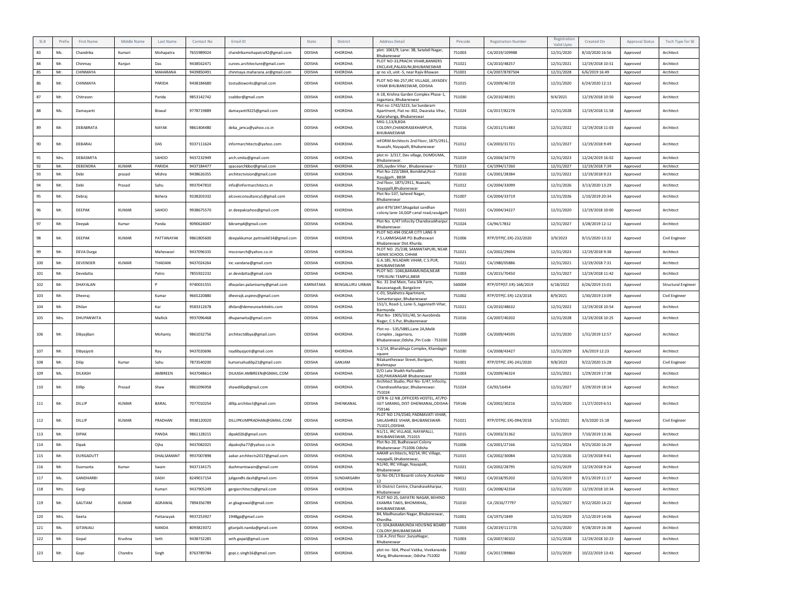| SL#         | Prefix | <b>First Name</b> | Middle Name  | Last Name  | Contact No | Email ID                          | State         | <b>District</b> | <b>Address Detail</b>                                                                                 | Pincode | <b>Registration Number</b> | Registratio<br>Valid Upto | Created On       | <b>Approval Status</b> | Tech Type for SE    |
|-------------|--------|-------------------|--------------|------------|------------|-----------------------------------|---------------|-----------------|-------------------------------------------------------------------------------------------------------|---------|----------------------------|---------------------------|------------------|------------------------|---------------------|
| 83          | Ms.    | Chandrika         | Kumari       | Mohapatra  | 7655989024 | chandrikamohapatra92@gmail.com    | ODISHA        | KHORDHA         | plot: 1061/9, Lane: 3B, Satabdi Nagar,<br>Bhubaneswar                                                 | 751003  | CA/2019/109988             | 12/31/2020                | 8/10/2020 16:56  | Approved               | Architect           |
| 84          | Mr.    | Chinmay           | Ranjan       | Das        | 9438562471 | curves.architecture@gmail.com     | ODISHA        | KHORDHA         | PLOT NO-33.PRACHI VIHAR.BANKERS<br>ENCLAVE, PALASUNI, BHUBANESWAR                                     | 751021  | CA/2010/48257              | 12/31/2021                | 12/19/2018 10:51 | Approved               | Architect           |
| 85          | Mr.    | CHINMAYA          |              | MAHARANA   | 9439850491 | chinmaya.maharana.ar@gmail.com    | ODISHA        | KHORDHA         | qr no v3, unit -5, near Rajiv Bhawan                                                                  | 751001  | CA/2007/8787504            | 12/31/2028                | 6/6/2019 16:49   | Approved               | Architect           |
| 86          | Mr.    | CHINMAYA          |              | PARIDA     | 9438184680 | tostudioworks@gmail.com           | ODISHA        | <b>KHORDHA</b>  | PLOT NO-N6-257.IRC VILLAGE, JAYADEV<br>VIHAR BHURANESWAR, ODISHA                                      | 751015  | CA/2009/46720              | 12/31/2020                | 6/24/2020 12:13  | Approved               | Architect           |
| 87          | Mr.    | Chitrasen         |              | Parida     | 9853142742 | csabbsr@gmail.com                 | ODISHA        | KHORDHA         | A-18, Krishna Garden Complex Phase-1,<br>Jagamara, Bhubaneswar                                        | 751030  | CA/2010/48191              | 9/4/2021                  | 12/19/2018 10:50 | Approved               | Architect           |
| 88          | Ms.    | Damayanti         |              | Biswal     | 9778719889 | damayanti9225@gmail.com           | ODISHA        | KHORDHA         | Plot no-1742/3223, Sai Sundaram<br>Apartment, Flat no-302, Dwaraka Vihar,<br>Kalarahanga, Bhubaneswar | 751024  | CA/2017/82278              | 12/31/2028                | 12/19/2018 11:58 | Approved               | Architect           |
| 89          | Mr.    | DEBABRATA         |              | NAYAK      | 9861404480 | deba_pmca@yahoo.co.in             | <b>ODISHA</b> | <b>KHORDHA</b>  | MIG-1,13/8,BDA<br>COLONY.CHANDRASEKHARPUR.<br>BHUBANESWAR                                             | 751016  | CA/2011/51483              | 12/31/2022                | 12/19/2018 11:03 | Approved               | Architect           |
| 90          | Mr.    | DEBARA            |              | DAS        | 9337111624 | informarchitects@yahoo.com        | ODISHA        | KHORDHA         | inFORM Architects 2nd Floor, 1875/2911,<br>Nuasahi, Navapalli, Bhubaneswar                            | 751012  | CA/2003/31721              | 12/31/2027                | 12/19/2018 9:49  | Approved               | Architect           |
| 91          | Mrs.   | DEBASMITA         |              | SAHOO      | 9437232949 | arch.smita@gmail.com              | ODISHA        | KHORDHA         | plot ni- 3/317, Dev village, DUMDUMA,<br>Bhubaneswar.                                                 | 751019  | CA/2004/34770              | 12/31/2023                | 12/24/2019 16:02 | Approved               | Architect           |
| 92          | Mr.    | DEBENDRA          | <b>KUMAR</b> | PARIDA     | 9437184477 | spacearchbbsr@gmail.com           | <b>ODISHA</b> | KHORDHA         | 205, Jaydev Vihar, Bhubaneswar-<br>Plot No-223/1864, Bomikhal, Post-                                  | 751013  | CA/1994/17260              | 12/31/2027                | 12/19/2018 7:39  | Approved               | Architect           |
| 93          | Mr.    | Debi              | prasad       | Mishra     | 9438626355 | architectvision@gmail.com         | <b>ODISHA</b> | KHORDHA         | Rasulgarh, BBSR                                                                                       | 751010  | CA/2001/28384              | 12/31/2022                | 12/19/2018 9:23  | Approved               | Architect           |
| 94          | Mr.    | Debi              | Prasad       | Sahu       | 9937047810 | info@informarchitects.in          | ODISHA        | <b>KHORDHA</b>  | 2nd floor, 1875/2911, Nuasahi,<br>Nayapalli, Bhubaneswar                                              | 751012  | CA/2004/33099              | 12/31/2026                | 3/13/2020 13:29  | Approved               | Architect           |
| 95          | Mr.    | Debraj            |              | Behera     | 9338203332 | alcoveconsultancy1@gmail.com      | ODISHA        | KHORDHA         | Plot No-537, Saheed Nagar,<br>Bhubaneswar                                                             | 751007  | CA/2004/33719              | 12/31/2026                | 1/10/2019 20:34  | Approved               | Architect           |
| 96          | Mr.    | DEEPAK            | KUMAR        | SAHOO      | 9938675570 | ar.deepaksahoo@gmail.com          | ODISHA        | <b>KHORDHA</b>  | plot-879/1847, bhagabat sandhan<br>colony.lane-14,GGP canal road,rasulgar                             | 751021  | CA/2004/34227              | 12/31/2020                | 12/19/2018 10:00 | Approved               | Architect           |
| 97          | Mr.    | Deepak            | Kumar        | Panda      | 9090624047 | bikramp4@gmail.com                | ODISHA        | <b>KHORDHA</b>  | Plot No. E/47 Infocity Chandrasekharpur<br>Bhubaneswar.                                               | 751024  | CA/94/17832                | 12/31/2027                | 3/28/2019 12:12  | Approved               | Architect           |
| 98          | Mr.    | DEEPAK            | <b>KUMAR</b> | PATTANAYAK | 9861805600 | deepakkumar.pattnaik014@gmail.com | ODISHA        | <b>KHORDHA</b>  | PLOT NO.494 OSCAR CITY LANE-9<br>P.S.LAXMISAGAR PO.Budheswari<br>Bhubaneswar Dist.Khurda.             | 751006  | RTP/DTP(C.ER)-232/2020     | 3/9/2023                  | 9/15/2020 13:32  | Approved               | Civil Engineer      |
| 99          | Mr.    | <b>DEVA Durea</b> |              | Maheswari  | 9437096335 | msconarch@yahoo.co.in             | ODISHA        | <b>KHORDHA</b>  | PLOT NO. 25/238, SAMANTAPURI, NEAR<br>SAINIK SCHOOL CHHAK                                             | 751021  | CA/2002/29694              | 12/31/2023                | 12/19/2018 9:38  | Approved               | Architect           |
| 100         | Mr.    | DEVENDER          | KUMAR        | THADANI    | 9437024264 | inc.vandana@gmail.com             | ODISHA        | KHORDHA         | G.A.185, NILADARI VIHAR, C.S.PUR,<br>BHUBANESWAR                                                      | 751021  | CA/1980/05886              | 12/31/2021                | 12/19/2018 7:31  | Approved               | Architect           |
| 101         | Mr.    | Devidatta         |              | Patro      | 7855922232 | ar.devidatta@gmail.com            | ODISHA        | KHORDHA         | PLOT NO.-1046, BARAMUNDA, NEAR<br>TIPEISUNI TEMPLE.BBSR                                               | 751003  | CA/2015/70450              | 12/31/2027                | 12/19/2018 11:42 | Approved               | Architect           |
| 102         | Mr.    | DHAYALAN          |              |            | 9740031555 | dhayalan.palanisamy@gmail.com     | KARNATAKA     | BENGALURU URBAN | No. 31 2nd Main, Tata Silk Farm,<br>Basavanagudi, Bangalore                                           | 560004  | RTP/DTP(ST.ER)-168/2019    | 6/18/2022                 | 6/26/2019 15:01  | Approved               | Structural Engineer |
| 103         | Mr.    | Dheerai           |              | Kumar      | 9665220880 | dheerajk.aspires@gmail.com        | <b>ODISHA</b> | <b>KHORDHA</b>  | C-01, Sitakhetra Apartment<br>Samantarapur, Bhubaneswar                                               | 751002  | RTP/DTP(C.ER)-123/2018     | 8/9/2021                  | 1/30/2019 13:09  | Approved               | Civil Engineer      |
| 104         | Mr.    | Dhilan            |              | Kar        | 9583312678 | dhilan@demeurearkitekts.com       | ODISHA        | KHORDHA         | 151/1, Road-1, Lane-5, Jagannath Vihar,<br>Barmunda                                                   | 751021  | CA/2010/48632              | 12/31/2022                | 12/19/2018 10:54 | Approved               | Architect           |
| 105         | Mrs.   | DHUPANWITA        |              | Mallick    | 9937096468 | dhupanwita@gmail.com              | ODISHA        | KHORDHA         | Plot No- 1905/331/40, Sri Aurobinda<br>Nagar, C.S.Pur, Bhubaneswar                                    | 751016  | CA/2007/40202              | 12/31/2028                | 12/19/2018 10:25 | Approved               | Architect           |
| 106         | Mr.    | Dibyajiban        |              | Mohanty    | 9861032756 | architectdibya@gmail.com          | <b>ODISHA</b> | <b>KHORDHA</b>  | Plot no - 535/5885, Lane 2A, Malik<br>Complex, Jagamara,<br>Bhubaneswar, Odisha, Pin Code - 751030    | 751009  | CA/2009/44595              | 12/31/2020                | 1/31/2019 12:57  | Approved               | Architect           |
| 107         | Mr.    | Dibyajyoti        |              | Ray        | 9437020696 | raydibyajyoti@gmail.com           | ODISHA        | <b>KHORDHA</b>  | S-2/14, Bharabhuja Complex, Khandagiri<br>square                                                      | 751030  | CA/2008/43427              | 12/31/2029                | 3/6/2019 12:23   | Approved               | Architect           |
| 108         | Mr.    | Dilip             | Kumar        | Sahu       | 7873540200 | kumarsahudilip21@gmail.com        | <b>ODISHA</b> | GANJAM          | Nilakantheswar Street, Borigam,<br>Brahmapur                                                          | 761001  | RTP/DTP(C.ER)-241/2020     | 9/8/2023                  | 9/22/2020 15:28  | Approved               | Civil Engineer      |
| 109         | Ms.    | <b>DILKASH</b>    |              | AMRRFFN    | 9437048614 | DILKASH.AMBREEN@GMAIL.COM         | ODISHA        | KHORDHA         | D/O Late Shaikh Hafizuddin<br>620, PAIKANAGAR Bhubaneswar                                             | 751003  | CA/2009/46324              | 12/31/2021                | 1/29/2019 17:38  | Approved               | Architect           |
| 110         | Mr.    | Dillip            | Prasad       | Shaw       | 9861096958 | shawdillip@gmail.com              | ODISHA        | <b>KHORDHA</b>  | Architect Studio, Plot No- E/47, Infocity,<br>Chandrasekharpur, Bhubaneswar.<br>751024                | 751024  | CA/93/16454                | 12/31/2027                | 3/29/2019 18:14  | Approved               | Architect           |
| ${\bf 111}$ | Mr.    | DILLIP            | <b>KUMAR</b> | BARAL      | 7077010254 | dillip.architect@gmail.com        | <b>ODISHA</b> | DHENKANAL       | QTR N-12 NB , OFFICERS HOSTEL, AT/PO<br>IGIT SARANG, DIST-DHENKANAL, ODISHA-<br>759146                | 759146  | CA/2002/30216              | 12/31/2020                | 11/27/2019 6:51  | Approved               | Architect           |
| 112         | Mr.    | DILLIP            | KUMAR        | PRADHAN    | 9938120020 | DILLIPKUMPRADHAN@GMAIL.COM        | ODISHA        | <b>KHORDHA</b>  | PLOT NO 174/2540. PADMAVATI VIHAR.<br>SAILASHREE VIHAR, BHUBANESWAR-<br>751021, ODISHA                | 751021  | RTP/DTP(C.ER)-094/2018     | 5/15/2021                 | 8/3/2020 15:18   | Approved               | Civil Engineer      |
| 113         | Mr.    | <b>DIPAK</b>      |              | PANDA      | 9861128215 | dipak026@gmail.com                | ODISHA        | KHORDHA         | N1/11, IRC VILLAGE, NAYAPALLI,<br>BHUBANESWAR, 751015                                                 | 751015  | CA/2003/31362              | 12/31/2019                | 7/10/2019 13:36  | Approved               | Architect           |
| 114         | Mr.    | Dipak             |              | Ojha       | 9437082025 | dipakojha77@yahoo.co.in           | ODISHA        | KHORDHA         | Plot No-20, Budheswari Colony<br>Bhubaneswar-751006 Odisha                                            | 751006  | CA/2001/27166              | 12/31/2024                | 9/25/2020 16:29  | Approved               | Architect           |
| 115         | Mr.    | DURGADUTT         |              | DHALSAMANT | 9937007898 | aakar.architects2017@gmail.com    | ODISHA        | KHORDHA         | AAKAR architects, N2/14, IRC Village,<br>navapalli, bhubaneswar                                       | 751015  | CA/2002/30084              | 12/31/2026                | 12/19/2018 9:41  | Approved               | Architect           |
| 116         | Mr.    | Dusmanta          | Kumar        | Swain      | 9437134175 | dushmantswain@gmail.com           | ODISHA        | <b>KHORDHA</b>  | N1/40, IRC Village, Nayapalli,<br>Bhubaneswar                                                         | 751021  | CA/2002/28795              | 12/31/2029                | 12/19/2018 9:24  | Approved               | Architect           |
| 117         | Ms.    | <b>GANDHARRI</b>  |              | DASH       | 8249017154 | juligandhi.dash@gmail.com         | ODISHA        | SUNDARGARH      | Qr.No-DE/13 Basanti colony , Rourkela-                                                                | 769012  | CA/2018/95202              | 12/31/2019                | 8/21/2019 11:17  | Approved               | Architect           |
| 118         | Mrs.   | Gargi             |              | Kumari     | 9437905249 | gargiarchitects@gmail.com         | ODISHA        | KHORDHA         | 65-District Centre, Chandrasekharpur,                                                                 | 751021  | CA/2008/42334              | 12/31/2020                | 12/19/2018 10:34 | Approved               | Architect           |
| 119         | Mr.    | GAUTAM            | <b>KUMAR</b> | AGRAWAL    | 7894356789 | ar.gkagrawal@gmail.com            | ODISHA        | KHORDHA         | Bhubaneswar<br>PLOT NO 25, GAYATRI NAGAR, BEHIND<br>EKAMRA TAKIS, BHOMIKHAL,                          | 751010  | CA/2016/77797              | 12/31/2027                | 9/22/2020 14:22  | Approved               | Architect           |
| 120         | Mrs.   | Geeta             |              | Pattanayak | 9937253927 | 1948gp@gmail.com                  | ODISHA        | KHORDHA         | BHUBANESWAR.<br>84, Madhusudan Nagar, Bhubaneswar,                                                    | 751001  | CA/1975/1849               | 12/31/2029                | 2/12/2019 14:06  | Approved               | Architect           |
| 121         | Ms.    | GITANJALI         |              | NANDA      | 8093823072 | gitanjalii.nanda@gmail.com        | ODISHA        | KHORDHA         | Khordha<br>CE-104.BARAMUNDA HOUSING BOARD                                                             | 751003  | CA/2019/111735             | 12/31/2020                | 9/28/2019 16:38  | Approved               | Architect           |
| 122         | Mr.    | Gopal             | Krushna      | Seth       | 9438732285 | seth.gopal@gmail.com              | ODISHA        | KHORDHA         | COLONY, BHUBAN ESWAR<br>116 A , First floor , Surya Nagar                                             | 751003  | CA/2007/40102              | 12/31/2028                | 12/19/2018 10:23 | Approved               | Architect           |
|             |        |                   |              |            |            |                                   |               |                 | Bhubaneswar<br>plot no-564, Phool Vatika, Vivekananda                                                 |         |                            |                           |                  |                        |                     |
| 123         | Mr.    | Gopi              | Chandra      | Singh      | 8763789784 | gopi.c.singh16@gmail.com          | ODISHA        | KHORDHA         | Marg, Bhubaneswar, Odisha-751002                                                                      | 751002  | CA/2017/89860              | 12/31/2029                | 10/22/2019 13:43 | Approved               | Architect           |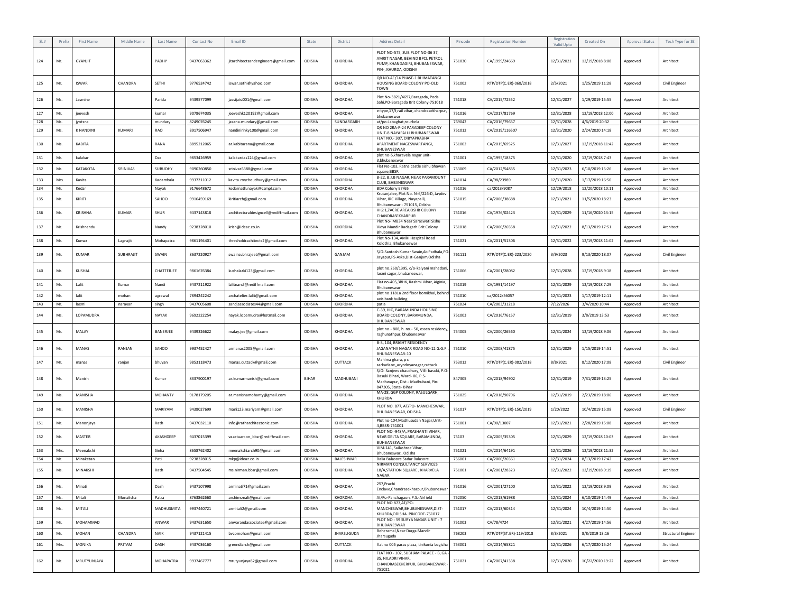|     | Prefix | <b>First Name</b> | Middle Name   | Last Name      | Contact No | Email ID                               | State         | District          | <b>Address Detail</b>                                                                                                                   | Pincode | <b>Registration Number</b> | Registration<br>Valid Upto | Created On       | <b>Approval Status</b> | Tech Type for SE           |
|-----|--------|-------------------|---------------|----------------|------------|----------------------------------------|---------------|-------------------|-----------------------------------------------------------------------------------------------------------------------------------------|---------|----------------------------|----------------------------|------------------|------------------------|----------------------------|
| 124 | Mr.    | GYANJIT           |               | PADHY          | 9437063362 | jitarchitectsandengineers@gmail.com    | ODISHA        | KHORDHA           | PLOT NO-575, SUB PLOT NO-36 37,<br>AMRIT NAGAR, BEHIND BPCL PETROL<br>PUMP, KHANDAGIRI, BHUBANESWAR,<br>PIN-, KHURDA, ODISHA            | 751030  | CA/1999/24669              | 12/31/2021                 | 12/19/2018 8:08  | Approved               | Architect                  |
| 125 | Mr     | <b>ISWAR</b>      | CHANDRA       | SETHI          | 9776524742 | iswar.sethi@yahoo.com                  | ODISHA        | <b>KHORDHA</b>    | QR NO-AE/14 PHASE-1 BHIMATANGI<br>HOUSING BOARD COLONY PO-OLD<br><b>TOWN</b>                                                            | 751002  | RTP/DTP(C.ER)-068/2018     | 2/5/2021                   | 1/25/2019 11:28  | Approved               | Civil Engineer             |
| 126 | Ms.    | Jasmine           |               | Parida         | 9439577099 | jassijaisi001@gmail.com                | ODISHA        | <b>KHORDHA</b>    | Plot No-3821/4697, Baragada, Poda<br>Sahi, PO-Baragada Brit Colony-751018                                                               | 751018  | CA/2015/72552              | 12/31/2027                 | 1/29/2019 15:55  | Approved               | Architect                  |
| 127 | Mr.    | jeevesh           |               | kumar          | 9078674035 | jeeveshk120192@gmail.com               | ODISHA        | KHORDHA           | e-type,17/f,rail vihar, chandrasekharpur,<br>bhubaneswar                                                                                | 751016  | CA/2017/81769              | 12/31/2028                 | 12/19/2018 12:00 | Approved               | Architect                  |
| 128 | Ms.    | jyotsna           |               | mundary        | 8249076245 | jasana.mundary@gmail.com               | ODISHA        | SUNDARGARH        | at/po-Jabaghat,rourkela                                                                                                                 | 769042  | CA/2016/79637              | 12/31/2028                 | 4/6/2019 20:32   | Approved               | Architect                  |
| 129 | Ms.    | <b>K NANDINI</b>  | <b>KUMARI</b> | RAO            | 8917506947 | nandinirinky100@gmail.com              | ODISHA        | KHORDHA           | QR NO 2RA-P-24 PARADEEP COLONY<br>UNIT-8 NAYAPALLI BHUBANESWAR                                                                          | 751012  | CA/2019/116507             | 12/31/2020                 | 2/24/2020 14:18  | Approved               | Architect                  |
| 130 | Ms.    | KABITA            |               | RANA           | 8895212065 | ar.kabitarana@gmail.com                | ODISHA        | KHORDHA           | FLAT NO. - 307, DIBYAPRABHA<br>APARTMENT NAGESWARTANGI,<br>BHUBANESWAR                                                                  | 751002  | CA/2015/69525              | 12/31/2027                 | 12/19/2018 11:42 | Approved               | Architect                  |
| 131 | Mr.    | kalakar           |               | Das            | 9853426959 | kalakardas124@gmail.com                | ODISHA        | KHORDHA           | plot no-5, kharavela nagar unit-<br>3,bhubaneswar                                                                                       | 751001  | CA/1995/18375              | 12/31/2020                 | 12/19/2018 7:43  | Approved               | Architect                  |
| 132 | Mr.    | KATAKOTA          | SRINIVAS      | SUBUDHY        | 9090260850 | srinivas5388@gmail.com                 | ODISHA        | KHORDHA           | Flat No-103, Ratna castle sishu bhawan<br>square.BBSR                                                                                   | 753009  | CA/2012/54835              | 12/31/2023                 | 6/10/2019 15:26  | Approved               | Architect                  |
| 133 | Mrs.   | Kavita            |               | Kadambala      | 9937211012 | kavita.roychoudhury@gmail.com          | ODISHA        | KHORDHA           | B-22, B.J.B NAGAR, NEAR PARAMOUNT<br>CLUB, BHBANESWAR                                                                                   | 741014  | CA/98/23989                | 12/31/2020                 | 1/17/2019 16:50  | Approved               | Architect                  |
| 134 | Mr.    | Kedar             |               | Nayak          | 9176648672 | kedarnath.nayak@csmpl.com              | ODISHA        | KHORDHA           | BDA Colony E7/65                                                                                                                        | 751016  | ca/2013/9087               | 12/29/2018                 | 12/20/2018 10:11 | Approved               | Architect                  |
| 135 | Mr.    | KIRITI            |               | SAHOO          | 9916459169 | kiritiarch@gmail.com                   | ODISHA        | KHORDHA           | Krutanjalee, Plot No. N-6/226-D, Jaydev<br>Vihar, IRC Village, Nayapalli,<br>Bhubaneswar - 751015, Odisha                               | 751015  | CA/2006/38688              | 12/31/2021                 | 11/5/2020 18:23  | Approved               | Architect                  |
| 136 | Mr.    | KRISHNA           | <b>KUMAR</b>  | SHUR           | 9437143818 | architecturaldesigncell@rediffmail.com | ODISHA        | KHORDHA           | HIG:1,7ACRE AREA,OSHB COLONY<br>CHANDRASEKHARPUR                                                                                        | 751016  | CA/1976/02423              | 12/31/2029                 | 11/16/2020 13:15 | Approved               | Architect                  |
| 137 | Mr.    | Krishnendu        |               | Nandy          | 9238328010 | krish@ideaz.co.in                      | ODISHA        | KHORDHA           | Plot No- MB34 Near Saraswati Sishu<br>Vidya Mandir Badagarh Brit Colony<br>Bhubaneswar                                                  | 751018  | CA/2000/26558              | 12/31/2022                 | 8/13/2019 17:51  | Approved               | Architect                  |
| 138 | Mr.    | Kumar             | Lagnajit      | Mohapatra      | 9861194401 | thresholdrachitects2@gmail.com         | ODISHA        | KHORDHA           | Plot No-134, AMRI Hospital Road<br>Kolothia, Bhubaneswar                                                                                | 751021  | CA/2011/51306              | 12/31/2022                 | 12/19/2018 11:02 | Approved               | Architect                  |
| 139 | Mr     | <b>KUMAR</b>      | SUBHRAJIT     | SWAIN          | 8637220927 | swainsubhrajeet@gmail.com              | ODISHA        | GANJAM            | S/O-Santosh Kumar Swain, At-Padhala, PO<br>Jayapur, PS-Aska, Dist-Ganjam, Odisha                                                        | 761111  | RTP/DTP(C.ER)-223/2020     | 3/9/2023                   | 9/13/2020 18:07  | Approved               | Civil Engineer             |
| 140 | Mr     | KUSHAL            |               | CHATTERJEE     | 9861676384 | kushalarki123@gmail.com                | ODISHA        | <b>KHORDHA</b>    | plot no.260/1395, c/o-kalyani mahadani<br>laxmi sagar, bhubaneswar,                                                                     | 751006  | CA/2001/28082              | 12/31/2028                 | 12/19/2018 9:18  | Approved               | Architect                  |
| 141 | Mr.    | Lalit             | Kumar         | Nandi          | 9437211922 | lalitnandi@rediffmail.com              | ODISHA        | KHORDHA           | Flat no-405,3BHK, Rashmi Vihar, Aiginia,<br>Bhubaneswar                                                                                 | 751019  | CA/1991/14197              | 12/31/2029                 | 12/19/2018 7:29  | Approved               | Architect                  |
| 142 | Mr.    | lalit             | mohan         | agrawal        | 7894242242 | archatelier.lalit@gmail.com            | ODISHA        | KHORDHA           | plot no 1181a 2nd floor bomikhal, behind<br>axis bank building                                                                          | 751010  | ca/2012/56057              | 12/31/2023                 | 1/17/2019 12:11  | Approved               | Architect                  |
| 143 | Mr.    | laxmi             | narayan       | singh          | 9437005608 | sandjassociates44@gmail.com            | ODISHA        | KHORDHA           | patia                                                                                                                                   | 751024  | CA/2003/31218              | 7/12/2026                  | 3/4/2020 10:44   | Approved               | Architect                  |
| 144 | Ms.    | LOPAMUDRA         |               | NAYAK          | 9692222254 | nayak.lopamudra@hotmail.com            | ODISHA        | <b>KHORDHA</b>    | C-39, HIG, BARAMUNDA HOUSING<br>BOARD COLONY, BARAMUNDA,<br>BHUBANESWAR                                                                 | 751003  | CA/2016/76157              | 12/31/2019                 | 3/8/2019 13:53   | Approved               | Architect                  |
| 145 | Mr     | MALAY             |               | BANERJEE       | 9439326622 | malay.jee@gmail.com                    | ODISHA        | KHORDHA           | plot no.- 808, h. no.- 50, essen residency,<br>raghunathpur, bhubaneswar                                                                | 754005  | CA/2000/26560              | 12/31/2024                 | 12/19/2018 9:06  | Approved               | Architect                  |
| 146 | Mr.    | MANAS             | RANJAN        | SAHOO          | 9937452427 | armanas2005@gmail.com                  | ODISHA        | KHORDHA           | B-3, 104, BRIGHT RESIDENCY<br>JAGANATHA NAGAR ROAD NO-12 G.G.P.<br>BHUBANESWAR-10                                                       | 751010  | CA/2008/41875              | 12/31/2029                 | 1/15/2019 14:51  | Approved               | Architect                  |
| 147 | Mr.    | manas             | ranjan        | bhuyan         | 9853118473 | manas.cuttack@gmail.com                | ODISHA        | CUTTACK           | Mahima ghara, p c<br>sarkarlane, aryndoyanagar, cuttack                                                                                 | 753012  | RTP/DTP(C.ER)-082/2018     | 8/8/2021                   | 8/12/2020 17:08  | Approved               | Civil Engineer             |
| 148 | Mr.    | Manish            |               | Kumar          | 8337900197 | ar.kumarmanish@gmail.com               | BIHAR         | MADHUBANI         | S/O- Sanjeev chaudhary, Vill- basuki, P.O-<br>Basuki Bihari, Ward- 06, P.S-<br>Madhwapur, Dist.- Madhubani, Pin-<br>847305, State-Bihar | 847305  | CA/2018/94902              | 12/31/2019                 | 7/31/2019 13:25  | Approved               | Architect                  |
| 149 | Ms.    | MANISHA           |               | <b>MOHANTY</b> | 9178179205 | ar.manishamohanty@gmail.com            | ODISHA        | KHORDHA           | MA-28, GGP COLONY, RASULGARH,<br>KHURDA                                                                                                 | 751025  | CA/2018/90796              | 12/31/2019                 | 2/23/2019 18:06  | Approved               | Architect                  |
| 150 | Ms.    | MANISHA           |               | MARIYAM        | 9438027699 | mani123.mariyam@gmail.com              | ODISHA        | KHORDHA           | PLOT NO. 877, AT/PO- MANCHESWAR,<br>BHUBANESWAR, ODISHA                                                                                 | 751017  | RTP/DTP(C.ER)-150/2019     | 1/20/2022                  | 10/4/2019 15:08  | Approved               | Civil Engineer             |
| 151 | Mr.    | Manonjaya         |               | Rath           | 9437032110 | info@ratharchitectonic.com             | ODISHA        | KHORDHA           | Plot no-104, Madhusudan Nagar, Unit-<br>4,BBSR-751001                                                                                   | 751001  | CA/90/13007                | 12/31/2021                 | 2/28/2019 15:08  | Approved               | Architect                  |
| 152 | Mr.    | MASTER            |               | AKASHDEEP      | 9437015399 | vaastuarcon_bbsr@rediffmail.com        | ODISHA        | KHORDHA           | PLOT NO -948/A, PRASHANTI VIHAR,<br>NEAR DELTA SQUARE, BARAMUNDA,<br>BUHBANESWAR                                                        | 75103   | CA/2005/35305              | 12/31/2029                 | 12/19/2018 10:03 | Approved               | Architect                  |
| 153 | Mrs.   | Meenakshi         |               | Sinha          | 8658762402 | meenakshiarch90@gmail.com              | ODISHA        | KHORDHA           | VIM-141, Sailashree Vihar,<br>Bhubaneswar,, Odisha                                                                                      | 751021  | CA/2014/64191              | 12/31/2026                 | 12/19/2018 11:32 | Approved               | Architect                  |
| 154 | Mr.    | Minaketan         |               | Pati           | 9238328015 | mkp@ideaz.co.in                        | ODISHA        | BALESHWAR         | Balia Balasore Sadar Balasore                                                                                                           | 756001  | CA/2000/26561              | 12/31/2024                 | 8/13/2019 17:42  | Approved               | Architect                  |
| 155 | Ms.    | MINAKSHI          |               | Rath           | 9437504545 | ms.nirman.bbsr@gmail.com               | ODISHA        | <b>KHORDHA</b>    | NIRMAN CONSULTANCY SERVICES<br>18/A, STATION SQUARE, KHARVELA<br><b>NAGAR</b>                                                           | 751001  | CA/2001/28323              | 12/31/2022                 | 12/19/2018 9:19  | Approved               | Architect                  |
| 156 | Ms.    | Minati            |               | Dasn           | 9437107998 | arminati/1@gmail.com                   | <b>UDISHA</b> | <b>KHURDHA</b>    | 257, Prachi<br>Enclave, Chandrasekharpur, Bhubaneswar                                                                                   | 751016  | CA/2001/27100              | 12/31/2022                 | 12/19/2018 9:09  | Approved               | Architect                  |
| 157 | Ms.    | Mitali            | Monalisha     | Patra          | 8763862660 | archimonali@gmail.com                  | ODISHA        | KHORDHA           | At/Po-Panchagaon, P.S.-Airfield                                                                                                         | 752050  | CA/2013/61988              | 12/31/2024                 | 6/10/2019 14:49  | Approved               | Architect                  |
| 158 | Ms.    | MITALI            |               | MADHUSMITA     | 9937440721 | armitali2@gmail.com                    | ODISHA        | KHORDHA           | PLOT NO.877,AT/PO-<br>MANCHESWAR, BHUBANESWAR, DIST-<br>KHURDA, ODISHA. PINCODE-751017                                                  | 751017  | CA/2013/60314              | 12/31/2024                 | 10/4/2019 14:50  | Approved               | Architect                  |
| 159 | Mr.    | MOHAMMAD          |               | ANWAR          | 9437631650 | anwarandassociates@gmail.com           | ODISHA        | KHORDHA           | PLOT NO - 59 SURYA NAGAR UNIT - 7<br>BHUBANESWAR                                                                                        | 751003  | CA/78/4724                 | 12/31/2021                 | 4/27/2019 14:56  | Approved               | Architect                  |
| 160 | Mr.    | MOHAN             | CHANDRA       | NAIK           | 9437121415 | bvcomohan@gmail.com                    | ODISHA        | <b>JHARSUGUDA</b> | Beheramal, Near Durga Mandir<br>Jharsuguda                                                                                              | 768203  | RTP/DTP(ST.ER)-119/2018    | 8/3/2021                   | 8/8/2019 13:16   | Approved               | <b>Structural Engineer</b> |
| 161 | Mrs.   | MONIKA            | PRITAM        | DASH           | 9437036160 | greendiarch@gmail.com                  | ODISHA        | CUTTACK           | flat no 005 paras plaza, tinikonia bagicha                                                                                              | 753001  | CA/2014/65821              | 12/31/2026                 | 6/17/2020 15:24  | Approved               | Architect                  |
| 162 | Mr.    | MRUTYUNJAYA       |               | MOHAPATRA      | 9937467777 | mrutyunjaya82@gmail.com                | ODISHA        | KHORDHA           | FLAT NO - 102, SUBHAM PALACE - B, GA<br>35, NILADRI VIHAR,<br>CHANDRASEKHERPUR, BHUBANESWAR<br>751021                                   | 751021  | CA/2007/41338              | 12/31/2020                 | 10/22/2020 19:22 | Approved               | Architect                  |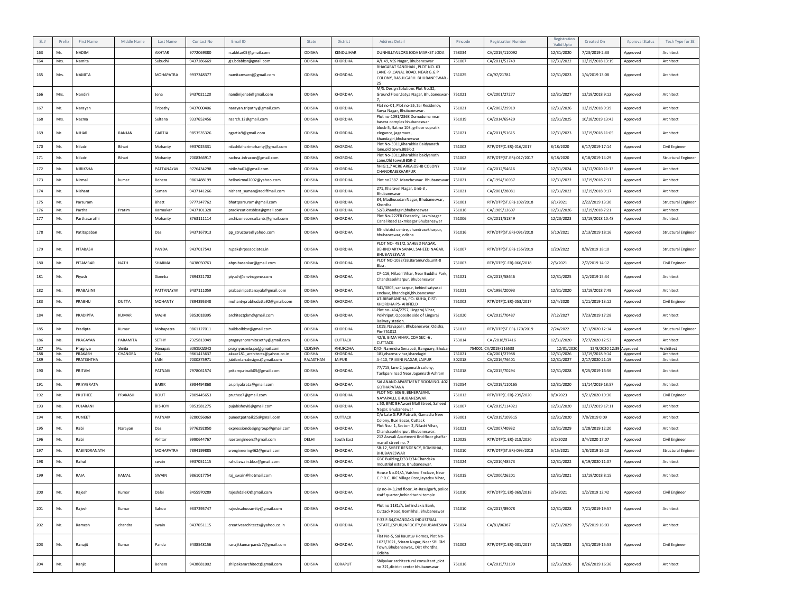| SLH        | Prefi:     | <b>First Name</b>     | Middle Name  | Last Name   | Contact No               | Email ID                                                        | State               | District          | <b>Address Detail</b>                                                                                                          | Pincode          | <b>Registration Number</b>     | Registration<br>Valid Upto | Created On                         | <b>Approval Status</b> | Tech Type for SE           |
|------------|------------|-----------------------|--------------|-------------|--------------------------|-----------------------------------------------------------------|---------------------|-------------------|--------------------------------------------------------------------------------------------------------------------------------|------------------|--------------------------------|----------------------------|------------------------------------|------------------------|----------------------------|
| 163        | Mr.        | <b>NADIM</b>          |              | AKHTAR      | 9772069380               | n.akhtar05@gmail.com                                            | ODISHA              | KENDUJHAR         | DUNHILLTAILORS JODA MARKET JODA                                                                                                | 758034           | CA/2019/110092                 | 12/31/2020                 | 7/23/2019 2:33                     | Approved               | Architect                  |
| 164        | Mrs.       | Namita                |              | Subudhi     | 9437286669               | gis.bdabbsr@gmail.com                                           | ODISHA              | KHORDHA           | A/L 49, VSS Nagar, Bhubaneswar<br>BHAGABAT SANDHAN . PLOT NO. 63                                                               | 751007           | CA/2011/51749                  | 12/31/2022                 | 12/19/2018 13:19                   | Approved               | Architect                  |
| 165        | Mrs.       | <b>NAMITA</b>         |              | MOHAPATRA   | 9937348377               | namitamsaroj@gmail.com                                          | ODISHA              | KHORDHA           | LANE -9 , CANAL ROAD. NEAR G.G.P<br>COLONY, RASULGARH. BHUBANESWAR.<br>25                                                      | 751025           | CA/97/21781                    | 12/31/2023                 | 1/4/2019 13:08                     | Approved               | Architect                  |
| 166        | Mrs.       | Nandini               |              | Jena        | 9437021120               | nandinijena6@gmail.com                                          | ODISHA              | KHORDHA           | M/S. Design Solutions Plot No.32,<br>Ground Floor, Satya Nagar, Bhubaneswar-                                                   | 751021           | CA/2001/27277                  | 12/31/2027                 | 12/19/2018 9:12                    | Approved               | Architect                  |
| 167        | Mr.        | Narayan               |              | Tripathy    | 9437000406               | narayan.tripathy@gmail.com                                      | ODISHA              | KHORDHA           | Flat no-01, Plot no-55, Sai Residency,<br>Surya Nagar, Bhubaneswar.                                                            | 751021           | CA/2002/29919                  | 12/31/2026                 | 12/19/2018 9:39                    | Approved               | Architect                  |
| 168        | Mrs.       | Nazma                 |              | Sultana     | 9337652456               | nsarch.12@gmail.com                                             | ODISHA              | KHORDHA           | Plot no-1091/2368 Dumuduma near<br>basera complex bhubaneswar                                                                  | 751019           | CA/2014/65429                  | 12/31/2025                 | 10/18/2019 13:43                   | Approved               | Architect                  |
| 169        | Mr.        | NIHAR                 | RANJAN       | GARTIA      | 9853535326               | ngartia9@gmail.com                                              | ODISHA              | KHORDHA           | block-5, flat no 103, grfloor supratik<br>elegance, jagamara,<br>khandagiri, bhubaneswar                                       | 751021           | CA/2011/51615                  | 12/31/2023                 | 12/19/2018 11:05                   | Approved               | Architect                  |
| 170        | Mr.        | Niladri               | Bihari       | Mohanty     | 9937025331               | niladribiharimohanty@gmail.com                                  | ODISHA              | KHORDHA           | Plot No-3311, Kharakhia Baidyanath<br>lane,old town,BBSR-2                                                                     | 751002           | RTP/DTP(C.ER)-016/2017         | 8/18/2020                  | 6/17/2019 17:14                    | Approved               | Civil Engineer             |
| 171        | Mr.        | Niladri               | Bihari       | Mohanty     | 7008366917               | rachna.infracon@gmail.com                                       | ODISHA              | KHORDHA           | Plot No-3311.Kharakhia baidvanath<br>Lane, Old town, BBSR-2                                                                    | 751002           | RTP/DTP(ST.ER)-017/2017        | 8/18/2020                  | 6/18/2019 14:29                    | Approved               | <b>Structural Engineer</b> |
| 172        | Ms.        | NIRIKSHA              |              | PATTANAYAK  | 9776434298               | niriksha01@gmail.com                                            | ODISHA              | <b>KHORDHA</b>    | hHIG:1,7 ACRE AREA, OSHB COLONY<br>CHANDRASEKHARPUR                                                                            | 751016           | CA/2012/54616                  | 12/31/2024                 | 11/17/2020 11:13                   | Approved               | Architect                  |
| 173        | Mr.        | Nirmal                | kumar        | Behera      | 9861488199               | hellonirmal2002@yahoo.com                                       | ODISHA              | KHORDHA           | Plot no2387. Mancheswar. Bhubaneswar                                                                                           | 751021           | CA/1994/16937                  | 12/31/2022                 | 12/19/2018 7:37                    | Approved               | Architect                  |
| 174        | Mr.        | Nishant               |              | Suman       | 9437141266               | nishant_suman@rediffmail.com                                    | ODISHA              | KHORDHA           | 271, Kharavel Nagar, Unit-3,<br>Bhubaneswar                                                                                    | 751021           | CA/2001/28081                  | 12/31/2022                 | 12/19/2018 9:17                    | Approved               | Architect                  |
| 175        | Mr.        | Parsuram              |              | Bhatt       | 9777247762               | bhattparsuram@gmail.com                                         | <b>ODISHA</b>       | <b>KHORDHA</b>    | 84, Madhusudan Nagar, Bhubaneswar,<br>Khordha                                                                                  | 751001           | RTP/DTP(ST.ER)-102/2018        | 6/1/2021                   | 2/22/2019 13:30                    | Approved               | Structural Engineer        |
| 176        | Mr.        | Partha                | Pratim       | Karmakar    | 9437101328               | pradkreationsbbsr@gmail.com                                     | ODISHA              | KHORDHA           | S2/8,khandagiri,bhubaneswar<br>Plot No-222FR Oscarcity, Laxmisaga                                                              | 751016           | CA/1989/12607                  | 12/31/2026                 | 12/19/2018 7:21                    | Approved               | Architect                  |
| 177        | Mr.        | Parthasarathi         |              | Mohanty     | 8763111114               | archizoneconsultants@gmail.com                                  | ODISHA              | KHORDHA           | Canal Road Laxmisagar Bhubaneswar                                                                                              | 751006           | CA/2011/51849                  | 12/23/2023                 | 12/19/2018 10:48                   | Approved               | Architect                  |
| 178        | Mr.        | Patitapaban           |              | Das         | 9437167913               | pp_structure@yahoo.com                                          | ODISHA              | KHORDHA           | 65- district centre, chandrasekharpur,<br>bhubaneswar, odisha<br>PLOT NO-491/2, SAHEED NAGAR,                                  | 751016           | RTP/DTP(ST.ER)-091/2018        | 5/10/2021                  | 2/13/2019 18:16                    | Approved               | Structural Engineer        |
| 179        | Mr.        | PITABASH              |              | PANDA       | 9437017543               | rupak@rpassociates.in                                           | ODISHA              | KHORDHA           | BEHIND ARYA SAMAJ, SAHEED NAGAR,<br><b>BHUBANESWAR</b><br>PLOT NO-1032/33,Baramunda,unit-8                                     | 751007           | RTP/DTP(ST.ER)-155/2019        | 1/20/2022                  | 8/8/2019 18:10                     | Approved               | Structural Engineer        |
| 180        | Mr.        | PITAMBAR              | <b>NATH</b>  | SHARMA      | 9438050763               | abpsibasankar@gmail.com                                         | ODISHA              | KHORDHA           | Bbsr.                                                                                                                          | 751003           | RTP/DTP(C.ER)-066/2018         | 2/5/2021                   | 2/7/2019 14:12                     | Approved               | Civil Engineer             |
| 181        | Mr.        | Piyush                |              | Goenka      | 7894321702               | piyush@envirogene.com                                           | ODISHA              | KHORDHA           | CP-116, Niladri Vihar, Near Buddha Park,<br>Chandrasekharpur, Bhubaneswar                                                      | 751021           | CA/2013/58646                  | 12/31/2025                 | 1/2/2019 15:34                     | Approved               | Architect                  |
| 182        | Ms.        | PRABASINI             |              | PATTANAYAK  | 9437111059               | prabasinipattanayak@gmail.com                                   | ODISHA              | KHORDHA           | 541/3805, sankarpur, behind satyasai<br>enclave, khandagiri, bhubaneswar                                                       | 751021           | CA/1996/20093                  | 12/31/2020                 | 12/19/2018 7:49                    | Approved               | Architect                  |
| 183        | Mr.        | PRABHU                | DUTTA        | MOHANTY     | 7894395348               | mohantyprabhudatta92@gmail.com                                  | ODISHA              | KHORDHA           | AT-BIRABANDHA, PO- KUHA, DIST-<br>KHORDHA PS- AIRFIELD                                                                         | 751002           | RTP/DTP(C.ER)-053/2017         | 12/4/2020                  | 1/21/2019 13:12                    | Approved               | Civil Engineer             |
| 184        | Mr.        | PRADIPTA              | <b>KUMAR</b> | MAJHI       | 9853018395               | architectpkm@gmail.com                                          | ODISHA              | KHORDHA           | Plot no- 464/2757, Lingaraj Vihar,<br>Pokhriput, Opposite side of Lingaraj<br>Railway station                                  | 751020           | CA/2015/70487                  | 7/12/2027                  | 7/23/2019 17:28                    | Approved               | Architect                  |
| 185        | Mr.        | Pradipta              | Kumar        | Mohapatra   | 9861127011               | buildsolbbsr@gmail.com                                          | ODISHA              | KHORDHA           | 1019, Nayapalli, Bhubaneswar, Odisha,<br>Pin-751012                                                                            | 751012           | RTP/DTP(ST.ER)-170/2019        | 7/24/2022                  | 3/11/2020 12:14                    | Approved               | <b>Structural Engineer</b> |
| 186        | Ms.        | PRAGAYAN              | PARAMITA     | SETHY       | 7325813949               | pragayanpramitasethy@gmail.com                                  | ODISHA              | CUTTACK           | 42/B, BIMA VIHAR, CDA SEC -6,<br>CUTTACK                                                                                       | 753014           | CA /2018/97416                 | 12/31/2020                 | 7/27/2020 12:53                    | Approved               | Architect                  |
| 187        | Ms.        | Pragnya               | Smita        | Senapati    | 8093502643               | pragnyasmita.ps@gmail.com                                       | <b>ODISHA</b>       | KHORDHA           | 0/O-Narendra Senapati, Banguary, Bhuban                                                                                        | 754001           | CA/2019/116533                 | 12/31/2020                 | 12/8/2020 12:39                    | Approved               | Archittect                 |
| 188<br>189 | Mr.<br>Mr. | PRAKASH<br>PRATISHTHA | CHANDRA      | PAI<br>JAIN | 9861413637<br>7000875971 | akaar181 architects@yahoo.co.in<br>jubilantarcdesigns@gmail.com | ODISHA<br>RAJASTHAN | KHORDHA<br>JAIPUR | 181, dharma vihar, khandagiri<br>A-410, TRIVENI NAGAR, JAIPUR                                                                  | 751021<br>302018 | CA/2001/27988<br>CA/2016/76401 | 12/31/2026<br>12/31/2027   | 12/19/2018 9:14<br>2/17/2020 21:19 | Approved<br>Approved   | Architect<br>Architect     |
| 190        | Mr.        | PRITAM                |              | PATNAIK     | 7978061574               | pritampatnaik05@gmail.com                                       | ODISHA              | KHORDHA           | 77/715, lane 2 jagannath colony,<br>Tankpani road Near Jagannath Ashram                                                        | 751018           | CA/2015/70294                  | 12/31/2028                 | 9/25/2019 16:56                    | Approved               | Architect                  |
| 191        | Mr.        | PRIYABRATA            |              | BARIK       | 8984494868               | ar.priyabrata@gmail.com                                         | ODISHA              | KHORDHA           | SAI ANAND APARTMENT ROOM NO. 402<br><b>GOTHAPATANA</b>                                                                         | 752054           | CA/2019/110165                 | 12/31/2020                 | 11/14/2019 18:57                   | Approved               | Architect                  |
| 192        | Mr.        | PRUTHEE               | PRAKASH      | ROUT        | 7809445653               | pruthee7@gmail.com                                              | ODISHA              | KHORDHA           | PLOT NO. 606 B, BEHERASAHI<br>NAYAPALLI, BHUBANESWAR                                                                           | 751012           | RTP/DTP(C.ER)-239/2020         | 8/9/2023                   | 9/21/2020 19:30                    | Approved               | Civil Engineer             |
| 193        | Ms.        | PUJARANI              |              | BISHOYI     | 9853581275               | pujabishoyi8@gmail.com                                          | ODISHA              | KHORDHA           | c 50, BMC BHAwani Mall Street, Saheed<br>Nagar, Bhubaneswar                                                                    | 751007           | CA/2019/114921                 | 12/31/2020                 | 12/17/2019 17:11                   | Approved               | Architect                  |
| 194        | Mr.        | PUNEET                |              | PATNAIK     | 8280056069               | puneetpatnaik25@gmail.com                                       | ODISHA              | CUTTACK           | C/o Late G.P.R Patnaik, Gamadia New<br>Colony, Buxi Bazar, Cuttack                                                             | 753001           | CA/2019/109515                 | 12/31/2020                 | 7/8/2019 0:09                      | Approved               | Architect                  |
| 195        | Mr.        | Rabi                  | Narayan      | Das         | 9776292850               | expressiondesigngroup@gmail.com                                 | ODISHA              | KHORDHA           | Plot No.- 1, Sector- 2, Niladri Vihar,<br>Chandrasekherpur, Bhubaneswar.                                                       | 751021           | CA/2007/40932                  | 12/31/2029                 | 1/28/2019 12:20                    | Approved               | Architect                  |
| 196        | Mr.        | Rabi                  |              | Akhtar      | 9990644767               | rzestengineers@gmail.com                                        | DELHI               | South East        | 212 Aravali Apartment IInd floor ghaffar<br>manzil street no. 7                                                                | 110025           | RTP/DTP(C.ER)-218/2020         | 3/2/2023                   | 3/4/2020 17:07                     | Approved               | Civil Engineer             |
| 197        | Mr.        | RABINDRANATH          |              | MOHAPATRA   | 7894199885               | srengineering462@gmail.com                                      | ODISHA              | KHORDHA           | SB-12, SHREE RESIDENCY, BOMIKHAL,<br>BHUBANESWAR                                                                               | 751010           | RTP/DTP(ST.ER)-093/2018        | 5/15/2021                  | 1/8/2019 16:10                     | Approved               | <b>Structural Engineer</b> |
| 198        | Mr.        | Rahul                 |              | swain       | 9937051115               | rahul.swain.bbsr@gmail.com                                      | ODISHA              | KHORDHA           | GBC Building, F/33 F/34 Chandaka                                                                                               | 751024           | CA/2010/48573                  | 12/31/2022                 | 6/19/2020 11:07                    | Approved               | Architect                  |
| 199        | Mr.        | RAJA                  | KAMAL        | SWAIN       | 9861017754               | raj_swain@hotmail.com                                           | ODISHA              | KHORDHA           | Industrial estate, Bhubaneswar.<br>House No.01/A, Vaishno Enclave, Near<br>C.P.R.C. IRC Village Post, Jayadev Vihar,           | 751015           | CA/2000/26201                  | 12/31/2021                 | 12/19/2018 8:15                    | Approved               | Architect                  |
| 200        | Mr.        | Rajesh                | Kumar        | Dalei       | 8455970289               | rajeshdalei0@gmail.com                                          | ODISHA              | KHORDHA           | Qr no-iv-3,2nd floor, At-Rasulgarh, police<br>staff quarter, behind tarini temple                                              | 751010           | RTP/DTP(C.ER)-069/2018         | 2/5/2021                   | 1/2/2019 12:42                     | Approved               | Civil Engineer             |
| 201        | Mr.        | Rajesh                | Kumar        | Sahoo       | 9337295747               | rajeshsahooamity@gmail.com                                      | ODISHA              | KHORDHA           | Plot no 1181/A, behind axis Bank,<br>Cuttack Road, Bomikhal, Bhubaneswar                                                       | 751010           | CA/2017/89078                  | 12/31/2028                 | 7/21/2019 19:57                    | Approved               | Architect                  |
| 202        | Mr.        | Ramesh                | chandra      | swain       | 9437051115               | creativearchitects@yahoo.co.in                                  | ODISHA              | KHORDHA           | F-33 F-34, CHANDAKA INDUSTRIAL<br>ESTATE, CSPUR, INFOCITY, BHUBANESWA                                                          | 751024           | CA/81/06387                    | 12/31/2029                 | 7/5/2019 16:03                     | Approved               | Architect                  |
| 203        | Mr.        | Ranajit               | Kumar        | Panda       | 9438548156               | ranajitkumarpanda7@gmail.com                                    | ODISHA              | KHORDHA           | Flat No-5, Sai Kaustuv Homes, Plot No-<br>1022/3021, Sriram Nagar, Near SBI Old<br>Town, Bhubaneswar,, Dist Khordha,<br>Odisha | 751002           | RTP/DTP(C.ER)-031/2017         | 10/15/2023                 | 1/31/2019 15:53                    | Approved               | Civil Engineer             |
| 204        | Mr.        | Ranjit                |              | Behera      | 9438681002               | shilpakararchitect@gmail.com                                    | ODISHA              | KORAPUT           | Shilpakar architectural consultant ,plot<br>no 321, district center bhubaneswar                                                | 751016           | CA/2015/72199                  | 12/31/2026                 | 8/26/2019 16:36                    | Approved               | Architect                  |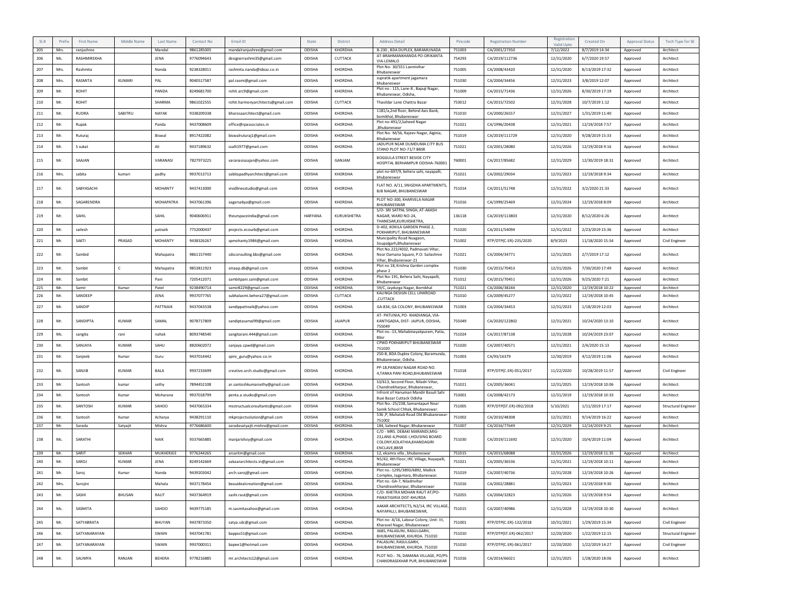| $SI.$ # | Prefix | First Name   | Middle Name   | Last Name      | Contact No. | Email ID                          | State   | <b>District</b> | Address Detail                                                                                     | Pincode | <b>Registration Number</b> | Registration<br>Valid Upto | Created On       | <b>Approval Status</b> | Tech Type for SE           |
|---------|--------|--------------|---------------|----------------|-------------|-----------------------------------|---------|-----------------|----------------------------------------------------------------------------------------------------|---------|----------------------------|----------------------------|------------------|------------------------|----------------------------|
| 205     | Mrs.   | ranjushree   |               | Mandal         | 9861285005  | mandalranjushree@gmail.com        | ODISHA  | KHORDHA         | B-230, BDA DUPLEX, BARAMUNADA                                                                      | 751003  | CA/2001/27350              | 7/12/2022                  | 8/7/2019 14:34   | Approved               | Architect                  |
| 206     | Ms.    | RASHMIREKHA  |               | <b>JENA</b>    | 9776094643  | designerrashmi35@gmail.com        | ODISHA  | CUTTACK         | AT-BRAHMANKHANDA PO-ORIKANTA<br>VIA-LEMALO                                                         | 754293  | CA/2019/112736             | 12/31/2020                 | 6/7/2020 19:57   | Approved               | Architect                  |
| 207     | Mrs.   | Rashmita     |               | Nanda          | 9238328011  | rashmita.nanda@ideaz.co.in        | ODISHA  | KHORDHA         | Plot No-30/551 Laxmivihar<br>Bhubaneswar                                                           | 751005  | CA/2008/43420              | 12/31/2020                 | 8/13/2019 17:32  | Approved               | Architect                  |
| 208     | Mrs.   | RASMITA      | KUMARI        | PAL            | 9040517587  | pal.rasmi@gmail.com               | ODISHA  | KHORDHA         | supratik apartment jagamara<br>bhubaneswar                                                         | 751030  | CA/2004/34456              | 12/31/2023                 | 3/8/2019 12:07   | Approved               | Architect                  |
| 209     | Mr.    | <b>ROHIT</b> |               | PANDA          | 8249681700  | rohit.arc9@gmail.com              | ODISHA  | KHORDHA         | Plot no: 115, Lane-8, Bapuji Nagar,<br>Bhubaneswar, Odisha                                         | 751009  | CA/2015/71436              | 12/31/2026                 | 8/30/2019 17:19  | Approved               | Architect                  |
| 210     | Mr.    | ROHIT        |               | SHARMA         | 9861022555  | rohit.harmonyarchitects@gmail.com | ODISHA  | CUTTACK         | Thasildar Lane Chattra Bazar                                                                       | 753012  | CA/2015/72502              | 12/31/2028                 | 10/7/2019 1:12   | Approved               | Architect                  |
| 211     | Mr.    | <b>RUDRA</b> | SABITRU       | NAYAK          | 9338209338  | bharosaarchitect@gmail.com        | ODISHA  | KHORDHA         | 1181/a,2nd floor, Behind Axis Bank,<br>bomikhal, Bhubaneswar                                       | 751010  | CA/2000/26557              | 12/31/2027                 | 1/31/2019 11:40  | Approved               | Architect                  |
| 212     | Mr.    | Rupak        |               | Panda          | 9437008609  | office@rpassociates.in            | ODISHA  | KHORDHA         | Plot no-491/2, Saheed Nagar<br>.Bhubaneswar                                                        | 751021  | CA/1996/20438              | 12/31/2021                 | 12/19/2018 7:57  | Approved               | Architect                  |
| 213     | Mr.    | Ruturaj      |               | Biswal         | 8917422082  | biswalruturaj1@gmail.com          | ODISHA  | KHORDHA         | Plot No- M/56, Rajeev Nagar, Aiginia,<br>Bhubaneswar                                               | 751019  | CA/2019/111729             | 12/31/2020                 | 9/28/2019 15:33  | Approved               | Architect                  |
| 214     | Mr.    | S sukat      |               | Ali            | 9437189632  | ssalli1977@gmail.com              | ODISHA  | KHORDHA         | JADUPUR NEAR DUMDUMA CITY BUS<br>STAND PLOT NO-71/7 BBSR                                           | 751021  | CA/2001/28080              | 12/31/2026                 | 12/19/2018 9:16  | Approved               | Architect                  |
| 215     | Mr.    | SAAJAN       |               | VARANASI       | 7827973225  | varanasisaajan@yahoo.com          | ODISHA  | GANJAM          | <b>BOGGULA STREET BESIDE CITY</b><br>HOSPITAL BERHAMPUR ODISHA-760001                              | 760001  | CA/2017/85682              | 12/31/2029                 | 12/30/2019 18:31 | Approved               | Architect                  |
| 216     | Mrs.   | sabita       | kumari        | padhy          | 9937013713  | sabitapadhyarchitect@gmail.com    | ODISHA  | KHORDHA         | plot no-697/9, behera sahi, nayapalli,<br>bhubaneswar                                              | 751021  | CA/2002/29034              | 12/31/2023                 | 12/19/2018 9:34  | Approved               | Architect                  |
| 217     | Mr.    | SABYASACHI   |               | <b>MOHANTY</b> | 9437413000  | vividlinesstudio@gmail.com        | ODISHA  | KHORDHA         | FLAT NO. A/11, SNIGDHA APARTMENTS,<br><b>BJB NAGAR, BHUBANESWAR</b>                                | 751014  | CA/2011/51748              | 12/31/2022                 | 3/2/2020 21:33   | Approved               | Architect                  |
| 218     | Mr.    | SAGARENDRA   |               | MOHAPATRA      | 9437061396  | sagarsabya@gmail.com              | ODISHA  | KHORDHA         | PLOT NO-300, KHARVELA NAGAR<br>BHUBANESWAR                                                         | 751016  | CA/1999/25469              | 12/31/2024                 | 12/19/2018 8:09  | Approved               | Architect                  |
| 219     | Mr.    | SAHIL        |               | SAHIL          | 9040606911  | theurspaceindia@gmail.com         | HARYANA | KURUKSHETRA     | S/O- SRI SATPAL SINGH, AT-AKASH<br>NAGAR, WARD NO-24.<br>THANESAR, KURUKSHETRA,                    | 136118  | CA/2019/113803             | 12/31/2020                 | 8/12/2020 6:26   | Approved               | Architect                  |
| 220     | Mr.    | sailesh      |               | patnaik        | 7752000437  | projects.ecourb@gmail.com         | ODISHA  | KHORDHA         | D-402, KOKILA GARDEN PHASE 2,<br>POKHARIPUT, BHUBANESWAR                                           | 751020  | CA/2011/54094              | 12/31/2022                 | 2/23/2019 15:36  | Approved               | Architect                  |
| 221     | Mr.    | <b>SAKTI</b> | PRASAD        | <b>MOHANTY</b> | 9438326267  | spmohanty1984@gmail.com           | ODISHA  | KHORDHA         | Muncipality Road Nuagaon,<br>Sisupalgarh, Bhubaneswar                                              | 751002  | RTP/DTP(C.ER)-235/2020     | 8/9/2023                   | 11/18/2020 15:54 | Approved               | Civil Engineer             |
| 222     | Mr.    | Sambid       |               | Mahapatra      | 9861157440  | sdsconsulting.bbs@gmail.com       | ODISHA  | KHORDHA         | Plot No.222/4032, Padmavati Vihar,<br>Near Damana Square, P.O: Sailashree<br>Vihar, Bhubaneswar-21 | 751021  | CA/2004/34771              | 12/31/2025                 | 2/7/2019 17:12   | Approved               | Architect                  |
| 223     | Mr.    | Sambit       | $\mathsf{C}$  | Mahapatra      | 9853811923  | smaap.db@gmail.com                | ODISHA  | KHORDHA         | Plot no 18, Krishna Garden complex<br>phase 2                                                      | 751030  | CA/2015/70453              | 12/31/2026                 | 7/30/2020 17:49  | Approved               | Architect                  |
| 224     | Mr.    | Sambit       |               | Pani           | 7205412071  | sambitpani.sam@gmail.com          | ODISHA  | KHORDHA         | Plot No-191, Behera Sahi, Nayapalli,<br>Bhubaneswar                                                | 751012  | CA/2015/70451              | 12/31/2026                 | 9/25/2020 7:21   | Approved               | Architect                  |
| 225     | Mr.    | Samir        | Kumar         | Patel          | 9238490714  | samir8229@gmail.com               | ODISHA  | KHORDHA         | 59/C, Jaydurga Nagar, Bomikhal<br>KALINGA DESIGN CELL LINKROAD                                     | 751021  | CA/2006/38244              | 12/31/2020                 | 12/19/2018 10:22 | Approved               | Architect                  |
| 226     | Mr.    | SANDEEP      |               | JENA           | 9937077765  | subhalaxmi.behera27@gmail.com     | ODISHA  | CUTTACK         | ,CUTTACK                                                                                           | 751010  | CA/2009/45277              | 12/31/2022                 | 12/19/2018 10:45 | Approved               | Architect                  |
| 227     | Mr.    | SANDIP       |               | PATTNAIK       | 9437043538  | sandippattnaik@yahoo.com          | ODISHA  | KHORDHA         | GA-834, GA COLONY, BHUBANESWAR                                                                     | 751003  | CA/2004/34453              | 12/31/2023                 | 1/18/2019 12:03  | Approved               | Architect                  |
| 228     | Mr.    | SANDIPTA     | <b>KUMAR</b>  | SAMAL          | 9078717809  | sandiptasamal99@gmail.com         | ODISHA  | <b>JAJAPUR</b>  | AT- PATUNIA, PO- KHADIANGA, VIA-<br>KANTIGADIA, DIST- JAJPUR, ODISHA,<br>755049                    | 755049  | CA/2020/122802             | 12/31/2021                 | 10/24/2020 13:10 | Approved               | Architect                  |
| 229     | Ms.    | sangita      | rani          | nahak          | 8093748540  | sangitarani.444@gmail.com         | ODISHA  | KHORDHA         | Plot no.-13, Mahabinayakpuram, Patia,<br><b>Rhsr</b>                                               | 751024  | CA/2017/87138              | 12/31/2028                 | 10/24/2019 23:07 | Approved               | Architect                  |
| 230     | Mr.    | SANJAYA      | KUMAR         | SAHU           | 8820602072  | sanjaya.cpwd@gmail.com            | ODISHA  | KHORDHA         | CPWD POKHARIPUT BHUBANESWAR<br>751020                                                              | 751020  | CA/2007/40571              | 12/31/2021                 | 2/4/2020 15:13   | Approved               | Architect                  |
| 231     | Mr.    | Sanjeeb      | Kumar         | Guru           | 9437014442  | spire_guru@yahoo.co.in            | ODISHA  | KHORDHA         | 250-B, BDA Duplex Colony, Baramunda,<br>Bhubaneswar, Odisha.                                       | 751003  | CA/93/16379                | 12/30/2019                 | 4/12/2019 11:06  | Approved               | Architect                  |
| 232     | Mr.    | SANJIB       | <b>KUMAR</b>  | <b>BALA</b>    | 9937233699  | creative.arch.studio@gmail.com    | ODISHA  | KHORDHA         | PP-18, PANDAV NAGAR ROAD NO.<br>4,TANKA PANI ROAD,BHUBANESWAR                                      | 751018  | RTP/DTP(C.ER)-051/2017     | 11/22/2020                 | 10/28/2019 11:57 | Approved               | Civil Engineer             |
| 233     | Mr.    | Santosh      | kumar         | sethy          | 7894452108  | ar.santoshkumarsethy@gmail.com    | ODISHA  | <b>KHORDHA</b>  | S3/613, Second Floor, Niladri Vihar,<br>Chandrsekharpur, Bhubaneswar,                              | 751021  | CA/2005/36041              | 12/31/2025                 | 12/19/2018 10:06 | Approved               | Architect                  |
| 234     | Mr.    | Santosh      | Kumar         | Moharana       | 9937018799  | penta.a.studio@gmail.com          | ODISHA  | KHORDHA         | Infront of Hanuman Mandir Basuli Sahi<br>Buxi Bazar Cuttack Odisha                                 | 753001  | CA/2008/42173              | 12/31/2019                 | 12/19/2018 10:33 | Approved               | Architect                  |
| 235     | Mr.    | SANTOSH      | <b>KUMAR</b>  | SAHOO          | 9437065334  | msstructualconsultants@gmail.com  | ODISHA  | KHORDHA         | Plot No.-25/238, Samantapuri Near<br>Sainik School Chhak, Bhubaneswar.                             | 751005  | RTP/DTP(ST.ER)-092/2018    | 5/10/2021                  | 1/11/2019 17:17  | Approved               | <b>Structural Engineer</b> |
| 236     | Mr.    | Santosh      | Kumar         | Acharya        | 9438291110  | mkprojectsolution@gmail.com       | ODISHA  | <b>KHORDHA</b>  | 536 ,P, Mahatab Road Old Bhubaneswar<br>751002                                                     | 751002  | CA/2010/48308              | 12/31/2021                 | 9/14/2019 16:22  | Approved               | Architect                  |
| 237     | Mr.    | Sarada       | Satyajit      | Mishra         | 9776686600  | saradasatyajit.mishra@gmail.com   | ODISHA  | KHORDHA         | 184, Saheed Nagar, Bhubaneswar<br>C/O - MRS. DEBAKI MARANDI, MIG                                   | 751007  | CA/2016/77649              | 12/31/2029                 | 12/14/2019 9:25  | Approved               | Architect                  |
| 238     | Ms.    | SARATHI      |               | <b>NAIK</b>    | 9337665885  | manjarishoy@gmail.com             | ODISHA  | KHORDHA         | 23, LANE-6, PHASE-I, HOUSING BOARD<br>COLONY, KOLATHIA, KHANDAGIRI<br>ENCLAVE, BBSR                | 751030  | CA/2019/111692             | 12/31/2020                 | 10/4/2019 11:04  | Approved               | Architect                  |
| 239     | Mr.    | SARIT        | <b>SEKHAR</b> | MUKHERJEE      | 9776244265  | arsaritm@gmail.com                | ODISHA  | KHORDHA         | 12, ekamra villa, bhubaneswar                                                                      | 751015  | CA/2015/68088              | 12/31/2026                 | 12/19/2018 11:35 | Approved               | Architect                  |
| 240     | Mr.    | SAROJ        | KUMAR         | <b>JENA</b>    | 8249142669  | sakaararchitects.in@gmail.com     | ODISHA  | KHORDHA         | N5/42, 4th Floor, IRC Village, Nayapalli,<br>Bhubaneswar                                           | 751021  | CA/2005/36536              | 12/31/2021                 | 12/19/2018 10:11 | Approved               | Architect                  |
| 241     | Mr.    | Saroj        | Kumar         | Nanda          | 9439203042  | arch.saroj@gmail.com              | ODISHA  | KHORDHA         | Plot no.-1295/3893/6892, Mallick<br>Complex, Jagamara, Bhubaneswar.                                | 751019  | CA/2007/40736              | 12/31/2028                 | 12/19/2018 10:26 | Approved               | Architect                  |
| 242     | Mrs.   | Sarojini     |               | Mahala         | 9437178454  | beauidealcreation@gmail.com       | ODISHA  | KHORDHA         | Plot no.-GA-7, Niladrivihar<br>Chandrasekharpur, Bhubaneswar                                       | 751016  | CA/2002/28881              | 12/31/2023                 | 12/19/2018 9:30  | Approved               | Architect                  |
| 243     | Mr.    | SASHI        | BHUSAN        | RAUT           | 9437364919  | sashi.raut@gmail.com              | ODISHA  | KHORDHA         | C/O- KHETRA MOHAN RAUT AT/PO-<br>PAIKATIGIRIA DIST-KHURDA                                          | 752055  | CA/2004/32823              | 12/31/2026                 | 12/19/2018 9:54  | Approved               | Architect                  |
| 244     | Ms.    | SASMITA      |               | SAHOO          | 9439775185  | m.sasmitasahoo@gmail.com          | ODISHA  | KHORDHA         | AAKAR ARCHITECTS, N2/14, IRC VILLAGE,<br>NAYAPALLI, BHUBANESWAR,                                   | 751015  | CA/2007/40986              | 12/31/2028                 | 12/19/2018 10:30 | Approved               | Architect                  |
| 245     | Mr.    | SATYABRATA   |               | BHUYAN         | 9437873350  | satya.sdc@gmail.com               | ODISHA  | KHORDHA         | Plot no- A/16, Labour Colony, Unit- III,<br>Kharavel Nagar, Bhubaneswar.                           | 751001  | RTP/DTP(C.ER)-132/2018     | 10/31/2021                 | 1/29/2019 15:34  | Approved               | Civil Engineer             |
| 246     | Mr.    | SATYANARAYAN |               | SWAIN          | 9437041781  | bappss51@gmail.com                | ODISHA  | KHORDHA         | 3685, PALASUNI, RASULGARH,<br>BHUBANESWAR, KHURDA. 751010                                          | 751010  | RTP/DTP(ST.ER)-062/2017    | 12/20/2020                 | 1/22/2019 12:15  | Approved               | Structural Engineer        |
| 247     | Mr.    | SATYANARAYAN |               | SWAIN          | 9937000311  | bapee1@hotmail.com                | ODISHA  | KHORDHA         | PALASUNI, RASULGARH.<br>BHUBANESWAR, KHURDA. 751010                                                | 751010  | RTP/DTP(C.ER)-061/2017     | 12/20/2020                 | 1/22/2019 14:27  | Approved               | Civil Engineer             |
| 248     | Mr.    | SAUMYA       | RANJAN        | BEHERA         | 9778216885  | mr.architects12@gmail.com         | ODISHA  | KHORDHA         | PLOT NO.- 76, DAMANA VILLAGE, PO/PS-<br>CHANDRASEKHAR PUR, BHUBANESWAR                             | 751016  | CA/2014/66021              | 12/31/2025                 | 1/28/2020 18:06  | Approved               | Architect                  |
|         |        |              |               |                |             |                                   |         |                 |                                                                                                    |         |                            |                            |                  |                        |                            |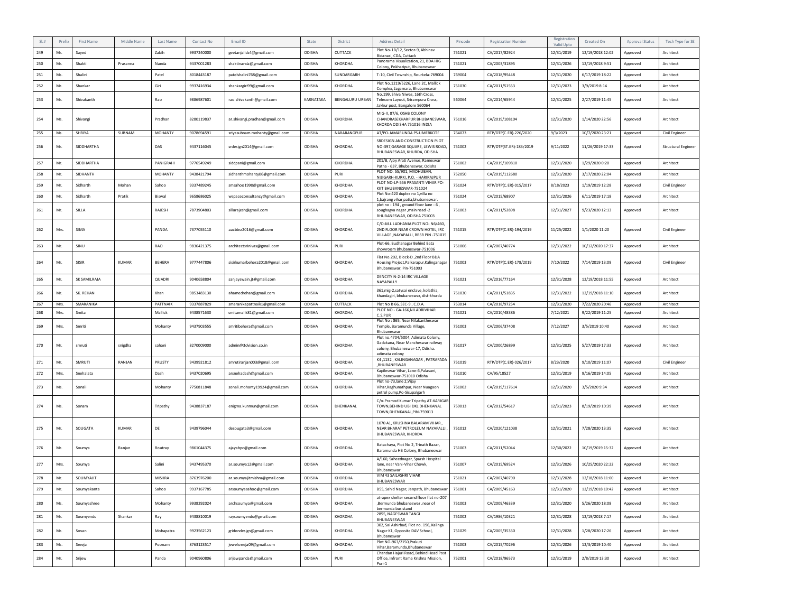|     | Prefix | First Name        | Middle Name | Last Name      | Contact No | Email ID                       | State     | District        | <b>Address Detail</b>                                                                                       | Pincode | <b>Registration Number</b> | Registration<br>Valid Upto | Created On       | <b>Approval Status</b> | Tech Type for SE           |
|-----|--------|-------------------|-------------|----------------|------------|--------------------------------|-----------|-----------------|-------------------------------------------------------------------------------------------------------------|---------|----------------------------|----------------------------|------------------|------------------------|----------------------------|
| 249 | Mr.    | Sayed             |             | Zabih          | 9937240000 | geetanjalids4@gmail.com        | ODISHA    | CUTTACK         | Plot No-1B/12, Sector-9, Abhinav<br>Bidanasi, CDA, Cuttack                                                  | 751021  | CA/2017/82924              | 12/31/2019                 | 12/19/2018 12:02 | Approved               | Architect                  |
| 250 | Mr.    | Shakti            | Prasanna    | Nanda          | 9437001283 | shaktinanda@gmail.com          | ODISHA    | KHORDHA         | Panorama Visualization, 21, BDA HIG<br>Colony, Pokhariput, Bhubaneswar                                      | 751021  | CA/2003/31895              | 12/31/2026                 | 12/19/2018 9:51  | Approved               | Architect                  |
| 251 | Ms.    | Shalini           |             | Patel          | 8018443187 | patelshalini768@gmail.com      | ODISHA    | SUNDARGARH      | T-10, Civil Township, Rourkela-769004                                                                       | 769004  | CA/2018/95448              | 12/31/2020                 | 6/17/2019 18:22  | Approved               | Architect                  |
| 252 | Mr.    | Shankar           |             | Giri           | 9937416934 | shankargiri99@gmail.com        | ODISHA    | <b>KHORDHA</b>  | Plot No.1219/5226, Lane 2C, Mallick<br>Complex, Jagamara, Bhubaneswar                                       | 751030  | CA/2011/51553              | 12/31/2023                 | 3/9/2019 8:14    | Approved               | Architect                  |
| 253 | Mr.    | Shivakanth        |             | Rao            | 9886987601 | rao.shivakanth@gmail.com       | KARNATAKA | BENGALURU URBAN | No.199, Shiva Niwas, 16th Cross,<br>Telecom Layout, Srirampura Cross,<br>Jakkur post, Bangalore 560064      | 560064  | CA/2014/65944              | 12/31/2025                 | 2/27/2019 11:45  | Approved               | Architect                  |
| 254 | Ms.    | Shivangi          |             | Pradhan        | 8280119837 | ar.shivangi.pradhan@gmail.com  | ODISHA    | <b>KHORDHA</b>  | MIG-II, 87/6, OSHB COLONY<br>CHANDRASEKHARPUR BHUBANESWAR,<br>KHORDA ODISHA 751016 INDIA                    | 751016  | CA/2019/108104             | 12/31/2020                 | 1/14/2020 22:56  | Approved               | Architect                  |
| 255 | Ms.    | SHRIYA            | SUBNAM      | MOHANTY        | 9078694591 | sriyasubnam.mohanty@gmail.com  | ODISHA    | NABARANGPUR     | AT/PO-JAMARUNDA PS-UMERKOTE                                                                                 | 764073  | RTP/DTP(C.ER)-226/2020     | 9/3/2023                   | 10/7/2020 23:21  | Approved               | Civil Engineer             |
| 256 | Mr.    | SIDDHARTHA        |             | DAS            | 9437116045 | srdesign2014@gmail.com         | ODISHA    | KHORDHA         | SRDESIGN AND CONSTRUCTION PLOT<br>NO-397, GARAGE SQUARE, LEWIS ROAD,<br>BHUBANESWAR, KHURDA, ODISHA         | 751002  | RTP/DTP(ST.ER)-183/2019    | 9/11/2022                  | 11/26/2019 17:33 | Approved               | <b>Structural Engineer</b> |
| 257 | Mr.    | <b>SIDDHARTHA</b> |             | PANIGRAHI      | 9776549249 | siddpani@gmail.com             | ODISHA    | <b>KHORDHA</b>  | 201/B, Ajoy Arati Avenue, Rameswar<br>Patna - 637, Bhubaneswar, Odisha                                      | 751002  | CA/2019/109810             | 12/31/2020                 | 1/29/2020 0:20   | Approved               | Architect                  |
| 258 | Mr.    | SIDHANTH          |             | <b>MOHANTY</b> | 9438421794 | sidhanthmohanty06@gmail.com    | ODISHA    | PURI            | PLOT NO. 55/901, MADHUBAN,<br>NIJIGARH-KURKI, P.O. - HARIRAJPUR                                             | 752050  | CA/2019/112680             | 12/31/2020                 | 3/17/2020 22:04  | Approved               | Architect                  |
| 259 | Mr.    | Sidharth          | Mohan       | Sahoo          | 9337489245 | smsahoo1990@gmail.com          | ODISHA    | KHORDHA         | PLOT NO-LP-556 PRASANTI VIHAR PO-<br>KIIT BHUBANESWAR-751024                                                | 751024  | RTP/DTP(C.ER)-015/2017     | 8/18/2023                  | 1/19/2019 12:28  | Approved               | Civil Engineer             |
| 260 | Mr.    | Sidharth          | Pratik      | Biswal         | 9658686025 | wspaceconsultancy@gmail.com    | ODISHA    | <b>KHORDHA</b>  | Plot No-420 duplex no 1, villa no<br>1, bajrang vihar, patia, bhubaneswar.                                  | 751024  | CA/2015/68907              | 12/31/2026                 | 6/11/2019 17:18  | Approved               | Architect                  |
| 261 | Mr.    | SILLA             |             | RAJESH         | 7873904803 | sillarajesh@gmail.com          | ODISHA    | <b>KHORDHA</b>  | plot no - 194, ground floor lane - 6,<br>soughagya nagar ,main road -2<br>BHUBANESWAR, ODISHA 751003        | 751003  | CA/2011/52898              | 12/31/2027                 | 9/23/2020 12:13  | Approved               | Architect                  |
| 262 | Mrs.   | SIMA              |             | PANDA          | 7377055110 | aacbbsr2016@gmail.com          | ODISHA    | <b>KHORDHA</b>  | C/O-M.L LADHANIA PLOT NO-N6/460<br>2ND FLOOR NEAR CROWN HOTEL. IRC<br>VILLAGE , NAYAPALLI, BBSR PIN -751015 | 751015  | RTP/DTP(C.ER)-194/2019     | 11/25/2022                 | 1/1/2020 11:20   | Approved               | Civil Engineer             |
| 263 | Mr.    | SINU              |             | RAO            | 9836421375 | architectsrinivas@gmail.com    | ODISHA    | PURI            | Plot-66, Budhanagar Behind Bata<br>showroom Bhubaneswar-751006                                              | 751006  | CA/2007/40774              | 12/31/2022                 | 10/12/2020 17:37 | Approved               | Architect                  |
| 264 | Mr.    | SISIR             | KUMAR       | BEHERA         | 9777447806 | sisirkumarbehera2018@gmail.com | ODISHA    | KHORDHA         | Flat No.202, Block-D ,2nd Floor BDA<br>Housing Project, Paikarapur, Kalinganagar<br>Bhubaneswar, Pin-751003 | 751003  | RTP/DTP(C.ER)-178/2019     | 7/10/2022                  | 7/14/2019 13:09  | Approved               | Civil Engineer             |
| 265 | Mr.    | SK SAMILRAJA      |             | QUADRI         | 9040658804 | sanjayswain.jt@gmail.com       | ODISHA    | KHORDHA         | DENCITY N-2-14 IRC VILLAGE<br>NAYAPALLY                                                                     | 751021  | CA/2016/77164              | 12/31/2028                 | 12/19/2018 11:55 | Approved               | Architect                  |
| 266 | Mr.    | SK. REHAN         |             | Khan           | 9853483130 | ahamedrehan@gmail.com          | ODISHA    | <b>KHORDHA</b>  | 361, mig-2, satysai enclave, kolathia,<br>khandagiri, bhubaneswar, dist-khurda                              | 751030  | CA/2011/51835              | 12/31/2022                 | 12/19/2018 11:10 | Approved               | Architect                  |
| 267 | Mrs.   | SMARANIKA         |             | PATTNAIK       | 9337887829 | smaranikapattnaik1@gmail.com   | ODISHA    | CUTTACK         | Plot No B 66, SEC-9, C.D.A.                                                                                 | 753014  | CA/2018/97254              | 12/31/2020                 | 7/22/2020 20:46  | Approved               | Architect                  |
|     |        |                   |             |                |            |                                |           |                 | PLOT NO - GA-166, NILADRIVIHAR                                                                              |         |                            |                            |                  |                        |                            |
| 268 | Mrs.   | Smita             |             | Mallick        | 9438571630 | smitamalik81@gmail.com         | ODISHA    | <b>KHORDHA</b>  | C.S.PUR<br>Plot No: 865, Near Nilakantheswar                                                                | 751021  | CA/2010/48386              | 7/12/2021                  | 9/22/2019 11:25  | Approved               | Architect                  |
| 269 | Mrs.   | Smriti            |             | Mohanty        | 9437903555 | smritibehera@gmail.com         | ODISHA    | KHORDHA         | Temple, Baramunda Village,<br>Bhubaneswar<br>Plot no.4704/5004, Adimata Colony,                             | 751003  | CA/2006/37408              | 7/12/2027                  | 3/5/2019 10:40   | Approved               | Architect                  |
| 270 | Mr.    | smruti            | snigdha     | sahani         | 8270009000 | admin@3dvision.co.in           | ODISHA    | <b>KHORDHA</b>  | Gadakana, Near Mancheswar railway<br>colony, Bhubaneswar-17, Odisha.<br>adimata colony                      | 751017  | CA/2000/26899              | 12/31/2025                 | 5/27/2019 17:33  | Approved               | Architect                  |
| 271 | Mr.    | SMRUTI            | RANJAN      | PRUSTY         | 9439921812 | smrutiranjan003@gmail.com      | ODISHA    | <b>KHORDHA</b>  | K4,1132, KALINGANAGAR, PATRAPADA<br>.BHUBANESWAR                                                            | 751019  | RTP/DTP(C.ER)-026/2017     | 8/23/2020                  | 9/10/2019 11:07  | Approved               | Civil Engineer             |
| 272 | Mrs.   | Snehalata         |             | Dash           | 9437020695 | arsnehadash@gmail.com          | ODISHA    | KHORDHA         | Kapileswar Vihar, Lane-6, Palasuni,<br>Bhubaneswar-751010 Odisha                                            | 751010  | CA/95/18527                | 12/31/2019                 | 9/16/2019 14:05  | Approved               | Architect                  |
| 273 | Ms.    | Sonali            |             | Mohanty        | 7750811848 | sonali.mohanty19924@gmail.com  | ODISHA    | <b>KHORDHA</b>  | Plot no-73, lane 2, Vijay<br>Vihar, Raghunathpur, Near Nuagaon<br>petrol pump, Po-Sisupalgarh               | 751002  | CA/2019/117614             | 12/31/2020                 | 3/5/2020 9:34    | Approved               | Architect                  |
| 274 | Ms.    | Sonam             |             | Tripathy       | 9438837187 | enigma.kunmun@gmail.com        | ODISHA    | DHENKANAL       | C/o-Pramod Kumar Tripathy AT-KARIGAR<br>TOWN, BEHIND UBI DKL DHENKANAL<br>TOWN, DHENKANAL, PIN-759013       | 759013  | CA/2012/54617              | 12/31/2023                 | 8/19/2019 10:39  | Approved               | Architect                  |
| 275 | Mr.    | SOUGATA           | KUMAR       | DE             | 9439796044 | desougata3@gmail.com           | ODISHA    | KHORDHA         | 1070 A1, KRUSHNA BALARAM VIHAR,<br>NEAR BHARAT PETROLEUM NAYAPALLI<br>BHUBANESWAR, KHORDA                   | 751012  | CA/2020/121038             | 12/31/2021                 | 7/28/2020 13:35  | Approved               | Architect                  |
| 276 | Mr.    | Soumya            | Ranjan      | Routray        | 9861044375 | ajayabpc@gmail.com             | ODISHA    | <b>KHORDHA</b>  | Batachaya, Plot No 2, Trinath Bazar,<br>Baramunda HB Colony, Bhubaneswar                                    | 751003  | CA/2011/52044              | 12/30/2022                 | 10/19/2019 15:32 | Approved               | Architect                  |
| 277 | Mrs.   | Soumya            |             | Salini         | 9437495370 | ar.soumya12@gmail.com          | ODISHA    | KHORDHA         | A/160, Saheednagar, Sparsh Hospital<br>lane, near Vani-Vihar Chowk.<br>Bhubaneswar                          | 751007  | CA/2015/69524              | 12/31/2026                 | 10/25/2020 22:22 | Approved               | Architect                  |
| 278 | Mr.    | SOUMYAJIT         |             | MISHRA         | 8763976200 | ar.soumyajitmishra@gmail.com   | ODISHA    | KHORDHA         | VIM 43 SAILASHRI VIHAR<br>BHUBANESWAR                                                                       | 751021  | CA/2007/40790              | 12/31/2028                 | 12/18/2018 11:00 | Approved               | Architect                  |
| 279 | Mr.    | Soumyakanta       |             | Sahoo          | 9937167785 | arsoumyasahoo@gmail.com        | ODISHA    | KHORDHA         | B55, Sahid Nagar, Janpath, Bhubaneswar                                                                      | 751001  | CA/2009/45163              | 12/31/2020                 | 12/19/2018 10:42 | Approved               | Architect                  |
| 280 | Ms.    | Soumyashree       |             | Mohanty        | 9938292024 | archsoumya@gmail.com           | ODISHA    | KHORDHA         | at-apex shelter second floor flat no-207<br>.Bermunda bhubaneswar .near of<br>bermunda bus stand            | 751003  | CA/2009/46339              | 12/31/2020                 | 5/26/2020 18:08  | Approved               | Architect                  |
| 281 | Mr.    | Soumyendu         | Shankar     | Ray            | 9438810019 | raysoumyendu@gmail.com         | ODISHA    | KHORDHA         | 2855, NAGESWAR TANGI<br>BHUBANESWAR                                                                         | 751002  | CA/1986/10321              | 12/31/2028                 | 12/19/2018 7:17  | Approved               | Architect                  |
| 282 | Mr.    | Sovan             |             | Mohapatra      | 9923562123 | gridondesign@gmail.com         | ODISHA    | KHORDHA         | 302, Sai Ashirbad, Plot no. 196, Kalinga<br>Nagar K1, Opposite DAV School,<br>Bhubaneswar                   | 751029  | CA/2005/35330              | 12/31/2028                 | 1/28/2020 17:26  | Approved               | Architect                  |
| 283 | Ms.    | Sreeja            |             | Poonam         | 8763123517 | jewelsreeja09@gmail.com        | ODISHA    | KHORDHA         | Plot NO-963/2150, Prakuti<br>Vihar, Baramunda, Bhubaneswar<br>Chandan Hajuri Road, Behind Head Post         | 751003  | CA/2015/70296              | 12/31/2026                 | 12/3/2019 10:40  | Approved               | Architect                  |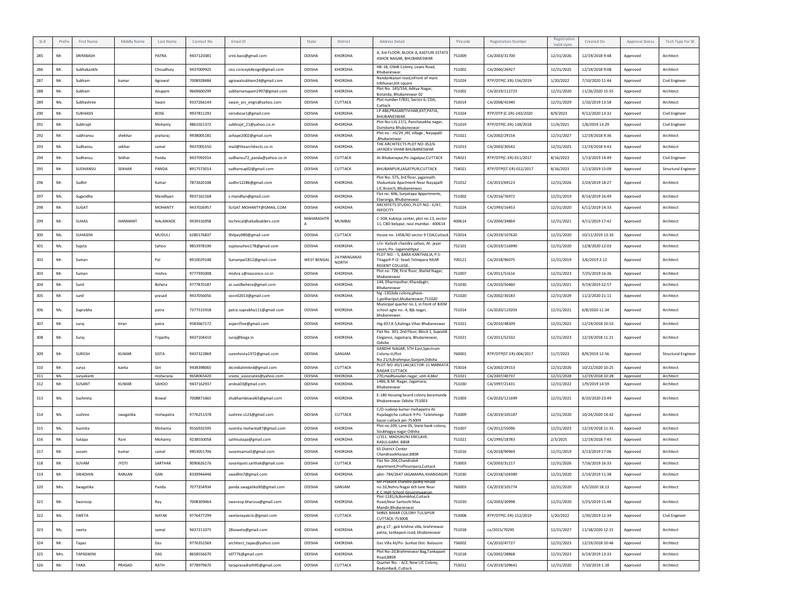|     | Prefix | First Name     | Middle Name    | Last Name      | Contact No | Email ID                     | State              | District                     | <b>Address Detail</b>                                                                               | Pincode | <b>Registration Number</b> | Registration             | Created On       | Approval Status | Tech Type for SE           |
|-----|--------|----------------|----------------|----------------|------------|------------------------------|--------------------|------------------------------|-----------------------------------------------------------------------------------------------------|---------|----------------------------|--------------------------|------------------|-----------------|----------------------------|
| 285 | Mr.    | SRINIBASH      |                | PATRA          | 9437120381 | srini.bass@gmail.com         | ODISHA             | KHORDHA                      | A. 3rd FLOOR, BLOCK-A. KASTURI ESTATE<br>ASHOK NAGAR, BHUBANESWAR                                   | 751009  | CA/2003/31700              | Valid Upto<br>12/31/2026 | 12/19/2018 9:48  | Approved        | Architect                  |
| 286 | Mr.    | Subhakankhi    |                | Choudhury      | 9437009925 | ceo.conceptdesign@gmail.com  | ODISHA             | KHORDHA                      | HB-18, OSHB Colony, Lewis Road,<br>Bhubaneswar.                                                     | 751002  | CA/2000/26927              | 12/31/2025               | 12/19/2018 9:08  | Approved        | Architect                  |
| 287 | Mr.    | Subham         | kumar          | Agrawal        | 7008928484 | agrawalsubham24@gmail.com    | ODISHA             | KHORDHA                      | Nandankanan road, infront of mani                                                                   | 751024  | RTP/DTP(C.ER)-156/2019     | 1/20/2022                | 7/10/2020 11:44  | Approved        | Civil Engineer             |
| 288 | Mr.    | Subham         |                | Anupam         | 9669600299 | subhamanupam1997@gmail.com   | ODISHA             | KHORDHA                      | tribhuvan, kiit square<br>Plot No. 145/554, Aditva Nagar,                                           | 751002  | CA/2019/112723             | 12/31/2020               | 11/26/2020 15:55 | Approved        | Architect                  |
| 289 | Ms.    | Subhashree     |                | Swain          | 9337266144 |                              | ODISHA             | CUTTACK                      | Botanda, Bhubaneswar 02<br>Plot number F/831, Sector 6, CDA,                                        | 753014  | CA/2008/41940              | 12/31/2029               |                  |                 | Architect                  |
|     |        |                |                |                |            | swain_ars_engrs@yahoo.com    |                    |                              | Cuttack<br>LP-486, PRASANTIVIHAR, KIIT, PATIA,                                                      |         |                            |                          | 1/10/2019 13:58  | Approved        |                            |
| 290 | Mr.    | SUBHASIS       |                | BOSE           | 9937811292 | serssbose1@gmail.com         | ODISHA             | KHORDHA                      | BHUBANESWAR                                                                                         | 751024  | RTP/DTP (C.ER)-243/2020    | 8/9/2023                 | 9/12/2020 13:32  | Approved        | Civil Engineer             |
| 291 | Mr.    | Subhrajit      |                | Mohanty        | 9861021372 | subhrajit_21@yahoo.co.in     | ODISHA             | KHORDHA                      | Plot No-LIG 27/1, Panchasakha nagar,<br>Dumduma Bhubaneswar                                         | 751019  | RTP/DTP(C.ER)-138/2018     | 11/4/2021                | 1/8/2019 13:29   | Approved        | Civil Engineer             |
| 292 | Mr.    | subhransu      | shekhar        | praharaj       | 9938005181 | ashape2002@gmail.com         | ODISHA             | KHORDHA                      | Plot no - n5/29 , IRC village, Nayapalli<br>Bhubaneswar,                                            | 751021  | CA/2002/29154              | 12/31/2027               | 12/19/2018 9:36  | Approved        | Architect                  |
| 293 | Mr.    | Sudhansu       | sekhar         | samal          | 9437005550 | mail@thearchitects.co.in     | ODISHA             | KHORDHA                      | THE ARCHITECTS PLOT NO-352/6<br>JAYADEV VIHAR BHUBANESWAR                                           | 751013  | CA/2003/30542              | 12/31/2025               | 12/19/2018 9:43  | Approved        | Architect                  |
| 294 | Mr.    | Sudhansu       | Sekhar         | Panda          | 9437092014 | sudhansu72_panda@yahoo.co.in | ODISHA             | CUTTACK                      | At-Bhubanapur, Po-Jagatpur, CUTTACK                                                                 | 754021  | RTP/DTP(C.ER)-011/2017     | 8/16/2023                | 1/13/2019 14:49  | Approved        | Civil Engineer             |
| 295 | Mr.    | SUDHANSU       | SEKHAR         | PANDA          | 8917573014 | sudhansup02@gmail.com        | ODISHA             | CUTTACK                      | BHUBANPUR, JAGATPUR, CUTTACK                                                                        | 754021  | RTP/DTP(ST.ER)-012/2017    | 8/16/2023                | 1/13/2019 15:09  | Approved        | <b>Structural Engineer</b> |
| 296 | Mr.    | Sudhir         |                | Kumar          | 7873620108 | sudhir12286@gmail.com        | ODISHA             | KHORDHA                      | Plot No. 575, 3rd floor, jagannath<br>Shakuntala Apartment Near Nayapalli                           | 751012  | CA/2015/69123              | 12/31/2026               | 2/24/2019 18:27  | Approved        | Architect                  |
| 297 | Ms.    | Sugandha       |                | Mandhyan       | 9937162168 | s.mandhyn@gmail.com          | ODISHA             | KHORDHA                      | LIC Branch, Bhubanenwas<br>Flat no. 606, Suryatapa Appartments,                                     | 751002  | CA/2016/76972              | 12/31/2019               | 8/14/2019 16:49  | Approved        | Architect                  |
| 298 | Mr.    | SUGAT          |                | <b>MOHANTY</b> | 9437026957 | SUGAT.MOHANTY@GMAIL.COM      | ODISHA             | KHORDHA                      | Ebaranga, Bhubaneswar<br>ARCHITETS STUDIO, PLOT NO.- E/47,                                          | 751024  | CA/1993/16453              | 12/31/2020               | 6/11/2019 14:33  | Approved        | Architect                  |
|     |        |                |                |                |            |                              |                    |                              | <b>INFOCITY</b>                                                                                     |         |                            |                          |                  |                 |                            |
| 299 | Mr.    | SUHAS          | <b>HANMANT</b> | NALAWADE       | 9439316958 | technical@utkalbuilders.com  | MAHARASHTI<br>Α    | <b>MUMBAI</b>                | C-504, kukreja center, plot no.13, sector<br>11, CBD belapur, navi mumbai - 400614                  | 400614  | CA/2004/34864              | 12/31/2021               | 4/11/2019 17:42  | Approved        | Architect                  |
| 300 | Ms.    | SUHASINI       |                | MUDULI         | 6280176837 | Shilpay980@gmail.com         | ODISHA             | CUTTACK                      | House no. 1458/4D sector 9 CDA, Cuttack                                                             | 753014  | CA/2019/107620             | 12/31/2020               | 10/11/2019 13:10 | Approved        | Architect                  |
| 301 | Ms.    | Suiata         |                | Sahoo          | 9853978190 | sujatasahoo178@gmail.com     | ODISHA             | KHORDHA                      | c/o- Kailash chandra sahoo. At- javar<br>sasan, Po- Jagannathpur                                    | 752101  | CA/2019/116990             | 12/31/2020               | 12/8/2020 12:03  | Approved        | Architect                  |
| 302 | Mr.    | Suman          |                | Pal            | 8910029148 | Sumanpal1812@gmail.com       | <b>WEST BENGAL</b> | 24 PARAGANAS<br><b>NORTH</b> | PLOT NO. - 5, BARA-KANTHALIA, P.S-<br>Titagarh P.O- Sewli Telinipara NEAR<br>REGENT COLLEGE.        | 700121  | CA/2018/96075              | 12/31/2019               | 3/6/2019 2:12    | Approved        | Architect                  |
| 303 | Mr.    | Suman          |                | mishra         | 9777935008 | mishra.s@nascence.co.in      | ODISHA             | KHORDHA                      | Plot no. 728, First floor, Shahid Nagar,<br>bhubaneswar                                             | 751007  | CA/2011/51616              | 12/31/2023               | 7/25/2019 16:36  | Approved        | Architect                  |
| 304 | Mr.    | Sunil          |                | Behera         | 9777870187 | ar.sunilbehera@gmail.com     | ODISHA             | KHORDHA                      | 144, Dharmavihar, Khandagiri,<br>Bhubaneswar                                                        | 751030  | CA/2010/50460              | 12/31/2021               | 9/19/2019 22:57  | Approved        | Architect                  |
| 305 | Mr.    | sunil          |                | prasad         | 9437056056 | soonil2013@gmail.com         | ODISHA             | KHORDHA                      | hig -130,bda colony,phase-<br>1,pokhariput,bhubaneswar,751020                                       | 751020  | CA/2002/30183              | 12/31/2029               | 11/2/2020 21:11  | Approved        | Architect                  |
| 306 | Ms.    | Suprabha       |                | patra          | 7377515918 | patra.suprabha111@gmail.com  | ODISHA             | KHORDHA                      | Municipal quarter no.1, in front of BJEM<br>school agte no.-4, Bjb nagar,<br>bhubaneswar.           | 751014  | CA/2020/119203             | 12/31/2021               | 6/8/2020 11:34   | Approved        | Architect                  |
| 307 | Mr.    | suraj          | kiran          | patra          | 9583667172 | aspectfive@gmail.com         | ODISHA             | KHORDHA                      | Hig-437,K-5,Kalinga Vihar Bhubaneswar                                                               | 751021  | CA/2010/48309              | 12/31/2022               | 12/19/2018 10:53 | Approved        | Architect                  |
| 308 | Mr     | Suraj          |                | Tripathy       | 9437104410 | suraj@boga.in                | ODISHA             | <b>KHORDHA</b>               | Flat No. 301, 2nd Floor, Block 1, Supratik<br>Elegance, Jagamara, Bhubaneswar,<br>Odisha            | 751021  | CA/2011/52332              | 12/31/2023               | 12/19/2018 11:21 | Approved        | Architect                  |
| 309 | Mr.    | SURESH         | KUMAR          | SISTA          | 9437322869 | sureshsista1972@gmail.com    | ODISHA             | GANJAM                       | GANDHI NAGAR, 5TH East, Spectrum<br>Colony-iii, Plot<br>No.21/A,Brahmpur,Ganjam,Ddisha.             | 760001  | RTP/DTP(ST.ER)-004/2017    | 11/7/2023                | 8/9/2019 12:56   | Approved        | Structural Engineer        |
| 310 | Mr.    | surya          | kanta          | Giri           | 9438398065 | skcindialimited@gmail.com    | ODISHA             | CUTTACK                      | PLOT NO-3D/1140, SECTOR-11 MARKATA                                                                  | 753014  | CA/2002/29153              | 12/31/2026               | 10/21/2020 10:25 | Approved        | Architect                  |
| 311 | Ms.    | suryakanti     |                | moharana       | 9658065420 | srasta_associates@yahoo.com  | ODISHA             | KHORDHA                      | NAGAR CUTTACK<br>270, madhusudan nagar, unit-4, bbsr                                                | 751021  | CA/2007/40737              | 12/31/2028               | 12/19/2018 10:28 | Approved        | Architect                  |
| 312 | Mr.    | SUSANT         | <b>KUMAR</b>   | SAHOO          | 9437162937 | arsksa03@gmail.com           | <b>ODISHA</b>      | KHORDHA                      | 1486, B.M. Nagar, Jagamara,<br>Bhubaneswar                                                          | 751030  | CA/1997/21431              | 12/31/2022               | 1/9/2019 14:59   | Approved        | Architect                  |
| 313 | Ms.    | Sushmita       |                | Biswal         | 7008871665 | shubhambiswal65@gmail.com    | ODISHA             | KHORDHA                      | E-180 Housing board colony baramunda<br>Bhubaneswar Odisha 751003                                   | 751003  | CA/2020/121699             | 12/31/2021               | 8/20/2020 23:49  | Approved        | Architect                  |
| 314 | Ms.    | sushree        | swagatika      | mohapatra      | 9776251378 | sushree.s123@gmail.com       | ODISHA             | CUTTACK                      | C/O-sudeep kumar mohapatra At-<br>Rajabagicha cuttack-9 Po- Talatelenga<br>bazar cuttack pin-753009 | 753009  | CA/2019/105187             | 12/31/2020               | 10/24/2020 14:42 | Approved        | Architect                  |
| 315 | Ms.    | Susmita        |                | Mohanta        | 9556932595 | susmita.mohanta87@gmail.com  | ODISHA             | KHORDHA                      | Plot no 209, Lane 05, State bank colony,<br>Soubhagya nagar Odisha                                  | 751007  | CA/2012/55096              | 12/31/2023               | 12/19/2018 11:31 | Approved        | Architect                  |
| 316 | Mr.    | Sutapa         | Rani           | Mohanty        | 9238550058 | sathisutapa@gmail.com        | ODISHA             | KHORDHA                      | c/311. MADUKUNJ ENCLAVE.<br>RASULGARH. BBSR                                                         | 751021  | CA/1995/18783              | 2/3/2025                 | 12/19/2018 7:45  | Approved        | Architect                  |
| 317 | Mr.    | suvam          | kumar          | samal          | 9853051706 | suvamsamal2@gmail.com        | ODISHA             | KHORDHA                      | 65 District Center<br>Chandrasekharpur, BBSR                                                        | 751016  | CA/2018/90969              | 12/31/2019               | 3/13/2019 17:06  | Approved        | Architect                  |
| 318 | Mr.    | SUVAM          | <b>JYOTI</b>   | SARTHAK        | 9090626176 | suvamjyoti.sarthak@gmail.com | ODISHA             | CUTTACK                      | Flat No-204.Chandralok                                                                              | 753003  | CA/2003/31217              | 12/31/2026               | 7/16/2019 16:33  | Approved        | Architect                  |
| 319 | Mr.    | <b>SWADHIN</b> | RANJAN         | GAN            | 8339946446 | swadhin7@gmail.com           | ODISHA             | KHORDHA                      | Apartment, Proffesorpara, Cuttack<br>plot- 784/2647 JAGAMARA, KHANDAGIRI                            | 751030  | CA/2018/104389             | 12/31/2020               | 2/14/2019 11:38  | Approved        | Architect                  |
|     |        |                |                |                |            |                              |                    |                              | Mr. Prakash chandra padhy House                                                                     |         |                            |                          |                  |                 |                            |
| 320 | Mrs.   | Swagatika      |                | Panda          | 7077354934 | panda.swagatika90@gmail.com  | ODISHA             | GANJAM                       | no.10, Nehru Nagar 6th lane Near<br>K.C. High School Gosaninuagoan                                  | 760003  | CA/2019/105774             | 12/31/2020               | 6/5/2020 18:13   | Approved        | Architect                  |
| 321 | Mr.    | Swaroop        |                | Ray            | 7008309464 | swaroop.bharosa@gmail.com    | <b>ODISHA</b>      | KHORDHA                      | Plot-1181/A,Bomikhal,Cuttack<br>Road Near Santoshi Maa<br>Mandir, Bhubaneswar                       | 751010  | CA/2003/30998              | 12/31/2020               | 5/25/2019 11:48  | Approved        | Architect                  |
| 322 | Ms.    | SWETA          |                | NAYAK          | 9776477299 | swetanayakctc@gmail.com      | ODISHA             | CUTTACK                      | SHREE BIHAR COLONY TULSIPUR<br><b>CUTTACK-753008</b>                                                | 753008  | RTP/DTP(C.ER)-152/2019     | 1/20/2022                | 1/30/2019 12:34  | Approved        | Civil Engineer             |
| 323 | Ms.    | sweta          |                | samal          | 9437211075 | 28ssweta@gmail.com           | ODISHA             | KHORDHA                      | gkv g 17, gati krishna villa, brahmewar<br>patna, tankapani road, bhubaneswar                       | 751018  | ca/2015/70295              | 12/31/2027               | 11/18/2020 12:31 | Approved        | Architect                  |
| 324 | Mr.    | Tapas          |                | Das            | 9776352569 | architect_tapas@yahoo.com    | ODISHA             | KHORDHA                      | Das Villa At/Po- Sunhat Dist- Balasore                                                              | 756002  | CA/2010/47727              | 12/31/2023               | 12/19/2018 10:46 | Approved        | Architect                  |
| 325 | Mrs.   | TAPASWINI      |                | DAS            | 8658556670 | td7776@gmail.com             | ODISHA             | KHORDHA                      | Plot No-20, Brahmeswar Bag, Tankapani<br>Road, BBSR                                                 | 751018  | CA/2002/28868              | 12/31/2023               | 6/19/2019 13:33  | Approved        | Architect                  |
| 326 | Mr.    | TARA           | PRASAD         | RATH           | 9778979670 | taraprasadrath95@gmail.com   | ODISHA             | CUTTACK                      | Quarter No. - A/2, New LIC Colony,                                                                  | 753012  | CA/2019/109641             | 12/31/2020               | 7/10/2019 1:18   | Approved        | Architect                  |
|     |        |                |                |                |            |                              |                    |                              | Badambadi, Cuttack                                                                                  |         |                            |                          |                  |                 |                            |